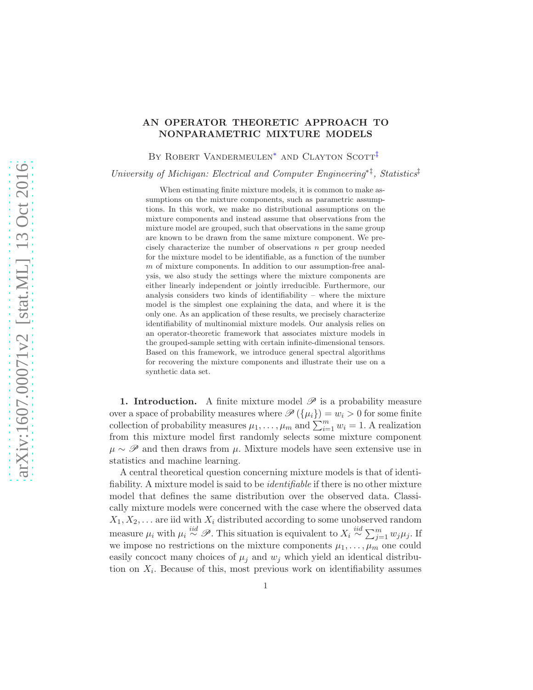# AN OPERATOR THEORETIC APPROACH TO NONPARAMETRIC MIXTURE MODELS

<span id="page-0-1"></span><span id="page-0-0"></span>BY ROBERT VANDERMEULEN<sup>\*</sup> AND CLAYTON SCOTT<sup>[‡](#page-0-1)</sup>

University of Michigan: Electrical and Computer Engineering<sup>\*†</sup>, Statistics<sup>†</sup>

When estimating finite mixture models, it is common to make assumptions on the mixture components, such as parametric assumptions. In this work, we make no distributional assumptions on the mixture components and instead assume that observations from the mixture model are grouped, such that observations in the same group are known to be drawn from the same mixture component. We precisely characterize the number of observations n per group needed for the mixture model to be identifiable, as a function of the number m of mixture components. In addition to our assumption-free analysis, we also study the settings where the mixture components are either linearly independent or jointly irreducible. Furthermore, our analysis considers two kinds of identifiability – where the mixture model is the simplest one explaining the data, and where it is the only one. As an application of these results, we precisely characterize identifiability of multinomial mixture models. Our analysis relies on an operator-theoretic framework that associates mixture models in the grouped-sample setting with certain infinite-dimensional tensors. Based on this framework, we introduce general spectral algorithms for recovering the mixture components and illustrate their use on a synthetic data set.

1. Introduction. A finite mixture model  $\mathscr P$  is a probability measure over a space of probability measures where  $\mathscr{P}(\{\mu_i\}) = w_i > 0$  for some finite collection of probability measures  $\mu_1, \ldots, \mu_m$  and  $\sum_{i=1}^m w_i = 1$ . A realization from this mixture model first randomly selects some mixture component  $\mu \sim \mathscr{P}$  and then draws from  $\mu$ . Mixture models have seen extensive use in statistics and machine learning.

A central theoretical question concerning mixture models is that of identifiability. A mixture model is said to be identifiable if there is no other mixture model that defines the same distribution over the observed data. Classically mixture models were concerned with the case where the observed data  $X_1, X_2, \ldots$  are iid with  $X_i$  distributed according to some unobserved random measure  $\mu_i$  with  $\mu_i \stackrel{iid}{\sim} \mathscr{P}$ . This situation is equivalent to  $X_i \stackrel{iid}{\sim} \sum_{j=1}^m w_j \mu_j$ . If we impose no restrictions on the mixture components  $\mu_1, \ldots, \mu_m$  one could easily concoct many choices of  $\mu_i$  and  $w_i$  which yield an identical distribution on  $X_i$ . Because of this, most previous work on identifiability assumes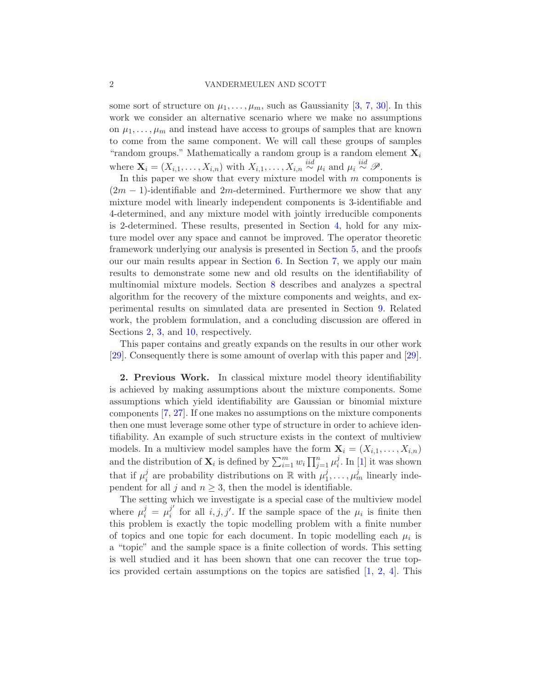## 2 VANDERMEULEN AND SCOTT

some sort of structure on  $\mu_1, \ldots, \mu_m$ , such as Gaussianity [\[3](#page-51-0), [7,](#page-51-1) [30](#page-52-0)]. In this work we consider an alternative scenario where we make no assumptions on  $\mu_1, \ldots, \mu_m$  and instead have access to groups of samples that are known to come from the same component. We will call these groups of samples "random groups." Mathematically a random group is a random element  $\mathbf{X}_i$ where  $\mathbf{X}_i = (X_{i,1}, \ldots, X_{i,n})$  with  $X_{i,1}, \ldots, X_{i,n} \stackrel{iid}{\sim} \mu_i$  and  $\mu_i \stackrel{iid}{\sim} \mathcal{P}$ .

In this paper we show that every mixture model with  $m$  components is  $(2m - 1)$ -identifiable and  $2m$ -determined. Furthermore we show that any mixture model with linearly independent components is 3-identifiable and 4-determined, and any mixture model with jointly irreducible components is 2-determined. These results, presented in Section [4,](#page-4-0) hold for any mixture model over any space and cannot be improved. The operator theoretic framework underlying our analysis is presented in Section [5,](#page-7-0) and the proofs our our main results appear in Section [6.](#page-9-0) In Section [7,](#page-24-0) we apply our main results to demonstrate some new and old results on the identifiability of multinomial mixture models. Section [8](#page-29-0) describes and analyzes a spectral algorithm for the recovery of the mixture components and weights, and experimental results on simulated data are presented in Section [9.](#page-41-0) Related work, the problem formulation, and a concluding discussion are offered in Sections [2,](#page-1-0) [3,](#page-2-0) and [10,](#page-42-0) respectively.

This paper contains and greatly expands on the results in our other work [\[29\]](#page-52-1). Consequently there is some amount of overlap with this paper and [\[29](#page-52-1)].

<span id="page-1-0"></span>2. Previous Work. In classical mixture model theory identifiability is achieved by making assumptions about the mixture components. Some assumptions which yield identifiability are Gaussian or binomial mixture components [\[7](#page-51-1), [27](#page-52-2)]. If one makes no assumptions on the mixture components then one must leverage some other type of structure in order to achieve identifiability. An example of such structure exists in the context of multiview models. In a multiview model samples have the form  $\mathbf{X}_i = (X_{i,1}, \ldots, X_{i,n})$ and the distribution of  $\mathbf{X}_i$  is defined by  $\sum_{i=1}^m w_i \prod_{j=1}^n \mu_i^j$  $\int_i^j$ . In [\[1](#page-51-2)] it was shown that if  $\mu_i^j$  $i$  are probability distributions on  $\mathbb R$  with  $\mu_1^j$  $j_1, \ldots, \mu_m^j$  linearly independent for all j and  $n \geq 3$ , then the model is identifiable.

The setting which we investigate is a special case of the multiview model where  $\mu_i^j = \mu_i^{j'}$  $i_i$  for all  $i, j, j'$ . If the sample space of the  $\mu_i$  is finite then this problem is exactly the topic modelling problem with a finite number of topics and one topic for each document. In topic modelling each  $\mu_i$  is a "topic" and the sample space is a finite collection of words. This setting is well studied and it has been shown that one can recover the true topics provided certain assumptions on the topics are satisfied  $[1, 2, 4]$  $[1, 2, 4]$  $[1, 2, 4]$  $[1, 2, 4]$  $[1, 2, 4]$ . This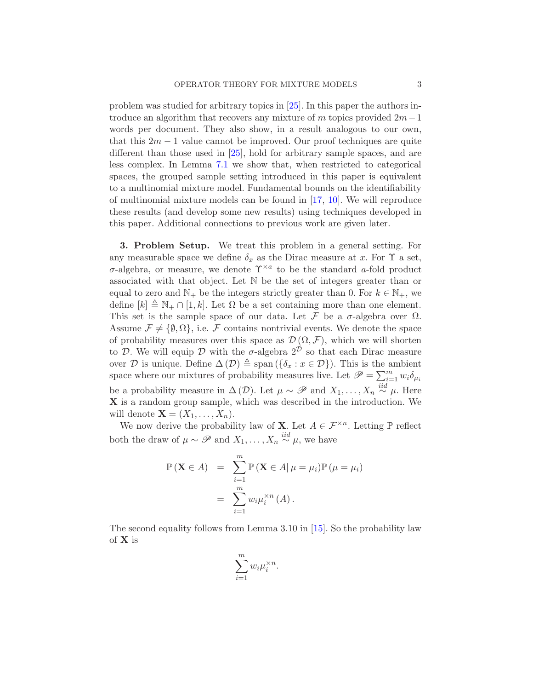problem was studied for arbitrary topics in [\[25](#page-52-3)]. In this paper the authors introduce an algorithm that recovers any mixture of m topics provided  $2m-1$ words per document. They also show, in a result analogous to our own, that this  $2m - 1$  value cannot be improved. Our proof techniques are quite different than those used in [\[25](#page-52-3)], hold for arbitrary sample spaces, and are less complex. In Lemma [7.1](#page-26-0) we show that, when restricted to categorical spaces, the grouped sample setting introduced in this paper is equivalent to a multinomial mixture model. Fundamental bounds on the identifiability of multinomial mixture models can be found in [\[17](#page-51-5), [10\]](#page-51-6). We will reproduce these results (and develop some new results) using techniques developed in this paper. Additional connections to previous work are given later.

<span id="page-2-0"></span>3. Problem Setup. We treat this problem in a general setting. For any measurable space we define  $\delta_x$  as the Dirac measure at x. For  $\Upsilon$  a set,  $\sigma$ -algebra, or measure, we denote  $\Upsilon^{\times a}$  to be the standard a-fold product associated with that object. Let N be the set of integers greater than or equal to zero and  $\mathbb{N}_+$  be the integers strictly greater than 0. For  $k \in \mathbb{N}_+$ , we define  $[k] \triangleq \mathbb{N}_+ \cap [1, k]$ . Let  $\Omega$  be a set containing more than one element. This set is the sample space of our data. Let  $\mathcal F$  be a  $\sigma$ -algebra over  $\Omega$ . Assume  $\mathcal{F} \neq \{\emptyset, \Omega\},$  i.e. F contains nontrivial events. We denote the space of probability measures over this space as  $\mathcal{D}(\Omega, \mathcal{F})$ , which we will shorten to D. We will equip D with the  $\sigma$ -algebra  $2^{\mathcal{D}}$  so that each Dirac measure over D is unique. Define  $\Delta(\mathcal{D}) \triangleq \text{span}(\{\delta_x : x \in \mathcal{D}\})$ . This is the ambient space where our mixtures of probability measures live. Let  $\mathscr{P} = \sum_{i=1}^{m} w_i \delta_{\mu_i}$ be a probability measure in  $\Delta(\mathcal{D})$ . Let  $\mu \sim \mathscr{P}$  and  $X_1, \ldots, X_n \stackrel{iid}{\sim} \mu$ . Here X is a random group sample, which was described in the introduction. We will denote  $\mathbf{X} = (X_1, \ldots, X_n)$ .

We now derive the probability law of **X**. Let  $A \in \mathcal{F}^{\times n}$ . Letting  $\mathbb{P}$  reflect both the draw of  $\mu \sim \mathscr{P}$  and  $X_1, \ldots, X_n \stackrel{iid}{\sim} \mu$ , we have

$$
\mathbb{P}(\mathbf{X} \in A) = \sum_{i=1}^{m} \mathbb{P}(\mathbf{X} \in A | \mu = \mu_i) \mathbb{P}(\mu = \mu_i)
$$

$$
= \sum_{i=1}^{m} w_i \mu_i^{x_n}(A).
$$

The second equality follows from Lemma 3.10 in [\[15](#page-51-7)]. So the probability law of X is

$$
\sum_{i=1}^m w_i \mu_i^{\times n}.
$$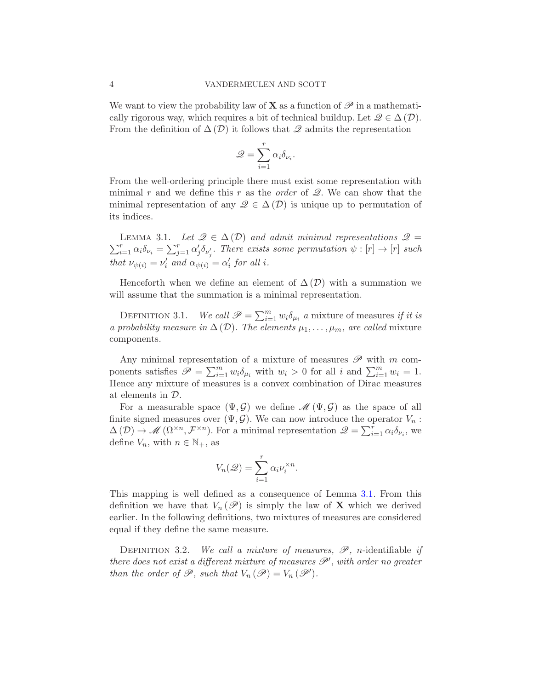We want to view the probability law of **X** as a function of  $\mathscr P$  in a mathematically rigorous way, which requires a bit of technical buildup. Let  $\mathscr{Q} \in \Delta(\mathcal{D})$ . From the definition of  $\Delta(\mathcal{D})$  it follows that  $\mathcal Q$  admits the representation

$$
\mathcal{Q} = \sum_{i=1}^r \alpha_i \delta_{\nu_i}.
$$

From the well-ordering principle there must exist some representation with minimal r and we define this r as the *order* of  $\mathscr{Q}$ . We can show that the minimal representation of any  $\mathscr{Q} \in \Delta(\mathcal{D})$  is unique up to permutation of its indices.

<span id="page-3-0"></span> $\sum_{i=1}^r \alpha_i \delta_{\nu_i} = \sum_{j=1}^r \alpha'_j \delta_{\nu'_j}$ . There exists some permutation  $\psi : [r] \to [r]$  such LEMMA 3.1. Let  $\mathscr{Q} \in \Delta(\mathcal{D})$  and admit minimal representations  $\mathscr{Q} =$ that  $\nu_{\psi(i)} = \nu'_i$  and  $\alpha_{\psi(i)} = \alpha'_i$  for all i.

Henceforth when we define an element of  $\Delta(\mathcal{D})$  with a summation we will assume that the summation is a minimal representation.

DEFINITION 3.1. We call  $\mathscr{P} = \sum_{i=1}^{m} w_i \delta_{\mu_i}$  a mixture of measures if it is a probability measure in  $\Delta(\mathcal{D})$ . The elements  $\mu_1, \ldots, \mu_m$ , are called mixture components.

Any minimal representation of a mixture of measures  $\mathscr P$  with m components satisfies  $\mathscr{P} = \sum_{i=1}^m w_i \delta_{\mu_i}$  with  $w_i > 0$  for all i and  $\sum_{i=1}^m w_i = 1$ . Hence any mixture of measures is a convex combination of Dirac measures at elements in D.

For a measurable space  $(\Psi, \mathcal{G})$  we define  $\mathcal{M}(\Psi, \mathcal{G})$  as the space of all finite signed measures over  $(\Psi, \mathcal{G})$ . We can now introduce the operator  $V_n$ :  $\Delta(\mathcal{D}) \to \mathcal{M}(\Omega^{\times n}, \mathcal{F}^{\times n})$ . For a minimal representation  $\mathcal{Q} = \sum_{i=1}^r \alpha_i \delta_{\nu_i}$ , we define  $V_n$ , with  $n \in \mathbb{N}_+$ , as

$$
V_n(\mathcal{Q}) = \sum_{i=1}^r \alpha_i \nu_i^{\times n}.
$$

This mapping is well defined as a consequence of Lemma [3.1.](#page-3-0) From this definition we have that  $V_n(\mathscr{P})$  is simply the law of **X** which we derived earlier. In the following definitions, two mixtures of measures are considered equal if they define the same measure.

<span id="page-3-1"></span>DEFINITION 3.2. We call a mixture of measures,  $\mathscr{P}$ , n-identifiable if there does not exist a different mixture of measures  $\mathscr{P}'$ , with order no greater than the order of  $\mathscr{P}$ , such that  $V_n(\mathscr{P}) = V_n(\mathscr{P}')$ .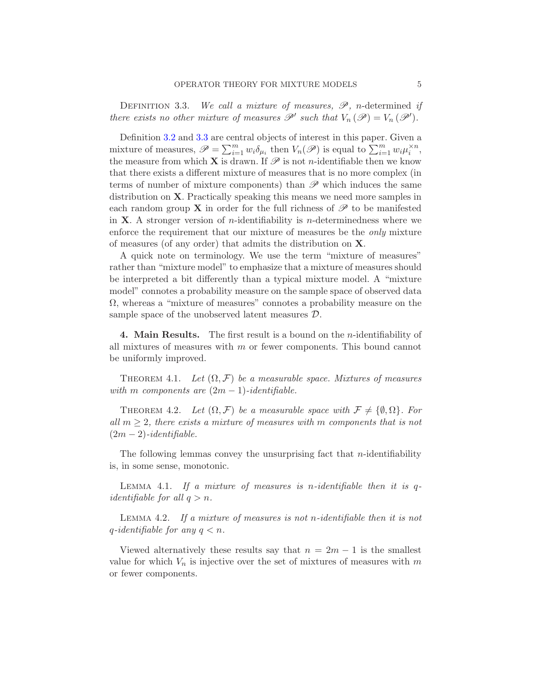<span id="page-4-1"></span>DEFINITION 3.3. We call a mixture of measures,  $\mathscr{P}$ , n-determined if there exists no other mixture of measures  $\mathscr{P}'$  such that  $V_n(\mathscr{P}) = V_n(\mathscr{P}')$ .

Definition [3.2](#page-3-1) and [3.3](#page-4-1) are central objects of interest in this paper. Given a mixture of measures,  $\mathscr{P} = \sum_{i=1}^{m} w_i \delta_{\mu_i}$  then  $V_n(\mathscr{P})$  is equal to  $\sum_{i=1}^{m} w_i \mu_i^{\times n}$ , the measure from which **X** is drawn. If  $\mathscr P$  is not *n*-identifiable then we know that there exists a different mixture of measures that is no more complex (in terms of number of mixture components) than  $\mathscr P$  which induces the same distribution on X. Practically speaking this means we need more samples in each random group **X** in order for the full richness of  $\mathscr{P}$  to be manifested in **X**. A stronger version of *n*-identifiability is *n*-determinedness where we enforce the requirement that our mixture of measures be the *only* mixture of measures (of any order) that admits the distribution on X.

A quick note on terminology. We use the term "mixture of measures" rather than "mixture model" to emphasize that a mixture of measures should be interpreted a bit differently than a typical mixture model. A "mixture model" connotes a probability measure on the sample space of observed data  $\Omega$ , whereas a "mixture of measures" connotes a probability measure on the sample space of the unobserved latent measures D.

<span id="page-4-0"></span>4. Main Results. The first result is a bound on the n-identifiability of all mixtures of measures with  $m$  or fewer components. This bound cannot be uniformly improved.

<span id="page-4-2"></span>THEOREM 4.1. Let  $(\Omega, \mathcal{F})$  be a measurable space. Mixtures of measures with m components are  $(2m - 1)$ -identifiable.

<span id="page-4-3"></span>THEOREM 4.2. Let  $(\Omega, \mathcal{F})$  be a measurable space with  $\mathcal{F} \neq {\emptyset, \Omega}$ . For all  $m > 2$ , there exists a mixture of measures with m components that is not  $(2m-2)$ -identifiable.

The following lemmas convey the unsurprising fact that  $n$ -identifiability is, in some sense, monotonic.

<span id="page-4-4"></span>LEMMA 4.1. If a mixture of measures is n-identifiable then it is  $q$ *identifiable for all*  $q > n$ .

<span id="page-4-5"></span>Lemma 4.2. If a mixture of measures is not n-identifiable then it is not q-identifiable for any  $q < n$ .

Viewed alternatively these results say that  $n = 2m - 1$  is the smallest value for which  $V_n$  is injective over the set of mixtures of measures with m or fewer components.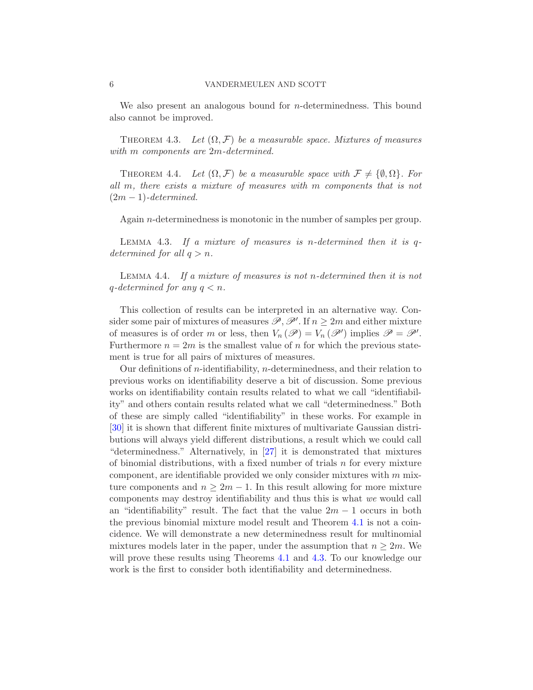We also present an analogous bound for *n*-determinedness. This bound also cannot be improved.

<span id="page-5-0"></span>THEOREM 4.3. Let  $(\Omega, \mathcal{F})$  be a measurable space. Mixtures of measures with *m* components are 2*m*-determined.

<span id="page-5-1"></span>THEOREM 4.4. Let  $(\Omega, \mathcal{F})$  be a measurable space with  $\mathcal{F} \neq {\emptyset, \Omega}$ . For all m, there exists a mixture of measures with m components that is not  $(2m-1)$ -determined.

Again n-determinedness is monotonic in the number of samples per group.

<span id="page-5-2"></span>LEMMA 4.3. If a mixture of measures is n-determined then it is  $q$ determined for all  $q > n$ .

<span id="page-5-3"></span>Lemma 4.4. If a mixture of measures is not n-determined then it is not q-determined for any  $q < n$ .

This collection of results can be interpreted in an alternative way. Consider some pair of mixtures of measures  $\mathscr{P}, \mathscr{P}'$ . If  $n \geq 2m$  and either mixture of measures is of order m or less, then  $V_n(\mathscr{P}) = V_n(\mathscr{P}')$  implies  $\mathscr{P} = \mathscr{P}'$ . Furthermore  $n = 2m$  is the smallest value of n for which the previous statement is true for all pairs of mixtures of measures.

Our definitions of *n*-identifiability, *n*-determinedness, and their relation to previous works on identifiability deserve a bit of discussion. Some previous works on identifiability contain results related to what we call "identifiability" and others contain results related what we call "determinedness." Both of these are simply called "identifiability" in these works. For example in [\[30\]](#page-52-0) it is shown that different finite mixtures of multivariate Gaussian distributions will always yield different distributions, a result which we could call "determinedness." Alternatively, in [\[27](#page-52-2)] it is demonstrated that mixtures of binomial distributions, with a fixed number of trials  $n$  for every mixture component, are identifiable provided we only consider mixtures with  $m$  mixture components and  $n \geq 2m - 1$ . In this result allowing for more mixture components may destroy identifiability and thus this is what we would call an "identifiability" result. The fact that the value  $2m - 1$  occurs in both the previous binomial mixture model result and Theorem [4.1](#page-4-2) is not a coincidence. We will demonstrate a new determinedness result for multinomial mixtures models later in the paper, under the assumption that  $n \geq 2m$ . We will prove these results using Theorems [4.1](#page-4-2) and [4.3.](#page-5-0) To our knowledge our work is the first to consider both identifiability and determinedness.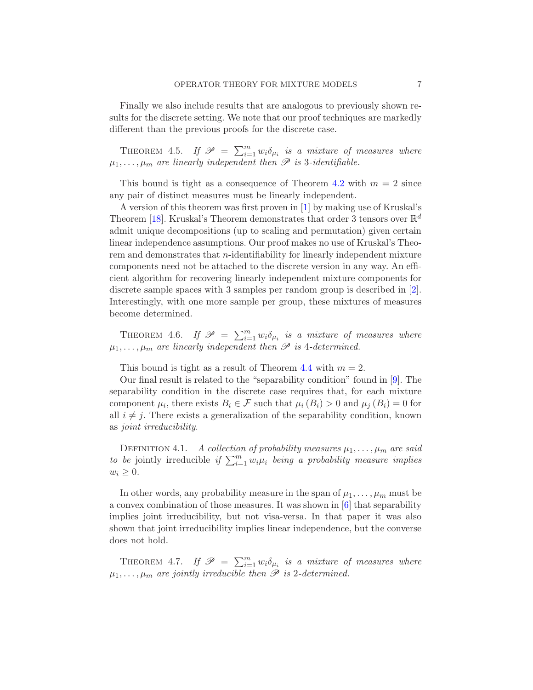Finally we also include results that are analogous to previously shown results for the discrete setting. We note that our proof techniques are markedly different than the previous proofs for the discrete case.

<span id="page-6-1"></span>THEOREM 4.5. If  $\mathscr{P} = \sum_{i=1}^{m} w_i \delta_{\mu_i}$  is a mixture of measures where  $\mu_1, \ldots, \mu_m$  are linearly independent then  $\mathscr P$  is 3-identifiable.

This bound is tight as a consequence of Theorem [4.2](#page-4-3) with  $m = 2$  since any pair of distinct measures must be linearly independent.

A version of this theorem was first proven in [\[1\]](#page-51-2) by making use of Kruskal's Theorem [\[18](#page-51-8)]. Kruskal's Theorem demonstrates that order 3 tensors over  $\mathbb{R}^d$ admit unique decompositions (up to scaling and permutation) given certain linear independence assumptions. Our proof makes no use of Kruskal's Theorem and demonstrates that *n*-identifiability for linearly independent mixture components need not be attached to the discrete version in any way. An efficient algorithm for recovering linearly independent mixture components for discrete sample spaces with 3 samples per random group is described in [\[2](#page-51-3)]. Interestingly, with one more sample per group, these mixtures of measures become determined.

<span id="page-6-2"></span>THEOREM 4.6. If  $\mathscr{P} = \sum_{i=1}^{m} w_i \delta_{\mu_i}$  is a mixture of measures where  $\mu_1, \ldots, \mu_m$  are linearly independent then  $\mathscr P$  is 4-determined.

This bound is tight as a result of Theorem [4.4](#page-5-1) with  $m = 2$ .

Our final result is related to the "separability condition" found in [\[9](#page-51-9)]. The separability condition in the discrete case requires that, for each mixture component  $\mu_i$ , there exists  $B_i \in \mathcal{F}$  such that  $\mu_i(B_i) > 0$  and  $\mu_j(B_i) = 0$  for all  $i \neq j$ . There exists a generalization of the separability condition, known as joint irreducibility.

DEFINITION 4.1. A collection of probability measures  $\mu_1, \ldots, \mu_m$  are said to be jointly irreducible if  $\sum_{i=1}^{m} w_i \mu_i$  being a probability measure implies  $w_i \geq 0$ .

In other words, any probability measure in the span of  $\mu_1, \ldots, \mu_m$  must be a convex combination of those measures. It was shown in  $[6]$  that separability implies joint irreducibility, but not visa-versa. In that paper it was also shown that joint irreducibility implies linear independence, but the converse does not hold.

<span id="page-6-0"></span>THEOREM 4.7. If  $\mathscr{P} = \sum_{i=1}^{m} w_i \delta_{\mu_i}$  is a mixture of measures where  $\mu_1, \ldots, \mu_m$  are jointly irreducible then  $\mathscr P$  is 2-determined.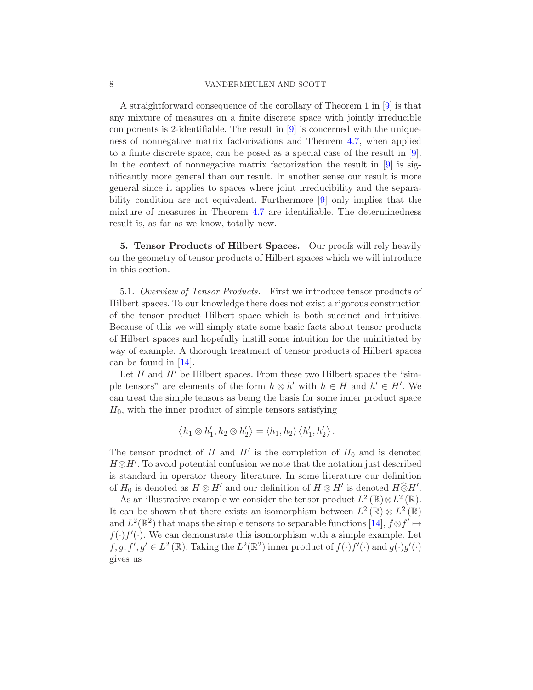### 8 VANDERMEULEN AND SCOTT

A straightforward consequence of the corollary of Theorem 1 in [\[9\]](#page-51-9) is that any mixture of measures on a finite discrete space with jointly irreducible components is 2-identifiable. The result in [\[9\]](#page-51-9) is concerned with the uniqueness of nonnegative matrix factorizations and Theorem [4.7,](#page-6-0) when applied to a finite discrete space, can be posed as a special case of the result in [\[9](#page-51-9)]. In the context of nonnegative matrix factorization the result in  $[9]$  is significantly more general than our result. In another sense our result is more general since it applies to spaces where joint irreducibility and the separability condition are not equivalent. Furthermore [\[9](#page-51-9)] only implies that the mixture of measures in Theorem [4.7](#page-6-0) are identifiable. The determinedness result is, as far as we know, totally new.

<span id="page-7-0"></span>5. Tensor Products of Hilbert Spaces. Our proofs will rely heavily on the geometry of tensor products of Hilbert spaces which we will introduce in this section.

5.1. Overview of Tensor Products. First we introduce tensor products of Hilbert spaces. To our knowledge there does not exist a rigorous construction of the tensor product Hilbert space which is both succinct and intuitive. Because of this we will simply state some basic facts about tensor products of Hilbert spaces and hopefully instill some intuition for the uninitiated by way of example. A thorough treatment of tensor products of Hilbert spaces can be found in [\[14\]](#page-51-11).

Let  $H$  and  $H'$  be Hilbert spaces. From these two Hilbert spaces the "simple tensors" are elements of the form  $h \otimes h'$  with  $h \in H$  and  $h' \in H'$ . We can treat the simple tensors as being the basis for some inner product space  $H_0$ , with the inner product of simple tensors satisfying

$$
\left\langle h_1 \otimes h_1', h_2 \otimes h_2' \right\rangle = \left\langle h_1, h_2 \right\rangle \left\langle h_1', h_2' \right\rangle.
$$

The tensor product of H and  $H'$  is the completion of  $H_0$  and is denoted  $H \otimes H'$ . To avoid potential confusion we note that the notation just described is standard in operator theory literature. In some literature our definition of  $H_0$  is denoted as  $H \otimes H'$  and our definition of  $H \otimes H'$  is denoted  $H \otimes H'$ .

As an illustrative example we consider the tensor product  $L^2(\mathbb{R})\otimes L^2(\mathbb{R})$ . It can be shown that there exists an isomorphism between  $L^2(\mathbb{R}) \otimes L^2(\mathbb{R})$ and  $L^2(\mathbb{R}^2)$  that maps the simple tensors to separable functions [\[14](#page-51-11)],  $f \otimes f' \mapsto$  $f(\cdot) f'(\cdot)$ . We can demonstrate this isomorphism with a simple example. Let  $f, g, f', g' \in L^2(\mathbb{R})$ . Taking the  $L^2(\mathbb{R}^2)$  inner product of  $f(\cdot)f'(\cdot)$  and  $g(\cdot)g'(\cdot)$ gives us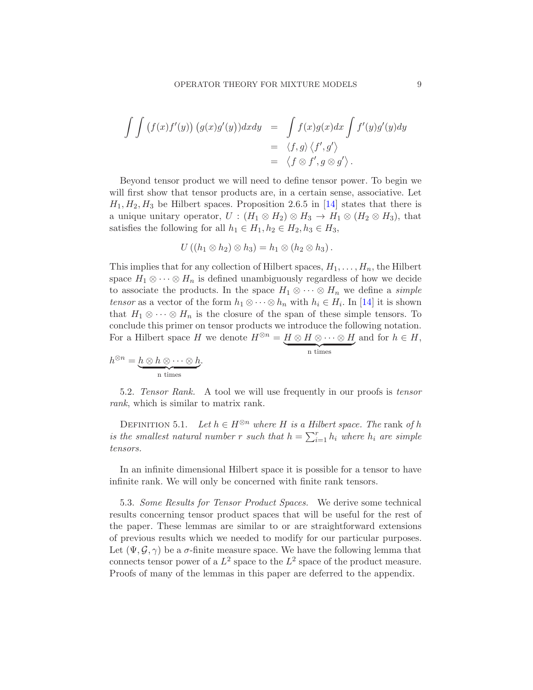$$
\int \int (f(x)f'(y)) (g(x)g'(y))dxdy = \int f(x)g(x)dx \int f'(y)g'(y)dy
$$
  
=  $\langle f, g \rangle \langle f', g' \rangle$   
=  $\langle f \otimes f', g \otimes g' \rangle$ .

Beyond tensor product we will need to define tensor power. To begin we will first show that tensor products are, in a certain sense, associative. Let  $H_1, H_2, H_3$  be Hilbert spaces. Proposition 2.6.5 in [\[14](#page-51-11)] states that there is a unique unitary operator,  $U : (H_1 \otimes H_2) \otimes H_3 \rightarrow H_1 \otimes (H_2 \otimes H_3)$ , that satisfies the following for all  $h_1 \in H_1, h_2 \in H_2, h_3 \in H_3$ ,

$$
U((h_1 \otimes h_2) \otimes h_3) = h_1 \otimes (h_2 \otimes h_3).
$$

This implies that for any collection of Hilbert spaces,  $H_1, \ldots, H_n$ , the Hilbert space  $H_1 \otimes \cdots \otimes H_n$  is defined unambiguously regardless of how we decide to associate the products. In the space  $H_1 \otimes \cdots \otimes H_n$  we define a *simple* tensor as a vector of the form  $h_1 \otimes \cdots \otimes h_n$  with  $h_i \in H_i$ . In [\[14](#page-51-11)] it is shown that  $H_1 \otimes \cdots \otimes H_n$  is the closure of the span of these simple tensors. To conclude this primer on tensor products we introduce the following notation. For a Hilbert space H we denote  $H^{\otimes n} = \underbrace{H \otimes H \otimes \cdots \otimes H}_{n \text{ times}}$  and for  $h \in H$ ,

$$
h^{\otimes n} = \underbrace{h \otimes h \otimes \cdots \otimes h}_{\text{n times}}.
$$

$$
\sum_{\text{n times}}
$$

5.2. Tensor Rank. A tool we will use frequently in our proofs is tensor rank, which is similar to matrix rank.

DEFINITION 5.1. Let  $h \in H^{\otimes n}$  where H is a Hilbert space. The rank of h is the smallest natural number r such that  $h = \sum_{i=1}^{r} h_i$  where  $h_i$  are simple tensors.

In an infinite dimensional Hilbert space it is possible for a tensor to have infinite rank. We will only be concerned with finite rank tensors.

5.3. Some Results for Tensor Product Spaces. We derive some technical results concerning tensor product spaces that will be useful for the rest of the paper. These lemmas are similar to or are straightforward extensions of previous results which we needed to modify for our particular purposes. Let  $(\Psi, \mathcal{G}, \gamma)$  be a  $\sigma$ -finite measure space. We have the following lemma that connects tensor power of a  $L^2$  space to the  $L^2$  space of the product measure. Proofs of many of the lemmas in this paper are deferred to the appendix.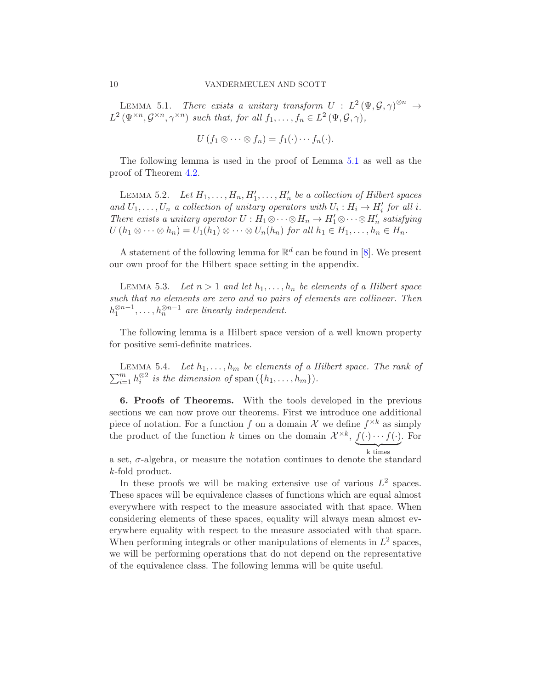<span id="page-9-1"></span>LEMMA 5.1. There exists a unitary transform  $U : L^2(\Psi, \mathcal{G}, \gamma)^{\otimes n} \to$  $L^2(\Psi^{\times n}, \mathcal{G}^{\times n}, \gamma^{\times n})$  such that, for all  $f_1, \ldots, f_n \in L^2(\Psi, \mathcal{G}, \gamma)$ ,

 $U(f_1 \otimes \cdots \otimes f_n) = f_1(\cdot) \cdots f_n(\cdot).$ 

The following lemma is used in the proof of Lemma [5.1](#page-9-1) as well as the proof of Theorem [4.2.](#page-4-3)

<span id="page-9-3"></span>LEMMA 5.2. Let  $H_1, \ldots, H_n, H'_1, \ldots, H'_n$  be a collection of Hilbert spaces and  $U_1, \ldots, U_n$  a collection of unitary operators with  $U_i : H_i \to H'_i$  for all i. There exists a unitary operator  $U: H_1 \otimes \cdots \otimes H_n \to H'_1 \otimes \cdots \otimes H'_n$  satisfying  $U(h_1 \otimes \cdots \otimes h_n) = U_1(h_1) \otimes \cdots \otimes U_n(h_n)$  for all  $h_1 \in H_1, \ldots, h_n \in H_n$ .

A statement of the following lemma for  $\mathbb{R}^d$  can be found in [\[8](#page-51-12)]. We present our own proof for the Hilbert space setting in the appendix.

<span id="page-9-2"></span>LEMMA 5.3. Let  $n > 1$  and let  $h_1, \ldots, h_n$  be elements of a Hilbert space such that no elements are zero and no pairs of elements are collinear. Then  $h_1^{\otimes n-1}, \ldots, h_n^{\otimes n-1}$  are linearly independent.

The following lemma is a Hilbert space version of a well known property for positive semi-definite matrices.

<span id="page-9-4"></span> $\sum_{i=1}^{m} h_i^{\otimes 2}$  is the dimension of span  $(\lbrace h_1, \ldots, h_m \rbrace)$ . LEMMA 5.4. Let  $h_1, \ldots, h_m$  be elements of a Hilbert space. The rank of

<span id="page-9-0"></span>6. Proofs of Theorems. With the tools developed in the previous sections we can now prove our theorems. First we introduce one additional piece of notation. For a function f on a domain X we define  $f^{\times k}$  as simply the product of the function k times on the domain  $\mathcal{X}^{\times k}$ ,  $\underline{f(\cdot)\cdots f(\cdot)}$  $\overline{z}$   $\overline{z}$   $\overline{z}$   $\overline{z}$   $\overline{z}$ . For

a set,  $\sigma$ -algebra, or measure the notation continues to denote the standard k-fold product.

In these proofs we will be making extensive use of various  $L^2$  spaces. These spaces will be equivalence classes of functions which are equal almost everywhere with respect to the measure associated with that space. When considering elements of these spaces, equality will always mean almost everywhere equality with respect to the measure associated with that space. When performing integrals or other manipulations of elements in  $L^2$  spaces, we will be performing operations that do not depend on the representative of the equivalence class. The following lemma will be quite useful.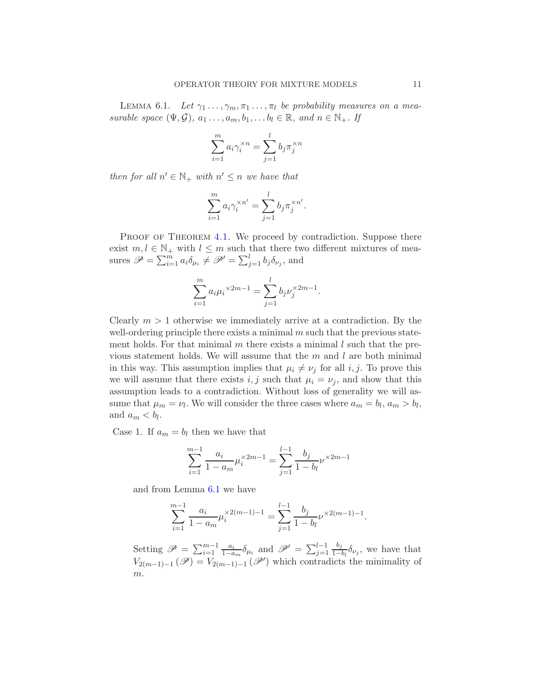<span id="page-10-0"></span>LEMMA 6.1. Let  $\gamma_1 \ldots, \gamma_m, \pi_1 \ldots, \pi_l$  be probability measures on a measurable space  $(\Psi, \mathcal{G}), a_1 \ldots, a_m, b_1, \ldots b_l \in \mathbb{R}, and n \in \mathbb{N}_+$ . If

$$
\sum_{i=1}^{m} a_i \gamma_i^{\times n} = \sum_{j=1}^{l} b_j \pi_j^{\times n}
$$

then for all  $n' \in \mathbb{N}_+$  with  $n' \leq n$  we have that

$$
\sum_{i=1}^{m} a_i \gamma_i^{\times n'} = \sum_{j=1}^{l} b_j \pi_j^{\times n'}.
$$

PROOF OF THEOREM [4.1.](#page-4-2) We proceed by contradiction. Suppose there exist  $m, l \in \mathbb{N}_+$  with  $l \leq m$  such that there two different mixtures of measures  $\mathscr{P} = \sum_{i=1}^{m} a_i \delta_{\mu_i} \neq \mathscr{P}' = \sum_{j=1}^{l} b_j \delta_{\nu_j}$ , and

$$
\sum_{i=1}^{m} a_i \mu_i^{\times 2m-1} = \sum_{j=1}^{l} b_j \nu_j^{\times 2m-1}.
$$

Clearly  $m > 1$  otherwise we immediately arrive at a contradiction. By the well-ordering principle there exists a minimal  $m$  such that the previous statement holds. For that minimal  $m$  there exists a minimal  $l$  such that the previous statement holds. We will assume that the  $m$  and  $l$  are both minimal in this way. This assumption implies that  $\mu_i \neq \nu_j$  for all i, j. To prove this we will assume that there exists i, j such that  $\mu_i = \nu_j$ , and show that this assumption leads to a contradiction. Without loss of generality we will assume that  $\mu_m = \nu_l$ . We will consider the three cases where  $a_m = b_l$ ,  $a_m > b_l$ , and  $a_m < b_l$ .

Case 1. If  $a_m = b_l$  then we have that

$$
\sum_{i=1}^{m-1} \frac{a_i}{1 - a_m} \mu_i^{\times 2m-1} = \sum_{j=1}^{l-1} \frac{b_j}{1 - b_l} \nu^{\times 2m-1}
$$

and from Lemma [6.1](#page-10-0) we have

$$
\sum_{i=1}^{m-1} \frac{a_i}{1 - a_m} \mu_i^{\times 2(m-1)-1} = \sum_{j=1}^{l-1} \frac{b_j}{1 - b_l} \nu^{\times 2(m-1)-1}.
$$

Setting  $\mathscr{P} = \sum_{i=1}^{m-1} \frac{a_i}{1-a_i}$  $\frac{a_i}{1-a_m}\delta_{\mu_i}$  and  $\mathscr{P}' = \sum_{j=1}^{l-1}$  $b_j$  $\frac{\partial_j}{1-b_l}\delta_{\nu_j}$ , we have that  $V_{2(m-1)-1}(\mathscr{P})=V_{2(m-1)-1}(\mathscr{P}')$  which contradicts the minimality of m.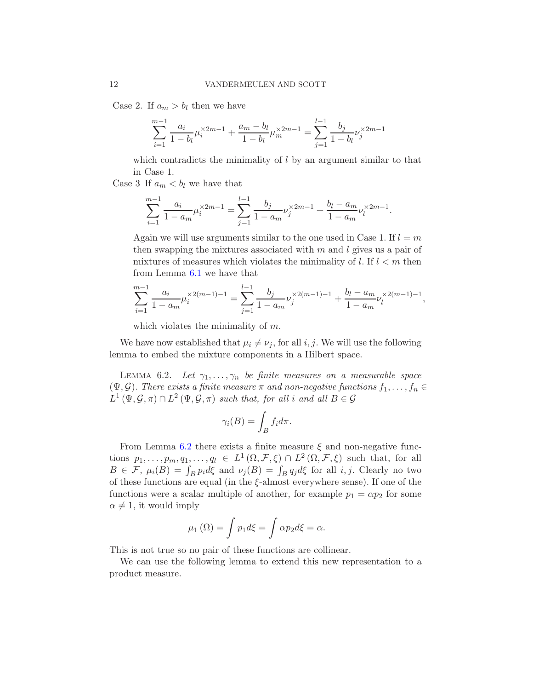Case 2. If  $a_m > b_l$  then we have

$$
\sum_{i=1}^{m-1} \frac{a_i}{1-b_i} \mu_i^{\times 2m-1} + \frac{a_m - b_l}{1-b_l} \mu_m^{\times 2m-1} = \sum_{j=1}^{l-1} \frac{b_j}{1-b_l} \nu_j^{\times 2m-1}
$$

which contradicts the minimality of  $l$  by an argument similar to that in Case 1.

Case 3 If  $a_m < b_l$  we have that

$$
\sum_{i=1}^{m-1} \frac{a_i}{1-a_m} \mu_i^{\times 2m-1} = \sum_{j=1}^{l-1} \frac{b_j}{1-a_m} \nu_j^{\times 2m-1} + \frac{b_l-a_m}{1-a_m} \nu_l^{\times 2m-1}.
$$

Again we will use arguments similar to the one used in Case 1. If  $l = m$ then swapping the mixtures associated with  $m$  and  $l$  gives us a pair of mixtures of measures which violates the minimality of l. If  $l < m$  then from Lemma [6.1](#page-10-0) we have that

$$
\sum_{i=1}^{m-1} \frac{a_i}{1-a_m} \mu_i^{\times 2(m-1)-1} = \sum_{j=1}^{l-1} \frac{b_j}{1-a_m} \nu_j^{\times 2(m-1)-1} + \frac{b_l-a_m}{1-a_m} \nu_l^{\times 2(m-1)-1},
$$

which violates the minimality of  $m$ .

We have now established that  $\mu_i \neq \nu_j$ , for all i, j. We will use the following lemma to embed the mixture components in a Hilbert space.

<span id="page-11-0"></span>LEMMA 6.2. Let  $\gamma_1, \ldots, \gamma_n$  be finite measures on a measurable space  $(\Psi, \mathcal{G})$ . There exists a finite measure  $\pi$  and non-negative functions  $f_1, \ldots, f_n \in$  $L^1(\Psi, \mathcal{G}, \pi) \cap L^2(\Psi, \mathcal{G}, \pi)$  such that, for all  $i$  and all  $B \in \mathcal{G}$ 

$$
\gamma_i(B) = \int_B f_i d\pi.
$$

From Lemma [6.2](#page-11-0) there exists a finite measure  $\xi$  and non-negative functions  $p_1, \ldots, p_m, q_1, \ldots, q_l \in L^1(\Omega, \mathcal{F}, \xi) \cap L^2(\Omega, \mathcal{F}, \xi)$  such that, for all  $B \in \mathcal{F}$ ,  $\mu_i(B) = \int_B p_i d\xi$  and  $\nu_j(B) = \int_B q_j d\xi$  for all *i*, *j*. Clearly no two of these functions are equal (in the  $\xi$ -almost everywhere sense). If one of the functions were a scalar multiple of another, for example  $p_1 = \alpha p_2$  for some  $\alpha \neq 1$ , it would imply

$$
\mu_1(\Omega) = \int p_1 d\xi = \int \alpha p_2 d\xi = \alpha.
$$

This is not true so no pair of these functions are collinear.

We can use the following lemma to extend this new representation to a product measure.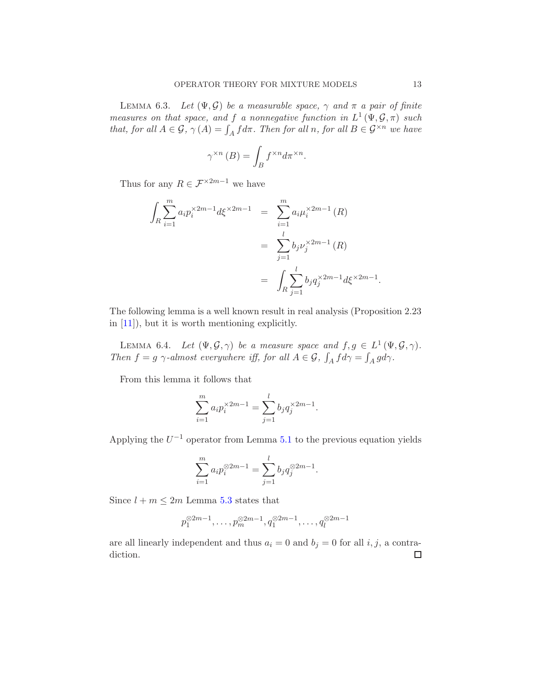<span id="page-12-0"></span>LEMMA 6.3. Let  $(\Psi, \mathcal{G})$  be a measurable space,  $\gamma$  and  $\pi$  a pair of finite measures on that space, and f a nonnegative function in  $L^1(\Psi, \mathcal{G}, \pi)$  such that, for all  $A \in \mathcal{G}$ ,  $\gamma(A) = \int_A f d\pi$ . Then for all  $n$ , for all  $B \in \mathcal{G}^{\times n}$  we have

$$
\gamma^{\times n}(B) = \int_B f^{\times n} d\pi^{\times n}.
$$

Thus for any  $R \in \mathcal{F}^{\times 2m-1}$  we have

$$
\int_{R} \sum_{i=1}^{m} a_{i} p_{i}^{\times 2m-1} d\xi^{\times 2m-1} = \sum_{i=1}^{m} a_{i} \mu_{i}^{\times 2m-1} (R)
$$

$$
= \sum_{j=1}^{l} b_{j} \nu_{j}^{\times 2m-1} (R)
$$

$$
= \int_{R} \sum_{j=1}^{l} b_{j} q_{j}^{\times 2m-1} d\xi^{\times 2m-1}
$$

The following lemma is a well known result in real analysis (Proposition 2.23 in [\[11](#page-51-13)]), but it is worth mentioning explicitly.

<span id="page-12-1"></span>LEMMA 6.4. Let  $(\Psi, \mathcal{G}, \gamma)$  be a measure space and  $f, g \in L^1(\Psi, \mathcal{G}, \gamma)$ . Then  $f = g \gamma$ -almost everywhere iff, for all  $A \in \mathcal{G}$ ,  $\int_A f d\gamma = \int_A g d\gamma$ .

From this lemma it follows that

$$
\sum_{i=1}^{m} a_i p_i^{\times 2m-1} = \sum_{j=1}^{l} b_j q_j^{\times 2m-1}.
$$

Applying the  $U^{-1}$  operator from Lemma [5.1](#page-9-1) to the previous equation yields

$$
\sum_{i=1}^{m} a_i p_i^{\otimes 2m-1} = \sum_{j=1}^{l} b_j q_j^{\otimes 2m-1}.
$$

Since  $l + m \leq 2m$  Lemma [5.3](#page-9-2) states that

$$
p_1^{\otimes 2m-1}, \ldots, p_m^{\otimes 2m-1}, q_1^{\otimes 2m-1}, \ldots, q_l^{\otimes 2m-1}
$$

are all linearly independent and thus  $a_i = 0$  and  $b_j = 0$  for all i, j, a contradiction. $\Box$ 

.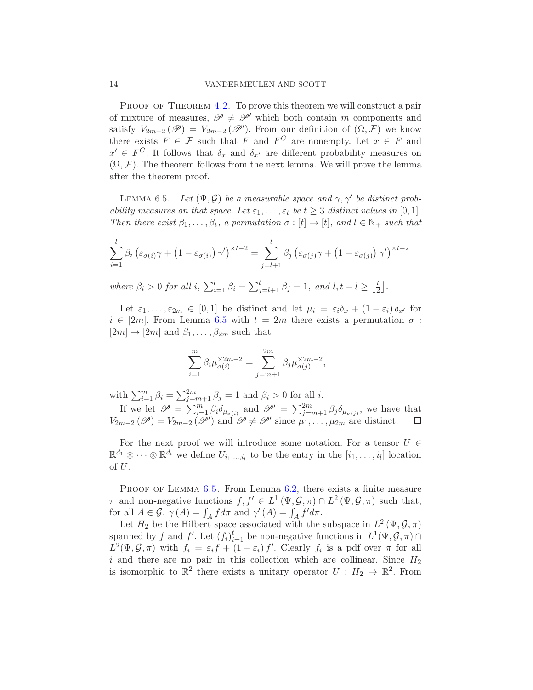PROOF OF THEOREM [4.2.](#page-4-3) To prove this theorem we will construct a pair of mixture of measures,  $\mathscr{P} \neq \mathscr{P}'$  which both contain m components and satisfy  $V_{2m-2}(\mathscr{P})=V_{2m-2}(\mathscr{P}')$ . From our definition of  $(\Omega,\mathcal{F})$  we know there exists  $F \in \mathcal{F}$  such that F and  $F^C$  are nonempty. Let  $x \in F$  and  $x' \in F^C$ . It follows that  $\delta_x$  and  $\delta_{x'}$  are different probability measures on  $(\Omega, \mathcal{F})$ . The theorem follows from the next lemma. We will prove the lemma after the theorem proof.

<span id="page-13-0"></span>LEMMA 6.5. Let  $(\Psi, \mathcal{G})$  be a measurable space and  $\gamma, \gamma'$  be distinct probability measures on that space. Let  $\varepsilon_1, \ldots, \varepsilon_t$  be  $t \geq 3$  distinct values in [0, 1]. Then there exist  $\beta_1, \ldots, \beta_t$ , a permutation  $\sigma : [t] \to [t]$ , and  $l \in \mathbb{N}_+$  such that

$$
\sum_{i=1}^{l} \beta_i \left( \varepsilon_{\sigma(i)} \gamma + \left( 1 - \varepsilon_{\sigma(i)} \right) \gamma' \right)^{\times t-2} = \sum_{j=l+1}^{t} \beta_j \left( \varepsilon_{\sigma(j)} \gamma + \left( 1 - \varepsilon_{\sigma(j)} \right) \gamma' \right)^{\times t-2}
$$

where  $\beta_i > 0$  for all i,  $\sum_{i=1}^l \beta_i = \sum_{j=l+1}^t \beta_j = 1$ , and  $l, t - l \geq \lfloor \frac{t}{2} \rfloor$  $\frac{t}{2}$ .

Let  $\varepsilon_1, \ldots, \varepsilon_{2m} \in [0,1]$  be distinct and let  $\mu_i = \varepsilon_i \delta_x + (1 - \varepsilon_i) \delta_{x'}$  for  $i \in [2m]$ . From Lemma [6.5](#page-13-0) with  $t = 2m$  there exists a permutation  $\sigma$ :  $[2m] \rightarrow [2m]$  and  $\beta_1, \ldots, \beta_{2m}$  such that

$$
\sum_{i=1}^m \beta_i \mu_{\sigma(i)}^{\times 2m-2} = \sum_{j=m+1}^{2m} \beta_j \mu_{\sigma(j)}^{\times 2m-2},
$$

with  $\sum_{i=1}^{m} \beta_i = \sum_{j=m+1}^{2m} \beta_j = 1$  and  $\beta_i > 0$  for all *i*.

If we let  $\mathscr{P} = \sum_{i=1}^m \beta_i \delta_{\mu_{\sigma(i)}}$  and  $\mathscr{P}' = \sum_{j=m+1}^{2m} \beta_j \delta_{\mu_{\sigma(j)}}$ , we have that  $V_{2m-2}(\mathscr{P})=V_{2m-2}(\mathscr{P}')$  and  $\mathscr{P} \neq \mathscr{P}'$  since  $\mu_1,\ldots,\mu_{2m}$  are distinct.

For the next proof we will introduce some notation. For a tensor  $U \in$  $\mathbb{R}^{d_1} \otimes \cdots \otimes \mathbb{R}^{d_l}$  we define  $U_{i_1,\ldots,i_l}$  to be the entry in the  $[i_1,\ldots,i_l]$  location of  $U$ .

PROOF OF LEMMA  $6.5$ . From Lemma  $6.2$ , there exists a finite measure  $\pi$  and non-negative functions  $f, f' \in L^1(\Psi, \mathcal{G}, \pi) \cap L^2(\Psi, \mathcal{G}, \pi)$  such that, for all  $A \in \mathcal{G}$ ,  $\gamma(A) = \int_A f d\pi$  and  $\gamma'(A) = \int_A f' d\pi$ .

Let  $H_2$  be the Hilbert space associated with the subspace in  $L^2(\Psi, \mathcal{G}, \pi)$ spanned by f and f'. Let  $(f_i)_{i=1}^t$  be non-negative functions in  $L^1(\Psi, \mathcal{G}, \pi) \cap$  $L^2(\Psi, \mathcal{G}, \pi)$  with  $f_i = \varepsilon_i f + (1 - \varepsilon_i) f'$ . Clearly  $f_i$  is a pdf over  $\pi$  for all i and there are no pair in this collection which are collinear. Since  $H_2$ is isomorphic to  $\mathbb{R}^2$  there exists a unitary operator  $U : H_2 \to \mathbb{R}^2$ . From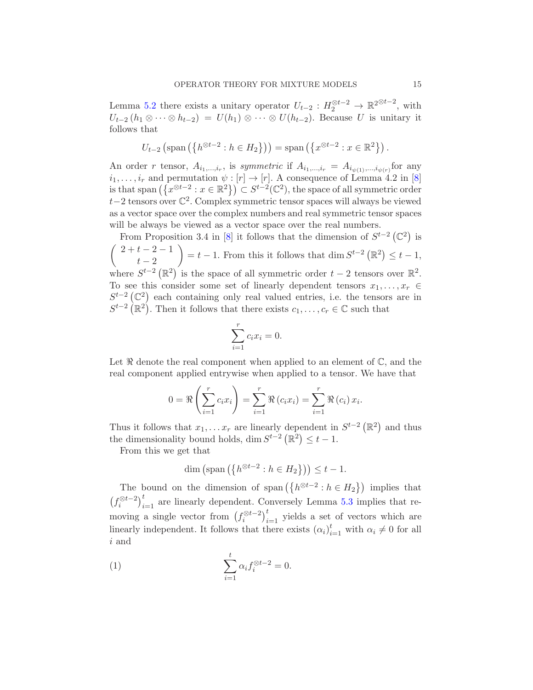Lemma [5.2](#page-9-3) there exists a unitary operator  $U_{t-2}: H_2^{\otimes t-2} \to \mathbb{R}^{2 \otimes t-2}$ , with  $U_{t-2}(h_1 \otimes \cdots \otimes h_{t-2}) = U(h_1) \otimes \cdots \otimes U(h_{t-2}).$  Because U is unitary it follows that

$$
U_{t-2}\left(\text{span}\left(\left\{h^{\otimes t-2} : h \in H_2\right\}\right)\right) = \text{span}\left(\left\{x^{\otimes t-2} : x \in \mathbb{R}^2\right\}\right).
$$

An order r tensor,  $A_{i_1,\dots,i_r}$ , is symmetric if  $A_{i_1,\dots,i_r} = A_{i_{\psi(1)},\dots,i_{\psi(r)}}$  for any  $i_1, \ldots, i_r$  and permutation  $\psi : [r] \to [r]$ . A consequence of Lemma 4.2 in [\[8](#page-51-12)] is that span  $(\lbrace x^{\otimes t-2} : x \in \mathbb{R}^2 \rbrace) \subset S^{t-2}(\mathbb{C}^2)$ , the space of all symmetric order <sup>t</sup>−2 tensors over <sup>C</sup> 2 . Complex symmetric tensor spaces will always be viewed as a vector space over the complex numbers and real symmetric tensor spaces will be always be viewed as a vector space over the real numbers.

From Proposition 3.4 in [\[8](#page-51-12)] it follows that the dimension of  $S^{t-2}(\mathbb{C}^2)$  is  $\begin{pmatrix} 2+t-2-1 \\ 1 \end{pmatrix}$  $t-2$  $\setminus$  $= t - 1$ . From this it follows that dim  $S^{t-2}(\mathbb{R}^2) \leq t - 1$ , where  $S^{t-2}(\mathbb{R}^2)$  is the space of all symmetric order  $t-2$  tensors over  $\mathbb{R}^2$ . To see this consider some set of linearly dependent tensors  $x_1, \ldots, x_r \in$  $S^{t-2}(\mathbb{C}^2)$  each containing only real valued entries, i.e. the tensors are in  $S^{t-2}$  ( $\mathbb{R}^2$ ). Then it follows that there exists  $c_1, \ldots, c_r \in \mathbb{C}$  such that

$$
\sum_{i=1}^{r} c_i x_i = 0.
$$

Let  $\Re$  denote the real component when applied to an element of  $\mathbb{C}$ , and the real component applied entrywise when applied to a tensor. We have that

$$
0 = \Re \left( \sum_{i=1}^{r} c_i x_i \right) = \sum_{i=1}^{r} \Re (c_i x_i) = \sum_{i=1}^{r} \Re (c_i) x_i.
$$

Thus it follows that  $x_1, \ldots x_r$  are linearly dependent in  $S^{t-2}(\mathbb{R}^2)$  and thus the dimensionality bound holds, dim  $S^{t-2}(\mathbb{R}^2) \leq t - 1$ .

From this we get that

<span id="page-14-0"></span>
$$
\dim\left(\text{span}\left(\left\{h^{\otimes t-2} : h \in H_2\right\}\right)\right) \leq t - 1.
$$

The bound on the dimension of span  $(\lbrace h^{\otimes t-2} : h \in H_2 \rbrace)$  implies that  $(f_i^{\otimes t-2})_{i=1}^t$  are linearly dependent. Conversely Lemma [5.3](#page-9-2) implies that removing a single vector from  $(f_i^{\otimes t-2})_{i=1}^t$  yields a set of vectors which are linearly independent. It follows that there exists  $(\alpha_i)_{i=1}^t$  with  $\alpha_i \neq 0$  for all i and

(1) 
$$
\sum_{i=1}^{t} \alpha_i f_i^{\otimes t-2} = 0.
$$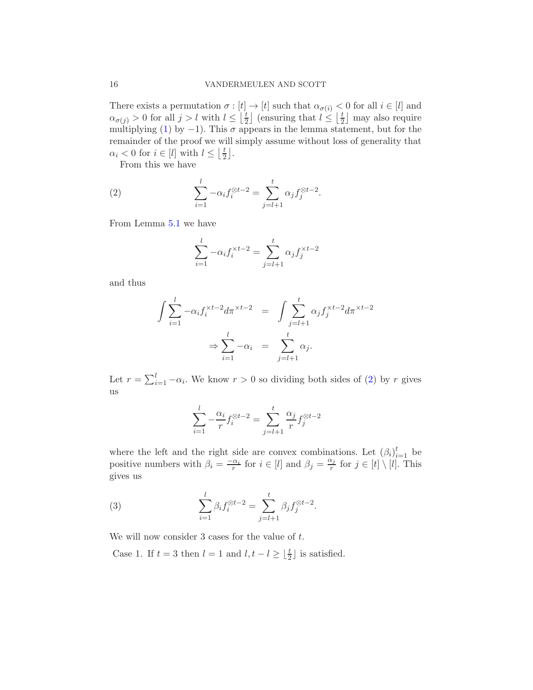There exists a permutation  $\sigma : [t] \to [t]$  such that  $\alpha_{\sigma(i)} < 0$  for all  $i \in [l]$  and  $\alpha_{\sigma(j)} > 0$  for all  $j > l$  with  $l \leq \left[\frac{t}{2}\right]$  $\left[\frac{t}{2}\right]$  (ensuring that  $l \leq \left[\frac{t}{2}\right]$  $\frac{t}{2}$  may also require multiplying [\(1\)](#page-14-0) by  $-1$ ). This  $\sigma$  appears in the lemma statement, but for the remainder of the proof we will simply assume without loss of generality that  $\alpha_i < 0$  for  $i \in [l]$  with  $l \leq \left\lfloor \frac{t}{2} \right\rfloor$  $\frac{t}{2}$ .

From this we have

(2) 
$$
\sum_{i=1}^{l} -\alpha_i f_i^{\otimes t-2} = \sum_{j=l+1}^{t} \alpha_j f_j^{\otimes t-2}.
$$

From Lemma [5.1](#page-9-1) we have

<span id="page-15-0"></span>
$$
\sum_{i=1}^{l} -\alpha_i f_i^{\times t-2} = \sum_{j=l+1}^{t} \alpha_j f_j^{\times t-2}
$$

and thus

$$
\int \sum_{i=1}^{l} -\alpha_i f_i^{\times t-2} d\pi^{\times t-2} = \int \sum_{j=l+1}^{t} \alpha_j f_j^{\times t-2} d\pi^{\times t-2}
$$

$$
\Rightarrow \sum_{i=1}^{l} -\alpha_i = \sum_{j=l+1}^{t} \alpha_j.
$$

Let  $r = \sum_{i=1}^{l} -\alpha_i$ . We know  $r > 0$  so dividing both sides of [\(2\)](#page-15-0) by r gives us

$$
\sum_{i=1}^{l} -\frac{\alpha_i}{r} f_i^{\otimes t-2} = \sum_{j=l+1}^{t} \frac{\alpha_j}{r} f_j^{\otimes t-2}
$$

where the left and the right side are convex combinations. Let  $(\beta_i)_{i=1}^t$  be positive numbers with  $\beta_i = \frac{-\alpha_i}{r}$  for  $i \in [l]$  and  $\beta_j = \frac{\alpha_j}{r}$  $\frac{x_j}{r}$  for  $j \in [t] \setminus [l]$ . This gives us

<span id="page-15-1"></span>(3) 
$$
\sum_{i=1}^{l} \beta_i f_i^{\otimes t-2} = \sum_{j=l+1}^{t} \beta_j f_j^{\otimes t-2}.
$$

We will now consider  $3$  cases for the value of  $t$ .

Case 1. If  $t = 3$  then  $l = 1$  and  $l, t - l \geq \lfloor \frac{t}{2} \rfloor$  is satisfied.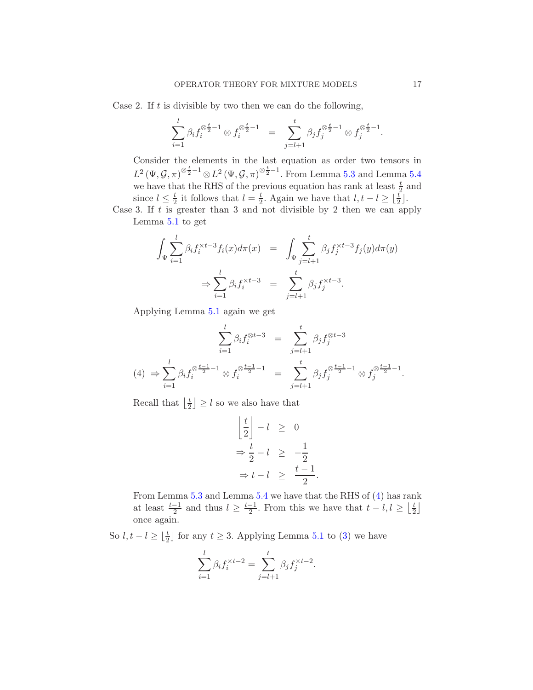Case 2. If  $t$  is divisible by two then we can do the following,

$$
\sum_{i=1}^{l} \beta_i f_i^{\otimes \frac{t}{2}-1} \otimes f_i^{\otimes \frac{t}{2}-1} = \sum_{j=l+1}^{t} \beta_j f_j^{\otimes \frac{t}{2}-1} \otimes f_j^{\otimes \frac{t}{2}-1}.
$$

Consider the elements in the last equation as order two tensors in  $L^2(\Psi, \mathcal{G}, \pi)^{\otimes \frac{t}{2}-1} \otimes L^2(\Psi, \mathcal{G}, \pi)^{\otimes \frac{t}{2}-1}$ . From Lemma [5.3](#page-9-2) and Lemma [5.4](#page-9-4) we have that the RHS of the previous equation has rank at least  $\frac{t}{2}$  and since  $l \leq \frac{t}{2}$  $\frac{t}{2}$  it follows that  $l = \frac{t}{2}$  $\frac{t}{2}$ . Again we have that  $l, t - l \geq \lfloor \frac{t}{2} \rfloor$ . Case 3. If  $t$  is greater than 3 and not divisible by 2 then we can apply

Lemma [5.1](#page-9-1) to get

$$
\int_{\Psi} \sum_{i=1}^{l} \beta_i f_i^{\times t-3} f_i(x) d\pi(x) = \int_{\Psi} \sum_{j=l+1}^{t} \beta_j f_j^{\times t-3} f_j(y) d\pi(y)
$$

$$
\Rightarrow \sum_{i=1}^{l} \beta_i f_i^{\times t-3} = \sum_{j=l+1}^{t} \beta_j f_j^{\times t-3}.
$$

Applying Lemma [5.1](#page-9-1) again we get

<span id="page-16-0"></span>
$$
\sum_{i=1}^{l} \beta_i f_i^{\otimes t-3} = \sum_{j=l+1}^{t} \beta_j f_j^{\otimes t-3}
$$
\n
$$
(4) \Rightarrow \sum_{i=1}^{l} \beta_i f_i^{\otimes \frac{t-1}{2}-1} \otimes f_i^{\otimes \frac{t-1}{2}-1} = \sum_{j=l+1}^{t} \beta_j f_j^{\otimes \frac{t-1}{2}-1} \otimes f_j^{\otimes \frac{t-1}{2}-1}.
$$

Recall that  $\frac{t}{2}$  $\lfloor \frac{t}{2} \rfloor \geq l$  so we also have that

$$
\left\lfloor \frac{t}{2} \right\rfloor - l \geq 0
$$
  
\n
$$
\Rightarrow \frac{t}{2} - l \geq -\frac{1}{2}
$$
  
\n
$$
\Rightarrow t - l \geq \frac{t - 1}{2}
$$

.

From Lemma [5.3](#page-9-2) and Lemma [5.4](#page-9-4) we have that the RHS of [\(4\)](#page-16-0) has rank at least  $\frac{t-1}{2}$  and thus  $l \geq \frac{t-1}{2}$ . From this we have that  $t - l, l \geq \lfloor \frac{t}{2} \rfloor$  $\frac{t}{2}$ once again.

So  $l, t - l \geq \lfloor \frac{t}{2} \rfloor$  for any  $t \geq 3$ . Applying Lemma [5.1](#page-9-1) to [\(3\)](#page-15-1) we have

$$
\sum_{i=1}^{l} \beta_i f_i^{\times t-2} = \sum_{j=l+1}^{t} \beta_j f_j^{\times t-2}.
$$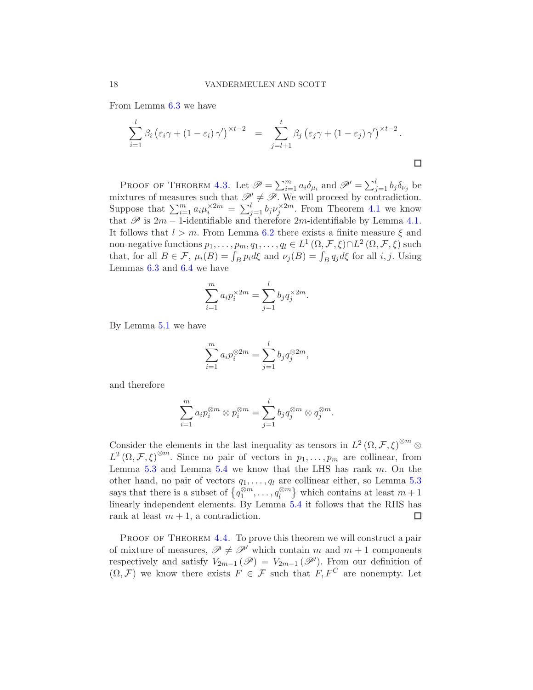From Lemma [6.3](#page-12-0) we have

$$
\sum_{i=1}^{l} \beta_i \left( \varepsilon_i \gamma + (1 - \varepsilon_i) \gamma' \right)^{\times t-2} = \sum_{j=l+1}^{t} \beta_j \left( \varepsilon_j \gamma + (1 - \varepsilon_j) \gamma' \right)^{\times t-2}.
$$

PROOF OF THEOREM [4.3.](#page-5-0) Let  $\mathscr{P} = \sum_{i=1}^{m} a_i \delta_{\mu_i}$  and  $\mathscr{P}' = \sum_{j=1}^{l} b_j \delta_{\nu_j}$  be mixtures of measures such that  $\mathcal{P}' \neq \mathcal{P}$ . We will proceed by contradiction. Suppose that  $\sum_{i=1}^m a_i \mu_i^{\times 2m} = \sum_{j=1}^l b_j \nu_j^{\times 2m}$ . From Theorem [4.1](#page-4-2) we know that  $\mathscr P$  is 2m – 1-identifiable and therefore 2m-identifiable by Lemma [4.1.](#page-4-4) It follows that  $l > m$ . From Lemma [6.2](#page-11-0) there exists a finite measure  $\xi$  and non-negative functions  $p_1, \ldots, p_m, q_1, \ldots, q_l \in L^1(\Omega, \mathcal{F}, \xi) \cap L^2(\Omega, \mathcal{F}, \xi)$  such that, for all  $B \in \mathcal{F}$ ,  $\mu_i(B) = \int_B p_i d\xi$  and  $\nu_j(B) = \int_B q_j d\xi$  for all i, j. Using Lemmas [6.3](#page-12-0) and [6.4](#page-12-1) we have

$$
\sum_{i=1}^{m} a_i p_i^{\times 2m} = \sum_{j=1}^{l} b_j q_j^{\times 2m}.
$$

By Lemma [5.1](#page-9-1) we have

$$
\sum_{i=1}^m a_i p_i^{\otimes 2m} = \sum_{j=1}^l b_j q_j^{\otimes 2m},
$$

and therefore

$$
\sum_{i=1}^m a_i p_i^{\otimes m} \otimes p_i^{\otimes m} = \sum_{j=1}^l b_j q_j^{\otimes m} \otimes q_j^{\otimes m}.
$$

Consider the elements in the last inequality as tensors in  $L^2(\Omega, \mathcal{F}, \xi)^{\otimes m}$  $L^2(\Omega, \mathcal{F}, \xi)^{\otimes m}$ . Since no pair of vectors in  $p_1, \ldots, p_m$  are collinear, from Lemma  $5.3$  and Lemma  $5.4$  we know that the LHS has rank  $m$ . On the other hand, no pair of vectors  $q_1, \ldots, q_l$  are collinear either, so Lemma [5.3](#page-9-2) says that there is a subset of  $\left\{q_1^{\otimes m}, \ldots, q_l^{\otimes m}\right\}$  which contains at least  $m+1$ linearly independent elements. By Lemma [5.4](#page-9-4) it follows that the RHS has rank at least  $m + 1$ , a contradiction.  $\Box$ 

PROOF OF THEOREM [4.4.](#page-5-1) To prove this theorem we will construct a pair of mixture of measures,  $\mathscr{P} \neq \mathscr{P}'$  which contain m and  $m + 1$  components respectively and satisfy  $V_{2m-1}(\mathscr{P})=V_{2m-1}(\mathscr{P}')$ . From our definition of  $(\Omega, \mathcal{F})$  we know there exists  $F \in \mathcal{F}$  such that  $F, F^C$  are nonempty. Let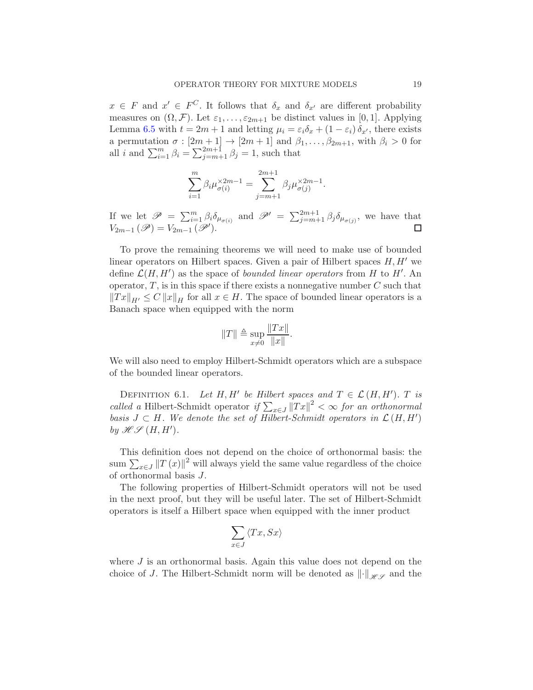$x \in F$  and  $x' \in F^C$ . It follows that  $\delta_x$  and  $\delta_{x'}$  are different probability measures on  $(\Omega, \mathcal{F})$ . Let  $\varepsilon_1, \ldots, \varepsilon_{2m+1}$  be distinct values in [0, 1]. Applying Lemma [6.5](#page-13-0) with  $t = 2m + 1$  and letting  $\mu_i = \varepsilon_i \delta_x + (1 - \varepsilon_i) \delta_{x'}$ , there exists a permutation  $\sigma : [2m+1] \to [2m+1]$  and  $\beta_1, \ldots, \beta_{2m+1}$ , with  $\beta_i > 0$  for all *i* and  $\sum_{i=1}^{m} \beta_i = \sum_{j=m+1}^{2m+1} \beta_j = 1$ , such that

$$
\sum_{i=1}^{m} \beta_i \mu_{\sigma(i)}^{\times 2m-1} = \sum_{j=m+1}^{2m+1} \beta_j \mu_{\sigma(j)}^{\times 2m-1}.
$$

If we let  $\mathscr{P} = \sum_{i=1}^m \beta_i \delta_{\mu_{\sigma(i)}}$  and  $\mathscr{P}' = \sum_{j=m+1}^{2m+1} \beta_j \delta_{\mu_{\sigma(j)}}$ , we have that  $V_{2m-1}(\mathscr{P})=V_{2m-1}(\mathscr{P}').$  $\Box$ 

To prove the remaining theorems we will need to make use of bounded linear operators on Hilbert spaces. Given a pair of Hilbert spaces  $H, H'$  we define  $\mathcal{L}(H, H')$  as the space of *bounded linear operators* from H to H'. An operator,  $T$ , is in this space if there exists a nonnegative number  $C$  such that  $||Tx||_{H'} \leq C ||x||_{H}$  for all  $x \in H$ . The space of bounded linear operators is a Banach space when equipped with the norm

$$
||T|| \triangleq \sup_{x \neq 0} \frac{||Tx||}{||x||}.
$$

We will also need to employ Hilbert-Schmidt operators which are a subspace of the bounded linear operators.

<span id="page-18-0"></span>DEFINITION 6.1. Let H, H' be Hilbert spaces and  $T \in \mathcal{L}(H, H')$ . T is called a Hilbert-Schmidt operator  $if \sum_{x \in J} ||Tx||^2 < \infty$  for an orthonormal basis  $J \subset H$ . We denote the set of Hilbert-Schmidt operators in  $\mathcal{L}(H, H')$ by  $\mathscr{H}\mathscr{S}(H,H').$ 

This definition does not depend on the choice of orthonormal basis: the  $\lim_{x \to \infty} \sum_{x \in J} ||T(x)||^2$  will always yield the same value regardless of the choice of orthonormal basis J.

The following properties of Hilbert-Schmidt operators will not be used in the next proof, but they will be useful later. The set of Hilbert-Schmidt operators is itself a Hilbert space when equipped with the inner product

$$
\sum_{x\in J}\left\langle Tx, Sx\right\rangle
$$

where  $J$  is an orthonormal basis. Again this value does not depend on the choice of J. The Hilbert-Schmidt norm will be denoted as  $\left\| \cdot \right\|_{\mathcal{HS}}$  and the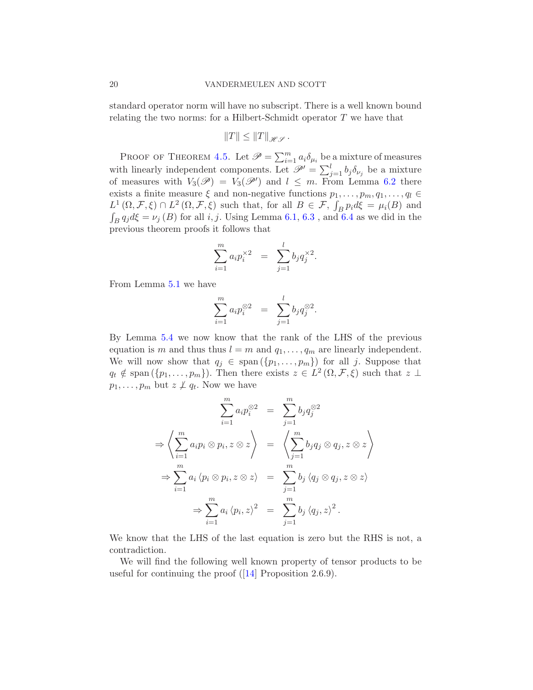standard operator norm will have no subscript. There is a well known bound relating the two norms: for a Hilbert-Schmidt operator  $T$  we have that

$$
||T|| \leq ||T||_{\mathscr{HS}}.
$$

PROOF OF THEOREM [4.5.](#page-6-1) Let  $\mathscr{P} = \sum_{i=1}^{m} a_i \delta_{\mu_i}$  be a mixture of measures with linearly independent components. Let  $\mathscr{P}' = \sum_{j=1}^{l} b_j \delta_{\nu_j}$  be a mixture of measures with  $V_3(\mathscr{P}) = V_3(\mathscr{P}')$  and  $l \leq m$ . From Lemma [6.2](#page-11-0) there exists a finite measure  $\xi$  and non-negative functions  $p_1, \ldots, p_m, q_1, \ldots, q_l \in$  $L^1(\Omega, \mathcal{F}, \xi) \cap L^2(\Omega, \mathcal{F}, \xi)$  such that, for all  $B \in \mathcal{F}$ ,  $\int_B p_i d\xi = \mu_i(B)$  and  $\int_B q_j d\xi = \nu_j (B)$  for all i, j. Using Lemma [6.1,](#page-10-0) [6.3](#page-12-0), and [6.4](#page-12-1) as we did in the previous theorem proofs it follows that

$$
\sum_{i=1}^{m} a_i p_i^{\times 2} = \sum_{j=1}^{l} b_j q_j^{\times 2}.
$$

From Lemma [5.1](#page-9-1) we have

$$
\sum_{i=1}^{m} a_i p_i^{\otimes 2} = \sum_{j=1}^{l} b_j q_j^{\otimes 2}.
$$

By Lemma [5.4](#page-9-4) we now know that the rank of the LHS of the previous equation is m and thus thus  $l = m$  and  $q_1, \ldots, q_m$  are linearly independent. We will now show that  $q_j \in \text{span}(\{p_1, \ldots, p_m\})$  for all j. Suppose that  $q_t \notin \text{span}(\{p_1,\ldots,p_m\})$ . Then there exists  $z \in L^2(\Omega,\mathcal{F},\xi)$  such that  $z \perp$  $p_1, \ldots, p_m$  but  $z \not\perp q_t$ . Now we have

$$
\sum_{i=1}^{m} a_i p_i^{\otimes 2} = \sum_{j=1}^{m} b_j q_j^{\otimes 2}
$$
  
\n
$$
\Rightarrow \left\langle \sum_{i=1}^{m} a_i p_i \otimes p_i, z \otimes z \right\rangle = \left\langle \sum_{j=1}^{m} b_j q_j \otimes q_j, z \otimes z \right\rangle
$$
  
\n
$$
\Rightarrow \sum_{i=1}^{m} a_i \left\langle p_i \otimes p_i, z \otimes z \right\rangle = \sum_{j=1}^{m} b_j \left\langle q_j \otimes q_j, z \otimes z \right\rangle
$$
  
\n
$$
\Rightarrow \sum_{i=1}^{m} a_i \left\langle p_i, z \right\rangle^2 = \sum_{j=1}^{m} b_j \left\langle q_j, z \right\rangle^2.
$$

We know that the LHS of the last equation is zero but the RHS is not, a contradiction.

We will find the following well known property of tensor products to be useful for continuing the proof  $(14)$  Proposition 2.6.9).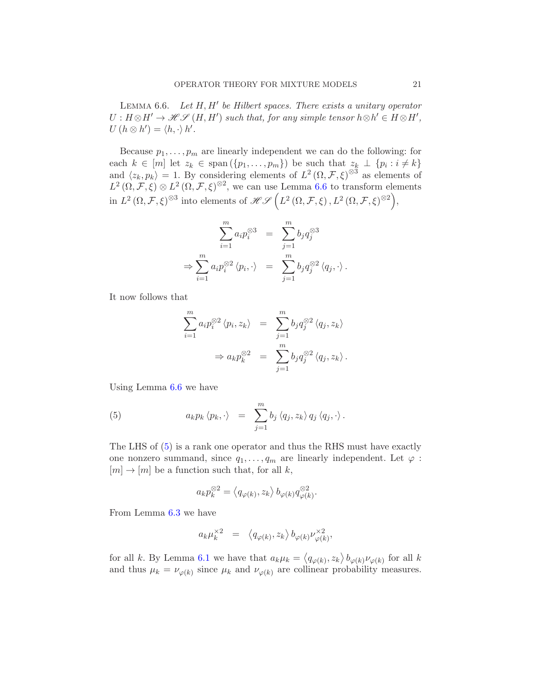<span id="page-20-0"></span>LEMMA  $6.6$ . Let  $H, H'$  be Hilbert spaces. There exists a unitary operator  $U: H \otimes H' \to \mathscr{H} \mathscr{S} (H, H')$  such that, for any simple tensor  $h \otimes h' \in H \otimes H'$ ,  $U(h\otimes h')=\langle h,\cdot\rangle h'.$ 

Because  $p_1, \ldots, p_m$  are linearly independent we can do the following: for each  $k \in [m]$  let  $z_k \in \text{span}(\{p_1, \ldots, p_m\})$  be such that  $z_k \perp \{p_i : i \neq k\}$ and  $\langle z_k, p_k \rangle = 1$ . By considering elements of  $L^2(\Omega, \mathcal{F}, \xi)^{\otimes 3}$  as elements of  $L^2(\Omega, \mathcal{F}, \xi) \otimes L^2(\Omega, \mathcal{F}, \xi)^{\otimes 2}$ , we can use Lemma [6.6](#page-20-0) to transform elements in  $L^2(\Omega, \mathcal{F}, \xi)^{\otimes 3}$  into elements of  $\mathscr{H}\mathscr{S}\left(L^2(\Omega, \mathcal{F}, \xi), L^2(\Omega, \mathcal{F}, \xi)^{\otimes 2}\right)$ ,

$$
\sum_{i=1}^{m} a_i p_i^{\otimes 3} = \sum_{j=1}^{m} b_j q_j^{\otimes 3}
$$
  
\n
$$
\Rightarrow \sum_{i=1}^{m} a_i p_i^{\otimes 2} \langle p_i, \cdot \rangle = \sum_{j=1}^{m} b_j q_j^{\otimes 2} \langle q_j, \cdot \rangle.
$$

It now follows that

$$
\sum_{i=1}^{m} a_i p_i^{\otimes 2} \langle p_i, z_k \rangle = \sum_{j=1}^{m} b_j q_j^{\otimes 2} \langle q_j, z_k \rangle
$$
  

$$
\Rightarrow a_k p_k^{\otimes 2} = \sum_{j=1}^{m} b_j q_j^{\otimes 2} \langle q_j, z_k \rangle.
$$

Using Lemma [6.6](#page-20-0) we have

<span id="page-20-1"></span>(5) 
$$
a_k p_k \langle p_k, \cdot \rangle = \sum_{j=1}^m b_j \langle q_j, z_k \rangle q_j \langle q_j, \cdot \rangle.
$$

The LHS of [\(5\)](#page-20-1) is a rank one operator and thus the RHS must have exactly one nonzero summand, since  $q_1, \ldots, q_m$  are linearly independent. Let  $\varphi$ :  $[m] \rightarrow [m]$  be a function such that, for all k,

$$
a_k p_k^{\otimes 2} = \langle q_{\varphi(k)}, z_k \rangle b_{\varphi(k)} q_{\varphi(k)}^{\otimes 2}.
$$

From Lemma [6.3](#page-12-0) we have

$$
a_k \mu_k^{\times 2} = \langle q_{\varphi(k)}, z_k \rangle b_{\varphi(k)} \nu_{\varphi(k)}^{\times 2},
$$

for all k. By Lemma [6.1](#page-10-0) we have that  $a_k \mu_k = \langle q_{\varphi(k)}, z_k \rangle b_{\varphi(k)} \nu_{\varphi(k)}$  for all k and thus  $\mu_k = \nu_{\varphi(k)}$  since  $\mu_k$  and  $\nu_{\varphi(k)}$  are collinear probability measures.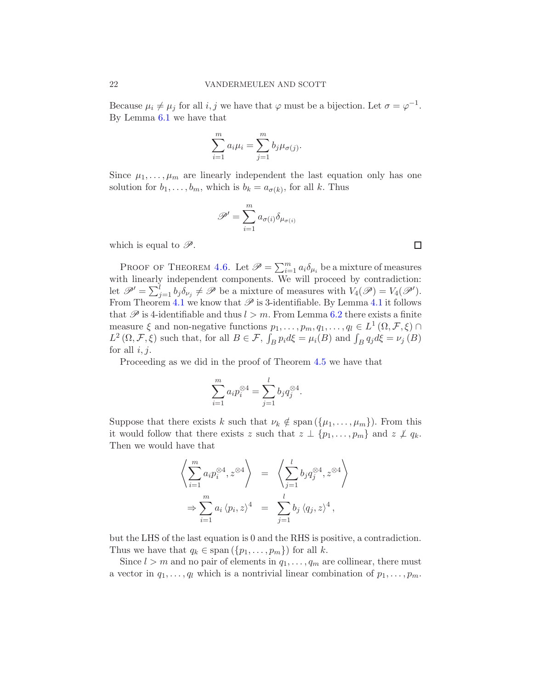Because  $\mu_i \neq \mu_j$  for all  $i, j$  we have that  $\varphi$  must be a bijection. Let  $\sigma = \varphi^{-1}$ . By Lemma [6.1](#page-10-0) we have that

$$
\sum_{i=1}^{m} a_i \mu_i = \sum_{j=1}^{m} b_j \mu_{\sigma(j)}.
$$

Since  $\mu_1, \ldots, \mu_m$  are linearly independent the last equation only has one solution for  $b_1, \ldots, b_m$ , which is  $b_k = a_{\sigma(k)}$ , for all k. Thus

$$
\mathscr{P}' = \sum_{i=1}^m a_{\sigma(i)} \delta_{\mu_{\sigma(i)}}
$$

which is equal to  $\mathscr{P}$ .

PROOF OF THEOREM [4.6.](#page-6-2) Let  $\mathscr{P} = \sum_{i=1}^{m} a_i \delta_{\mu_i}$  be a mixture of measures with linearly independent components. We will proceed by contradiction: let  $\mathscr{P}' = \sum_{j=1}^{l} b_j \delta_{\nu_j} \neq \mathscr{P}$  be a mixture of measures with  $V_4(\mathscr{P}) = V_4(\mathscr{P}')$ . From Theorem [4.1](#page-4-4) we know that  $\mathscr P$  is 3-identifiable. By Lemma 4.1 it follows that  $\mathscr P$  is 4-identifiable and thus  $l > m$ . From Lemma [6.2](#page-11-0) there exists a finite measure  $\xi$  and non-negative functions  $p_1, \ldots, p_m, q_1, \ldots, q_l \in L^1(\Omega, \mathcal{F}, \xi) \cap$  $L^2(\Omega, \mathcal{F}, \xi)$  such that, for all  $B \in \mathcal{F}$ ,  $\int_B p_i d\xi = \mu_i(B)$  and  $\int_B q_j d\xi = \nu_j(B)$ for all  $i, j$ .

Proceeding as we did in the proof of Theorem [4.5](#page-6-1) we have that

$$
\sum_{i=1}^{m} a_i p_i^{\otimes 4} = \sum_{j=1}^{l} b_j q_j^{\otimes 4}.
$$

Suppose that there exists k such that  $\nu_k \notin \text{span}(\{\mu_1, \ldots, \mu_m\})$ . From this it would follow that there exists z such that  $z \perp \{p_1, \ldots, p_m\}$  and  $z \not\perp q_k$ . Then we would have that

$$
\left\langle \sum_{i=1}^{m} a_i p_i^{\otimes 4}, z^{\otimes 4} \right\rangle = \left\langle \sum_{j=1}^{l} b_j q_j^{\otimes 4}, z^{\otimes 4} \right\rangle
$$
  

$$
\Rightarrow \sum_{i=1}^{m} a_i \left\langle p_i, z \right\rangle^4 = \sum_{j=1}^{l} b_j \left\langle q_j, z \right\rangle^4,
$$

but the LHS of the last equation is 0 and the RHS is positive, a contradiction. Thus we have that  $q_k \in \text{span}(\{p_1, \ldots, p_m\})$  for all k.

Since  $l > m$  and no pair of elements in  $q_1, \ldots, q_m$  are collinear, there must a vector in  $q_1, \ldots, q_l$  which is a nontrivial linear combination of  $p_1, \ldots, p_m$ .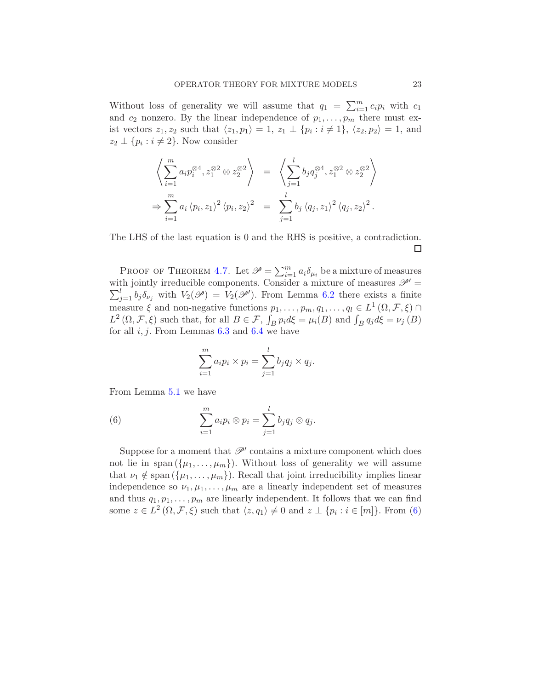Without loss of generality we will assume that  $q_1 = \sum_{i=1}^m c_i p_i$  with  $c_1$ and  $c_2$  nonzero. By the linear independence of  $p_1, \ldots, p_m$  there must exist vectors  $z_1, z_2$  such that  $\langle z_1, p_1 \rangle = 1$ ,  $z_1 \perp \{p_i : i \neq 1\}$ ,  $\langle z_2, p_2 \rangle = 1$ , and  $z_2 \perp \{p_i : i \neq 2\}$ . Now consider

$$
\left\langle \sum_{i=1}^{m} a_i p_i^{\otimes 4}, z_1^{\otimes 2} \otimes z_2^{\otimes 2} \right\rangle = \left\langle \sum_{j=1}^{l} b_j q_j^{\otimes 4}, z_1^{\otimes 2} \otimes z_2^{\otimes 2} \right\rangle
$$
  
\n
$$
\Rightarrow \sum_{i=1}^{m} a_i \langle p_i, z_1 \rangle^2 \langle p_i, z_2 \rangle^2 = \sum_{j=1}^{l} b_j \langle q_j, z_1 \rangle^2 \langle q_j, z_2 \rangle^2.
$$

The LHS of the last equation is 0 and the RHS is positive, a contradiction. □

PROOF OF THEOREM [4.7.](#page-6-0) Let  $\mathscr{P} = \sum_{i=1}^{m} a_i \delta_{\mu_i}$  be a mixture of measures  $\sum_{j=1}^{l} b_j \delta_{\nu_j}$  with  $V_2(\mathscr{P}) = V_2(\mathscr{P}')$ . From Lemma [6.2](#page-11-0) there exists a finite with jointly irreducible components. Consider a mixture of measures  $\mathscr{P}'$  = measure  $\xi$  and non-negative functions  $p_1, \ldots, p_m, q_1, \ldots, q_l \in L^1(\Omega, \mathcal{F}, \xi) \cap$  $L^2(\Omega, \mathcal{F}, \xi)$  such that, for all  $B \in \mathcal{F}$ ,  $\int_B p_i d\xi = \mu_i(B)$  and  $\int_B q_j d\xi = \nu_j(B)$ for all  $i, j$ . From Lemmas [6.3](#page-12-0) and [6.4](#page-12-1) we have

<span id="page-22-0"></span>
$$
\sum_{i=1}^{m} a_i p_i \times p_i = \sum_{j=1}^{l} b_j q_j \times q_j.
$$

From Lemma [5.1](#page-9-1) we have

(6) 
$$
\sum_{i=1}^m a_i p_i \otimes p_i = \sum_{j=1}^l b_j q_j \otimes q_j.
$$

Suppose for a moment that  $\mathscr{P}'$  contains a mixture component which does not lie in span  $({\mu_1, \ldots, \mu_m})$ . Without loss of generality we will assume that  $\nu_1 \notin \text{span}(\{\mu_1, \ldots, \mu_m\})$ . Recall that joint irreducibility implies linear independence so  $\nu_1, \mu_1, \ldots, \mu_m$  are a linearly independent set of measures and thus  $q_1, p_1, \ldots, p_m$  are linearly independent. It follows that we can find some  $z \in L^2(\Omega, \mathcal{F}, \xi)$  such that  $\langle z, q_1 \rangle \neq 0$  and  $z \perp \{p_i : i \in [m]\}\$ . From [\(6\)](#page-22-0)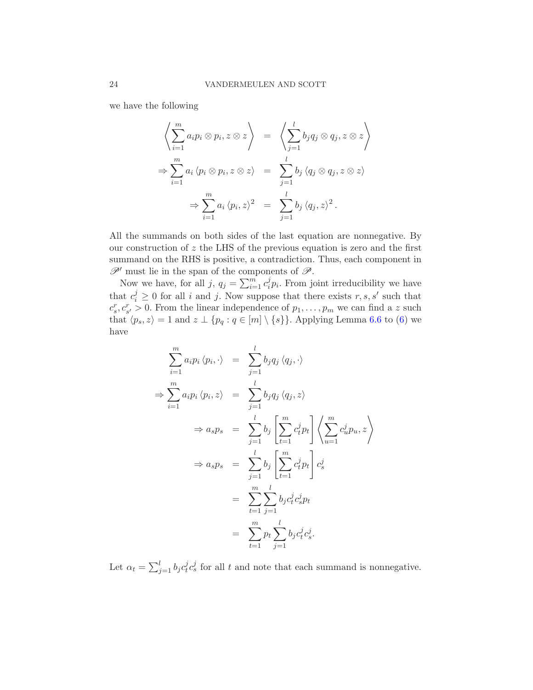we have the following

$$
\left\langle \sum_{i=1}^{m} a_i p_i \otimes p_i, z \otimes z \right\rangle = \left\langle \sum_{j=1}^{l} b_j q_j \otimes q_j, z \otimes z \right\rangle
$$
  
\n
$$
\Rightarrow \sum_{i=1}^{m} a_i \langle p_i \otimes p_i, z \otimes z \rangle = \sum_{j=1}^{l} b_j \langle q_j \otimes q_j, z \otimes z \rangle
$$
  
\n
$$
\Rightarrow \sum_{i=1}^{m} a_i \langle p_i, z \rangle^2 = \sum_{j=1}^{l} b_j \langle q_j, z \rangle^2.
$$

All the summands on both sides of the last equation are nonnegative. By our construction of  $z$  the LHS of the previous equation is zero and the first summand on the RHS is positive, a contradiction. Thus, each component in  $\mathscr{P}'$  must lie in the span of the components of  $\mathscr{P}$ .

Now we have, for all  $j, q_j = \sum_{i=1}^m c_i^j$  $i<sub>i</sub> p<sub>i</sub>$ . From joint irreducibility we have that  $c_i^j \geq 0$  for all i and j. Now suppose that there exists  $r, s, s'$  such that  $c_s^r, c_{s'}^r > 0$ . From the linear independence of  $p_1, \ldots, p_m$  we can find a z such that  $\langle p_s, z \rangle = 1$  and  $z \perp \{p_q : q \in [m] \setminus \{s\}\}\.$  Applying Lemma [6.6](#page-20-0) to [\(6\)](#page-22-0) we have

$$
\sum_{i=1}^{m} a_i p_i \langle p_i, \cdot \rangle = \sum_{j=1}^{l} b_j q_j \langle q_j, \cdot \rangle
$$
  
\n
$$
\Rightarrow \sum_{i=1}^{m} a_i p_i \langle p_i, z \rangle = \sum_{j=1}^{l} b_j q_j \langle q_j, z \rangle
$$
  
\n
$$
\Rightarrow a_s p_s = \sum_{j=1}^{l} b_j \left[ \sum_{t=1}^{m} c_t^j p_t \right] \left\langle \sum_{u=1}^{m} c_u^j p_u, z \right\rangle
$$
  
\n
$$
\Rightarrow a_s p_s = \sum_{j=1}^{l} b_j \left[ \sum_{t=1}^{m} c_t^j p_t \right] c_s^j
$$
  
\n
$$
= \sum_{t=1}^{m} \sum_{j=1}^{l} b_j c_t^j c_s^j p_t
$$
  
\n
$$
= \sum_{t=1}^{m} p_t \sum_{j=1}^{l} b_j c_t^j c_s^j.
$$

Let  $\alpha_t = \sum_{j=1}^l b_j c_t^j$  $\dot{t}$ ,  $c_s^j$  for all t and note that each summand is nonnegative.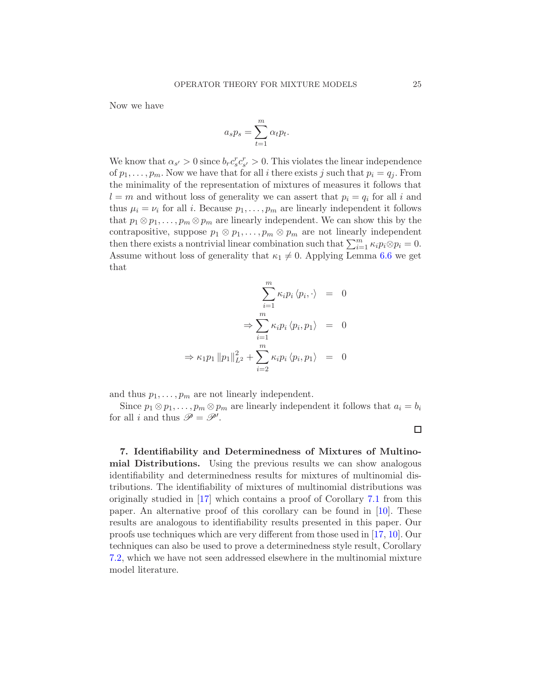Now we have

$$
a_s p_s = \sum_{t=1}^m \alpha_t p_t.
$$

We know that  $\alpha_{s'} > 0$  since  $b_r c_s^r c_{s'}^r > 0$ . This violates the linear independence of  $p_1, \ldots, p_m$ . Now we have that for all i there exists j such that  $p_i = q_i$ . From the minimality of the representation of mixtures of measures it follows that  $l = m$  and without loss of generality we can assert that  $p_i = q_i$  for all i and thus  $\mu_i = \nu_i$  for all *i*. Because  $p_1, \ldots, p_m$  are linearly independent it follows that  $p_1 \otimes p_1, \ldots, p_m \otimes p_m$  are linearly independent. We can show this by the contrapositive, suppose  $p_1 \otimes p_1, \ldots, p_m \otimes p_m$  are not linearly independent then there exists a nontrivial linear combination such that  $\sum_{i=1}^{m} \kappa_i p_i \otimes p_i = 0$ . Assume without loss of generality that  $\kappa_1 \neq 0$ . Applying Lemma [6.6](#page-20-0) we get that

$$
\sum_{i=1}^{m} \kappa_i p_i \langle p_i, \cdot \rangle = 0
$$

$$
\Rightarrow \sum_{i=1}^{m} \kappa_i p_i \langle p_i, p_1 \rangle = 0
$$

$$
\Rightarrow \kappa_1 p_1 \|p_1\|_{L^2}^2 + \sum_{i=2}^{m} \kappa_i p_i \langle p_i, p_1 \rangle = 0
$$

and thus  $p_1, \ldots, p_m$  are not linearly independent.

Since  $p_1 \otimes p_1, \ldots, p_m \otimes p_m$  are linearly independent it follows that  $a_i = b_i$ for all *i* and thus  $\mathscr{P} = \mathscr{P}'$ .

<span id="page-24-0"></span>7. Identifiability and Determinedness of Mixtures of Multinomial Distributions. Using the previous results we can show analogous identifiability and determinedness results for mixtures of multinomial distributions. The identifiability of mixtures of multinomial distributions was originally studied in [\[17](#page-51-5)] which contains a proof of Corollary [7.1](#page-27-0) from this paper. An alternative proof of this corollary can be found in [\[10](#page-51-6)]. These results are analogous to identifiability results presented in this paper. Our proofs use techniques which are very different from those used in [\[17,](#page-51-5) [10](#page-51-6)]. Our techniques can also be used to prove a determinedness style result, Corollary [7.2,](#page-28-0) which we have not seen addressed elsewhere in the multinomial mixture model literature.

 $\Box$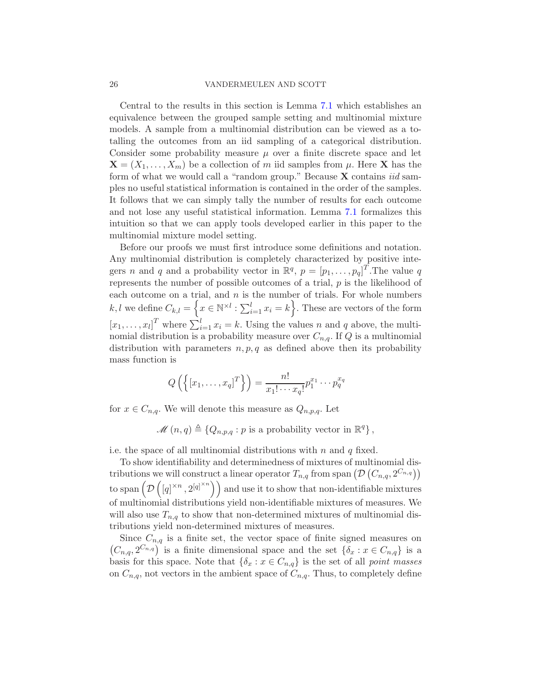#### 26 VANDERMEULEN AND SCOTT

Central to the results in this section is Lemma [7.1](#page-26-0) which establishes an equivalence between the grouped sample setting and multinomial mixture models. A sample from a multinomial distribution can be viewed as a totalling the outcomes from an iid sampling of a categorical distribution. Consider some probability measure  $\mu$  over a finite discrete space and let  $\mathbf{X} = (X_1, \ldots, X_m)$  be a collection of m iid samples from  $\mu$ . Here **X** has the form of what we would call a "random group." Because  $X$  contains *iid* samples no useful statistical information is contained in the order of the samples. It follows that we can simply tally the number of results for each outcome and not lose any useful statistical information. Lemma [7.1](#page-26-0) formalizes this intuition so that we can apply tools developed earlier in this paper to the multinomial mixture model setting.

Before our proofs we must first introduce some definitions and notation. Any multinomial distribution is completely characterized by positive integers *n* and *q* and a probability vector in  $\mathbb{R}^q$ ,  $p = [p_1, \ldots, p_q]^T$ . The value *q* represents the number of possible outcomes of a trial,  $p$  is the likelihood of each outcome on a trial, and  $n$  is the number of trials. For whole numbers k, l we define  $C_{k,l} = \left\{ x \in \mathbb{N}^{\times l} : \sum_{i=1}^{l} x_i = k \right\}$ . These are vectors of the form  $[x_1, \ldots, x_l]^T$  where  $\sum_{i=1}^l x_i = k$ . Using the values n and q above, the multinomial distribution is a probability measure over  $C_{n,q}$ . If Q is a multinomial distribution with parameters  $n, p, q$  as defined above then its probability mass function is

$$
Q\left(\left\{ \left[x_1,\ldots,x_q\right]^T\right\} \right) = \frac{n!}{x_1!\cdots x_q!}p_1^{x_1}\cdots p_q^{x_q}
$$

for  $x \in C_{n,q}$ . We will denote this measure as  $Q_{n,p,q}$ . Let

$$
\mathscr{M}(n,q) \triangleq \{Q_{n,p,q} : p \text{ is a probability vector in } \mathbb{R}^q\},\
$$

i.e. the space of all multinomial distributions with  $n$  and  $q$  fixed.

To show identifiability and determinedness of mixtures of multinomial distributions we will construct a linear operator  $T_{n,q}$  from span  $(\mathcal{D} (C_{n,q}, 2^{C_{n,q}}))$ to span  $\left(\mathcal{D}\right)$  $([q]^{\times n}, 2^{[q]^{\times n}})$  and use it to show that non-identifiable mixtures of multinomial distributions yield non-identifiable mixtures of measures. We will also use  $T_{n,q}$  to show that non-determined mixtures of multinomial distributions yield non-determined mixtures of measures.

Since  $C_{n,q}$  is a finite set, the vector space of finite signed measures on  $(C_{n,q}, 2^{C_{n,q}})$  is a finite dimensional space and the set  $\{\delta_x : x \in C_{n,q}\}\$ is a basis for this space. Note that  $\{\delta_x : x \in C_{n,q}\}\$ is the set of all *point masses* on  $C_{n,q}$ , not vectors in the ambient space of  $C_{n,q}$ . Thus, to completely define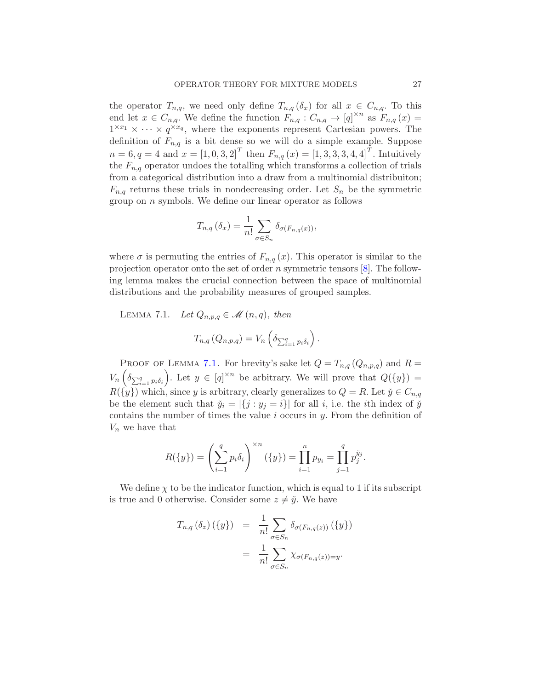the operator  $T_{n,q}$ , we need only define  $T_{n,q}(\delta_x)$  for all  $x \in C_{n,q}$ . To this end let  $x \in C_{n,q}$ . We define the function  $F_{n,q}: C_{n,q} \to [q]^{\times n}$  as  $F_{n,q}(x) =$  $1^{\times x_1} \times \cdots \times q^{\times x_q}$ , where the exponents represent Cartesian powers. The definition of  $F_{n,q}$  is a bit dense so we will do a simple example. Suppose  $n = 6, q = 4$  and  $x = [1, 0, 3, 2]^T$  then  $F_{n,q}(x) = [1, 3, 3, 3, 4, 4]^T$ . Intuitively the  $F_{n,q}$  operator undoes the totalling which transforms a collection of trials from a categorical distribution into a draw from a multinomial distribuiton;  $F_{n,q}$  returns these trials in nondecreasing order. Let  $S_n$  be the symmetric group on  $n$  symbols. We define our linear operator as follows

$$
T_{n,q}(\delta_x) = \frac{1}{n!} \sum_{\sigma \in S_n} \delta_{\sigma(F_{n,q}(x))},
$$

where  $\sigma$  is permuting the entries of  $F_{n,q}(x)$ . This operator is similar to the projection operator onto the set of order n symmetric tensors  $[8]$ . The following lemma makes the crucial connection between the space of multinomial distributions and the probability measures of grouped samples.

<span id="page-26-0"></span>LEMMA 7.1. Let  $Q_{n,p,q} \in \mathcal{M}(n,q)$ , then

$$
T_{n,q}(Q_{n,p,q})=V_n\left(\delta_{\sum_{i=1}^q p_i\delta_i}\right).
$$

PROOF OF LEMMA [7.1.](#page-26-0) For brevity's sake let  $Q = T_{n,q}(Q_{n,p,q})$  and  $R =$  $V_n\left(\delta_{\sum_{i=1}^q p_i\delta_i}\right)$ ). Let  $y \in [q]^{\times n}$  be arbitrary. We will prove that  $Q({y})$  =  $R(\{y\})$  which, since y is arbitrary, clearly generalizes to  $Q = R$ . Let  $\check{y} \in C_{n,q}$ be the element such that  $\check{y}_i = |\{j : y_j = i\}|$  for all i, i.e. the ith index of  $\check{y}$ contains the number of times the value  $i$  occurs in  $y$ . From the definition of  $V_n$  we have that

$$
R({y}) = \left(\sum_{i=1}^{q} p_i \delta_i\right)^{\times n} ({y}) = \prod_{i=1}^{n} p_{y_i} = \prod_{j=1}^{q} p_j^{\check{y}_j}.
$$

We define  $\chi$  to be the indicator function, which is equal to 1 if its subscript is true and 0 otherwise. Consider some  $z \neq \check{y}$ . We have

$$
T_{n,q}(\delta_z) (\lbrace y \rbrace) = \frac{1}{n!} \sum_{\sigma \in S_n} \delta_{\sigma(F_{n,q}(z))} (\lbrace y \rbrace)
$$
  
= 
$$
\frac{1}{n!} \sum_{\sigma \in S_n} \chi_{\sigma(F_{n,q}(z)) = y}.
$$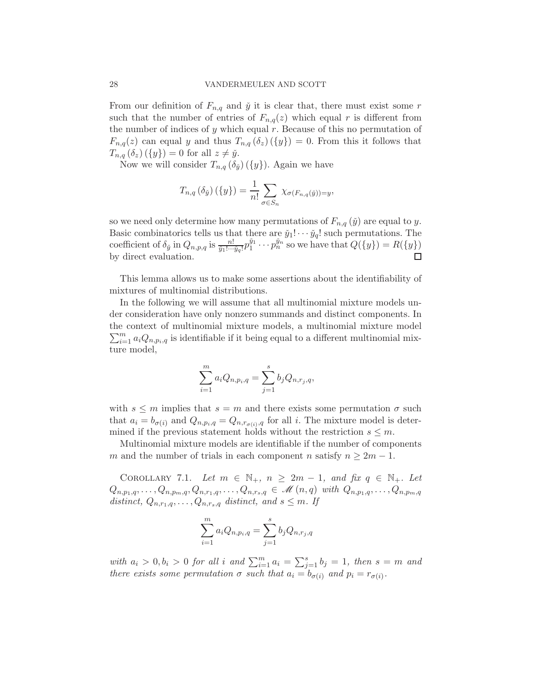From our definition of  $F_{n,q}$  and  $\check{y}$  it is clear that, there must exist some r such that the number of entries of  $F_{n,q}(z)$  which equal r is different from the number of indices of y which equal  $r$ . Because of this no permutation of  $F_{n,q}(z)$  can equal y and thus  $T_{n,q}(\delta_z)(\{y\})=0$ . From this it follows that  $T_{n,q}(\delta_z)(\{y\})=0$  for all  $z\neq \check{y}$ .

Now we will consider  $T_{n,q}(\delta_{\check{y}})(\{y\})$ . Again we have

$$
T_{n,q}(\delta_{\check{y}})(\{y\}) = \frac{1}{n!} \sum_{\sigma \in S_n} \chi_{\sigma(F_{n,q}(\check{y}))=y},
$$

so we need only determine how many permutations of  $F_{n,q}(\check{y})$  are equal to y. Basic combinatorics tells us that there are  $\check{y}_1! \cdots \check{y}_q!$  such permutations. The coefficient of  $\delta_{\check{y}}$  in  $Q_{n,p,q}$  is  $\frac{n!}{\check{y}_1!\cdots\check{y}_q!}p_1^{\check{y}_1}\cdots p_n^{\check{y}_n}$  so we have that  $Q({y}) = R({y})$ by direct evaluation.

This lemma allows us to make some assertions about the identifiability of mixtures of multinomial distributions.

In the following we will assume that all multinomial mixture models under consideration have only nonzero summands and distinct components. In the context of multinomial mixture models, a multinomial mi xture model  $\sum_{i=1}^{m} a_i Q_{n,p_i,q}$  is identifiable if it being equal to a different multinomial mixture model,

$$
\sum_{i=1}^{m} a_i Q_{n, p_i, q} = \sum_{j=1}^{s} b_j Q_{n, r_j, q},
$$

with  $s \leq m$  implies that  $s = m$  and there exists some permutation  $\sigma$  such that  $a_i = b_{\sigma(i)}$  and  $Q_{n,p_i,q} = Q_{n,r_{\sigma(i)},q}$  for all i. The mixture model is determined if the previous statement holds without the restriction  $s \leq m$ .

Multinomial mixture models are identifiable if the number of components m and the number of trials in each component n satisfy  $n \geq 2m - 1$ .

<span id="page-27-0"></span>COROLLARY 7.1. Let  $m \in \mathbb{N}_+$ ,  $n \geq 2m-1$ , and fix  $q \in \mathbb{N}_+$ . Let  $Q_{n,p_1,q}, \ldots, Q_{n,p_m,q}, Q_{n,r_1,q}, \ldots, Q_{n,r_s,q} \in \mathscr{M}(n,q)$  with  $Q_{n,p_1,q}, \ldots, Q_{n,p_m,q}$ distinct,  $Q_{n,r_1,q}, \ldots, Q_{n,r_s,q}$  distinct, and  $s \leq m$ . If

$$
\sum_{i=1}^{m} a_i Q_{n, p_i, q} = \sum_{j=1}^{s} b_j Q_{n, r_j, q}
$$

with  $a_i > 0, b_i > 0$  for all i and  $\sum_{i=1}^m a_i = \sum_{j=1}^s b_j = 1$ , then  $s = m$  and there exists some permutation  $\sigma$  such that  $a_i = b_{\sigma(i)}$  and  $p_i = r_{\sigma(i)}$ .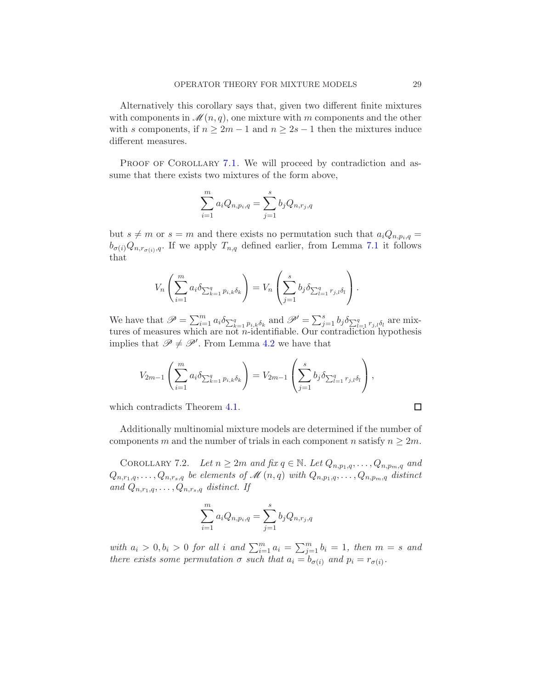Alternatively this corollary says that, given two different finite mixtures with components in  $\mathcal{M}(n,q)$ , one mixture with m components and the other with s components, if  $n \geq 2m - 1$  and  $n \geq 2s - 1$  then the mixtures induce different measures.

PROOF OF COROLLARY [7.1.](#page-27-0) We will proceed by contradiction and assume that there exists two mixtures of the form above,

$$
\sum_{i=1}^{m} a_i Q_{n, p_i, q} = \sum_{j=1}^{s} b_j Q_{n, r_j, q}
$$

but  $s \neq m$  or  $s = m$  and there exists no permutation such that  $a_iQ_{n,p_i,q} =$  $b_{\sigma(i)}Q_{n,r_{\sigma(i)},q}$ . If we apply  $T_{n,q}$  defined earlier, from Lemma [7.1](#page-26-0) it follows that

$$
V_n\left(\sum_{i=1}^m a_i \delta_{\sum_{k=1}^q p_{i,k}\delta_k}\right) = V_n\left(\sum_{j=1}^s b_j \delta_{\sum_{l=1}^q r_{j,l}\delta_l}\right).
$$

We have that  $\mathscr{P} = \sum_{i=1}^m a_i \delta_{\sum_{k=1}^q p_{i,k} \delta_k}$  and  $\mathscr{P}' = \sum_{j=1}^s b_j \delta_{\sum_{l=1}^q r_{j,l} \delta_l}$  are mixtures of measures which are not  $n$ -identifiable. Our contradiction hypothesis implies that  $\mathscr{P} \neq \mathscr{P}'$ . From Lemma [4.2](#page-4-5) we have that

$$
V_{2m-1}\left(\sum_{i=1}^{m} a_i \delta_{\sum_{k=1}^{q} p_{i,k} \delta_k}\right) = V_{2m-1}\left(\sum_{j=1}^{s} b_j \delta_{\sum_{l=1}^{q} r_{j,l} \delta_l}\right),
$$

which contradicts Theorem [4.1.](#page-4-2)

Additionally multinomial mixture models are determined if the number of components m and the number of trials in each component n satisfy  $n \geq 2m$ .

<span id="page-28-0"></span>COROLLARY 7.2. Let  $n \geq 2m$  and fix  $q \in \mathbb{N}$ . Let  $Q_{n,p_1,q}, \ldots, Q_{n,p_m,q}$  and  $Q_{n,r_1,q},\ldots,Q_{n,r_s,q}$  be elements of  $\mathscr{M}(n,q)$  with  $Q_{n,p_1,q},\ldots,Q_{n,p_m,q}$  distinct and  $Q_{n,r_1,q}, \ldots, Q_{n,r_s,q}$  distinct. If

$$
\sum_{i=1}^{m} a_i Q_{n, p_i, q} = \sum_{j=1}^{s} b_j Q_{n, r_j, q}
$$

with  $a_i > 0, b_i > 0$  for all i and  $\sum_{i=1}^m a_i = \sum_{j=1}^m b_i = 1$ , then  $m = s$  and there exists some permutation  $\sigma$  such that  $a_i = b_{\sigma(i)}$  and  $p_i = r_{\sigma(i)}$ .

$$
\Box
$$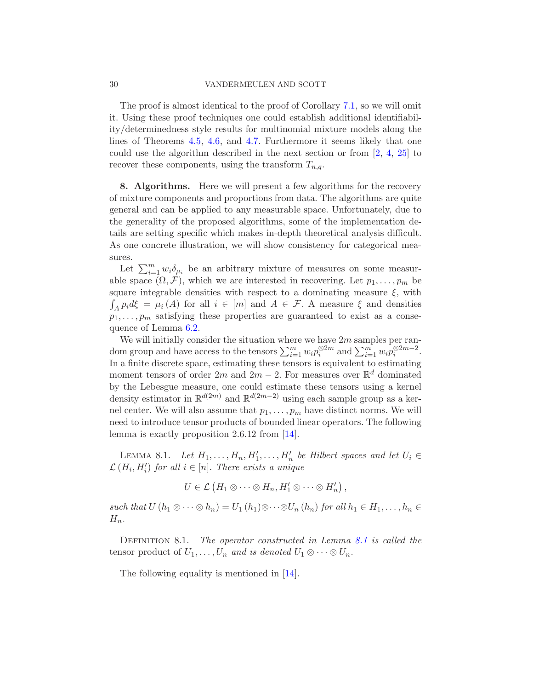The proof is almost identical to the proof of Corollary [7.1,](#page-27-0) so we will omit it. Using these proof techniques one could establish additional identifiability/determinedness style results for multinomial mixture models along the lines of Theorems [4.5,](#page-6-1) [4.6,](#page-6-2) and [4.7.](#page-6-0) Furthermore it seems likely that one could use the algorithm described in the next section or from [\[2,](#page-51-3) [4](#page-51-4), [25](#page-52-3)] to recover these components, using the transform  $T_{n,q}$ .

<span id="page-29-0"></span>8. Algorithms. Here we will present a few algorithms for the recovery of mixture components and proportions from data. The algorithms are quite general and can be applied to any measurable space. Unfortunately, due to the generality of the proposed algorithms, some of the implementation details are setting specific which makes in-depth theoretical analysis difficult. As one concrete illustration, we will show consistency for categorical measures.

Let  $\sum_{i=1}^m w_i \delta_{\mu_i}$  be an arbitrary mixture of measures on some measurable space  $(\Omega, \mathcal{F})$ , which we are interested in recovering. Let  $p_1, \ldots, p_m$  be square integrable densities with respect to a dominating measure  $\xi$ , with  $\int_A p_i d\xi = \mu_i(A)$  for all  $i \in [m]$  and  $A \in \mathcal{F}$ . A measure  $\xi$  and densities  $p_1, \ldots, p_m$  satisfying these properties are guaranteed to exist as a consequence of Lemma [6.2.](#page-11-0)

We will initially consider the situation where we have  $2m$  samples per random group and have access to the tensors  $\sum_{i=1}^{m} w_i p_i^{\otimes 2m}$  and  $\sum_{i=1}^{m} w_i p_i^{\otimes 2m-2}$ . In a finite discrete space, estimating these tensors is equivalent to estimating moment tensors of order  $2m$  and  $2m-2$ . For measures over  $\mathbb{R}^d$  dominated by the Lebesgue measure, one could estimate these tensors using a kernel density estimator in  $\mathbb{R}^{d(2m)}$  and  $\mathbb{R}^{d(2m-2)}$  using each sample group as a kernel center. We will also assume that  $p_1, \ldots, p_m$  have distinct norms. We will need to introduce tensor products of bounded linear operators. The following lemma is exactly proposition 2.6.12 from [\[14](#page-51-11)].

<span id="page-29-1"></span>LEMMA 8.1. Let  $H_1, \ldots, H_n, H'_1, \ldots, H'_n$  be Hilbert spaces and let  $U_i \in$  $\mathcal{L}(H_i, H'_i)$  for all  $i \in [n]$ . There exists a unique

$$
U\in\mathcal{L}\left(H_1\otimes\cdots\otimes H_n,H'_1\otimes\cdots\otimes H'_n\right),\,
$$

such that  $U(h_1 \otimes \cdots \otimes h_n) = U_1(h_1) \otimes \cdots \otimes U_n(h_n)$  for all  $h_1 \in H_1, \ldots, h_n \in$  $H_n$ .

DEFINITION [8.1](#page-29-1). The operator constructed in Lemma 8.1 is called the tensor product of  $U_1, \ldots, U_n$  and is denoted  $U_1 \otimes \cdots \otimes U_n$ .

The following equality is mentioned in [\[14](#page-51-11)].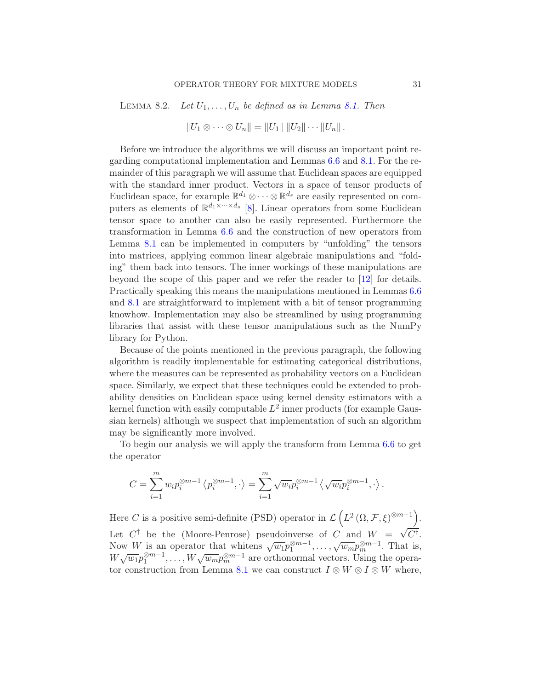<span id="page-30-0"></span>LEMMA 8.2. Let  $U_1, \ldots, U_n$  be defined as in Lemma [8.1.](#page-29-1) Then

$$
||U_1 \otimes \cdots \otimes U_n|| = ||U_1|| ||U_2|| \cdots ||U_n||.
$$

Before we introduce the algorithms we will discuss an important point regarding computational implementation and Lemmas [6.6](#page-20-0) and [8.1.](#page-29-1) For the remainder of this paragraph we will assume that Euclidean spaces are equipped with the standard inner product. Vectors in a space of tensor products of Euclidean space, for example  $\mathbb{R}^{d_1} \otimes \cdots \otimes \mathbb{R}^{d_s}$  are easily represented on computers as elements of  $\mathbb{R}^{d_1 \times \dots \times d_s}$  [\[8\]](#page-51-12). Linear operators from some Euclidean tensor space to another can also be easily represented. Furthermore the transformation in Lemma [6.6](#page-20-0) and the construction of new operators from Lemma [8.1](#page-29-1) can be implemented in computers by "unfolding" the tensors into matrices, applying common linear algebraic manipulations and "folding" them back into tensors. The inner workings of these manipulations are beyond the scope of this paper and we refer the reader to [\[12\]](#page-51-14) for details. Practically speaking this means the manipulations mentioned in Lemmas [6.6](#page-20-0) and [8.1](#page-29-1) are straightforward to implement with a bit of tensor programming knowhow. Implementation may also be streamlined by using programming libraries that assist with these tensor manipulations such as the NumPy library for Python.

Because of the points mentioned in the previous paragraph, the following algorithm is readily implementable for estimating categorical distributions, where the measures can be represented as probability vectors on a Euclidean space. Similarly, we expect that these techniques could be extended to probability densities on Euclidean space using kernel density estimators with a kernel function with easily computable  $L^2$  inner products (for example Gaussian kernels) although we suspect that implementation of such an algorithm may be significantly more involved.

To begin our analysis we will apply the transform from Lemma [6.6](#page-20-0) to get the operator

$$
C = \sum_{i=1}^{m} w_i p_i^{\otimes m-1} \left\langle p_i^{\otimes m-1}, \cdot \right\rangle = \sum_{i=1}^{m} \sqrt{w_i} p_i^{\otimes m-1} \left\langle \sqrt{w_i} p_i^{\otimes m-1}, \cdot \right\rangle.
$$

Here C is a positive semi-definite (PSD) operator in  $\mathcal{L}\left(L^2\left(\Omega,\mathcal{F},\xi\right)^{\otimes m-1}\right)$ . Let  $C^{\dagger}$  be the (Moore-Penrose) pseudoinverse of  $C$  and  $W = \sqrt{C^{\dagger}}$ . Now W is an operator that whitens  $\sqrt{w_1}p_1^{\otimes m-1}, \ldots, \sqrt{w_m}p_m^{\otimes m-1}$ . That is,  $W\sqrt{w_1}p_1^{\otimes m-1},\ldots,W\sqrt{w_m}p_m^{\otimes m-1}$  are orthonormal vectors. Using the opera-tor construction from Lemma [8.1](#page-29-1) we can construct  $I \otimes W \otimes I \otimes W$  where,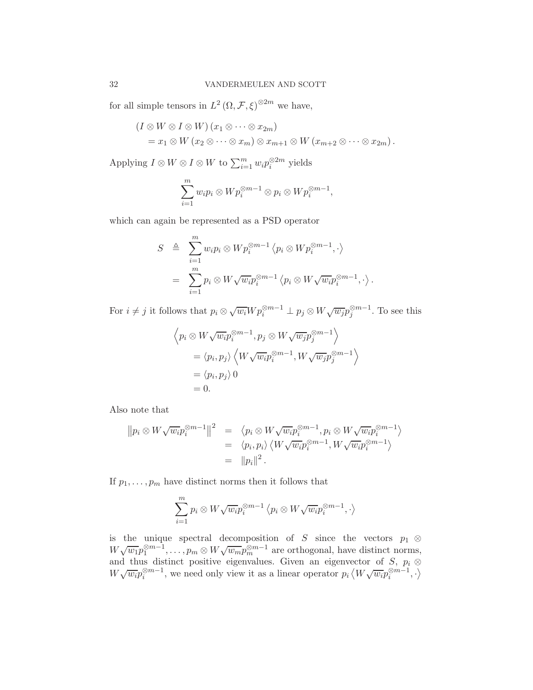for all simple tensors in  $L^2(\Omega, \mathcal{F}, \xi)^{\otimes 2m}$  we have,

$$
(I \otimes W \otimes I \otimes W) (x_1 \otimes \cdots \otimes x_{2m})
$$
  
=  $x_1 \otimes W (x_2 \otimes \cdots \otimes x_m) \otimes x_{m+1} \otimes W (x_{m+2} \otimes \cdots \otimes x_{2m}).$ 

Applying  $I \otimes W \otimes I \otimes W$  to  $\sum_{i=1}^{m} w_i p_i^{\otimes 2m}$  yields

$$
\sum_{i=1}^m w_i p_i \otimes W p_i^{\otimes m-1} \otimes p_i \otimes W p_i^{\otimes m-1},
$$

which can again be represented as a PSD operator

$$
S \triangleq \sum_{i=1}^{m} w_i p_i \otimes W p_i^{\otimes m-1} \langle p_i \otimes W p_i^{\otimes m-1}, \cdot \rangle
$$
  
= 
$$
\sum_{i=1}^{m} p_i \otimes W \sqrt{w_i} p_i^{\otimes m-1} \langle p_i \otimes W \sqrt{w_i} p_i^{\otimes m-1}, \cdot \rangle.
$$

For  $i \neq j$  it follows that  $p_i \otimes \sqrt{w_i} W p_i^{\otimes m-1} \perp p_j \otimes W \sqrt{w_j} p_j^{\otimes m-1}$ . To see this

$$
\left\langle p_i \otimes W \sqrt{w_i} p_i^{\otimes m-1}, p_j \otimes W \sqrt{w_j} p_j^{\otimes m-1} \right\rangle
$$
  
=  $\langle p_i, p_j \rangle \left\langle W \sqrt{w_i} p_i^{\otimes m-1}, W \sqrt{w_j} p_j^{\otimes m-1} \right\rangle$   
=  $\langle p_i, p_j \rangle$  0  
= 0.

Also note that

$$
||p_i \otimes W \sqrt{w_i} p_i^{\otimes m-1}||^2 = \langle p_i \otimes W \sqrt{w_i} p_i^{\otimes m-1}, p_i \otimes W \sqrt{w_i} p_i^{\otimes m-1} \rangle
$$
  
=  $\langle p_i, p_i \rangle \langle W \sqrt{w_i} p_i^{\otimes m-1}, W \sqrt{w_i} p_i^{\otimes m-1} \rangle$   
=  $||p_i||^2$ .

If  $p_1, \ldots, p_m$  have distinct norms then it follows that

$$
\sum_{i=1}^{m} p_i \otimes W\sqrt{w_i}p_i^{\otimes m-1} \langle p_i \otimes W\sqrt{w_i}p_i^{\otimes m-1}, \cdot \rangle
$$

is the unique spectral decomposition of S since the vectors  $p_1 \otimes$  $W\sqrt{w_1}p_1^{\otimes m-1},\ldots,p_m\otimes W\sqrt{w_m}p_m^{\otimes m-1}$  are orthogonal, have distinct norms, and thus distinct positive eigenvalues. Given an eigenvector of S,  $p_i \otimes$  $W\sqrt{w_i}p_i^{\otimes m-1}$ , we need only view it as a linear operator  $p_i \langle W\sqrt{w_i}p_i^{\otimes m-1}, \cdot \rangle$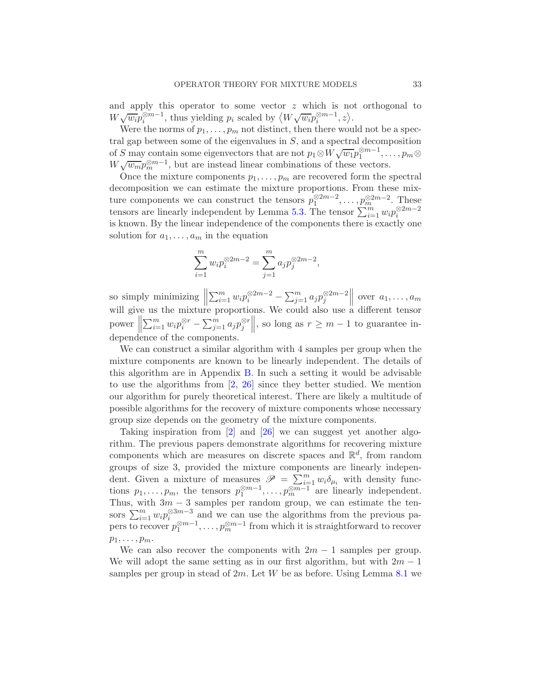and apply this operator to some vector  $z$  which is not orthogonal to  $W\sqrt{w_i}p_i^{\otimes m-1}$ , thus yielding  $p_i$  scaled by  $\langle W\sqrt{w_i}p_i^{\otimes m-1},z\rangle$ .

Were the norms of  $p_1, \ldots, p_m$  not distinct, then there would not be a spectral gap between some of the eigenvalues in  $S$ , and a spectral decomposition of S may contain some eigenvectors that are not  $p_1 \otimes W \sqrt{w_1} p_1^{\otimes m-1}, \ldots, p_m \otimes$  $W\sqrt{w_m}p_m^{\otimes m-1}$ , but are instead linear combinations of these vectors.

Once the mixture components  $p_1, \ldots, p_m$  are recovered form the spectral decomposition we can estimate the mixture proportions. From these mixture components we can construct the tensors  $p_1^{\otimes 2m-2}, \ldots, p_m^{\otimes 2m-2}$ . These tensors are linearly independent by Lemma [5.3.](#page-9-2) The tensor  $\sum_{i=1}^{m} w_i p_i^{\otimes 2m-2}$ is known. By the linear independence of the components there is exactly one solution for  $a_1, \ldots, a_m$  in the equation

$$
\sum_{i=1}^{m} w_i p_i^{\otimes 2m-2} = \sum_{j=1}^{m} a_j p_j^{\otimes 2m-2},
$$

so simply minimizing  $\parallel$  $\sum_{i=1}^{m} w_i p_i^{\otimes 2m-2} - \sum_{j=1}^{m} a_j p_j^{\otimes 2m-2}$  $\parallel$  over  $a_1, \ldots, a_m$ will give us the mixture proportions. We could also use a different tensor  $\begin{bmatrix} 1 & 1 \\ 1 & 1 \end{bmatrix}$  $\sum_{i=1}^m w_i p_i^{\otimes r} - \sum_{j=1}^m a_j p_j^{\otimes r}$  $\parallel$ , so long as  $r \geq m-1$  to guarantee independence of the components.

We can construct a similar algorithm with 4 samples per group when the mixture components are known to be linearly independent. The details of this algorithm are in Appendix [B.](#page-49-0) In such a setting it would be advisable to use the algorithms from [\[2](#page-51-3), [26](#page-52-4)] since they better studied. We mention our algorithm for purely theoretical interest. There are likely a multitude of possible algorithms for the recovery of mixture components whose necessary group size depends on the geometry of the mixture components.

Taking inspiration from [\[2\]](#page-51-3) and [\[26\]](#page-52-4) we can suggest yet another algorithm. The previous papers demonstrate algorithms for recovering mixture components which are measures on discrete spaces and  $\mathbb{R}^d$ , from random groups of size 3, provided the mixture components are linearly independent. Given a mixture of measures  $\mathscr{P} = \sum_{i=1}^{m} w_i \delta_{\mu_i}$  with density functions  $p_1, \ldots, p_m$ , the tensors  $p_1^{\otimes m-1}, \ldots, p_m^{\otimes m-1}$  are linearly independent. Thus, with  $3m - 3$  samples per random group, we can estimate the tensors  $\sum_{i=1}^{m} w_i p_i^{\otimes 3m-3}$  and we can use the algorithms from the previous papers to recover  $p_1^{\otimes m-1}, \ldots, p_m^{\otimes m-1}$  from which it is straightforward to recover  $p_1, \ldots, p_m$ .

We can also recover the components with  $2m - 1$  samples per group. We will adopt the same setting as in our first algorithm, but with  $2m - 1$ samples per group in stead of  $2m$ . Let W be as before. Using Lemma [8.1](#page-29-1) we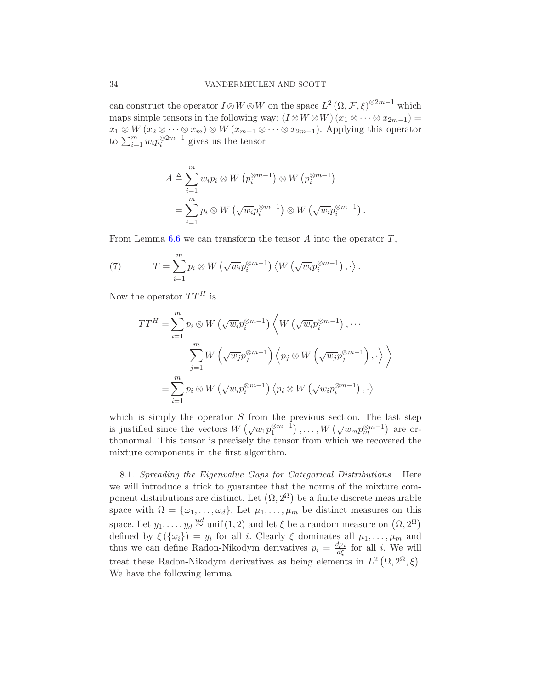can construct the operator  $I \otimes W \otimes W$  on the space  $L^2(\Omega, \mathcal{F}, \xi)^{\otimes 2m-1}$  which maps simple tensors in the following way:  $(I \otimes W \otimes W)(x_1 \otimes \cdots \otimes x_{2m-1}) =$  $x_1 \otimes W$   $(x_2 \otimes \cdots \otimes x_m) \otimes W$   $(x_{m+1} \otimes \cdots \otimes x_{2m-1})$ . Applying this operator to  $\sum_{i=1}^{m} w_i p_i^{\otimes 2m-1}$  gives us the tensor

$$
A \triangleq \sum_{i=1}^{m} w_i p_i \otimes W (p_i^{\otimes m-1}) \otimes W (p_i^{\otimes m-1})
$$
  
= 
$$
\sum_{i=1}^{m} p_i \otimes W (\sqrt{w_i} p_i^{\otimes m-1}) \otimes W (\sqrt{w_i} p_i^{\otimes m-1}).
$$

From Lemma  $6.6$  we can transform the tensor A into the operator  $T$ ,

<span id="page-33-1"></span>(7) 
$$
T = \sum_{i=1}^{m} p_i \otimes W \left( \sqrt{w_i} p_i^{\otimes m-1} \right) \left\langle W \left( \sqrt{w_i} p_i^{\otimes m-1} \right), \cdot \right\rangle.
$$

Now the operator  $TT^H$  is

$$
TT^{H} = \sum_{i=1}^{m} p_{i} \otimes W \left( \sqrt{w_{i}} p_{i}^{\otimes m-1} \right) \left\langle W \left( \sqrt{w_{i}} p_{i}^{\otimes m-1} \right), \cdots \right\rangle
$$

$$
\sum_{j=1}^{m} W \left( \sqrt{w_{j}} p_{j}^{\otimes m-1} \right) \left\langle p_{j} \otimes W \left( \sqrt{w_{j}} p_{j}^{\otimes m-1} \right), \cdot \right\rangle
$$

$$
= \sum_{i=1}^{m} p_{i} \otimes W \left( \sqrt{w_{i}} p_{i}^{\otimes m-1} \right) \left\langle p_{i} \otimes W \left( \sqrt{w_{i}} p_{i}^{\otimes m-1} \right), \cdot \right\rangle
$$

which is simply the operator  $S$  from the previous section. The last step is justified since the vectors  $W\left(\sqrt{w_1}p_1^{\otimes m-1}\right), \ldots, W\left(\sqrt{w_m}p_m^{\otimes m-1}\right)$  are orthonormal. This tensor is precisely the tensor from which we recovered the mixture components in the first algorithm.

<span id="page-33-0"></span>8.1. Spreading the Eigenvalue Gaps for Categorical Distributions. Here we will introduce a trick to guarantee that the norms of the mixture component distributions are distinct. Let  $(\Omega, 2^{\Omega})$  be a finite discrete measurable space with  $\Omega = {\omega_1, \ldots, \omega_d}$ . Let  $\mu_1, \ldots, \mu_m$  be distinct measures on this space. Let  $y_1, \ldots, y_d \stackrel{iid}{\sim} \text{unif}(1,2)$  and let  $\xi$  be a random measure on  $(\Omega, 2^{\Omega})$ defined by  $\xi(\{\omega_i\}) = y_i$  for all i. Clearly  $\xi$  dominates all  $\mu_1, \ldots, \mu_m$  and thus we can define Radon-Nikodym derivatives  $p_i = \frac{d\mu_i}{d\xi}$  for all i. We will treat these Radon-Nikodym derivatives as being elements in  $L^2(\Omega, 2^{\Omega}, \xi)$ . We have the following lemma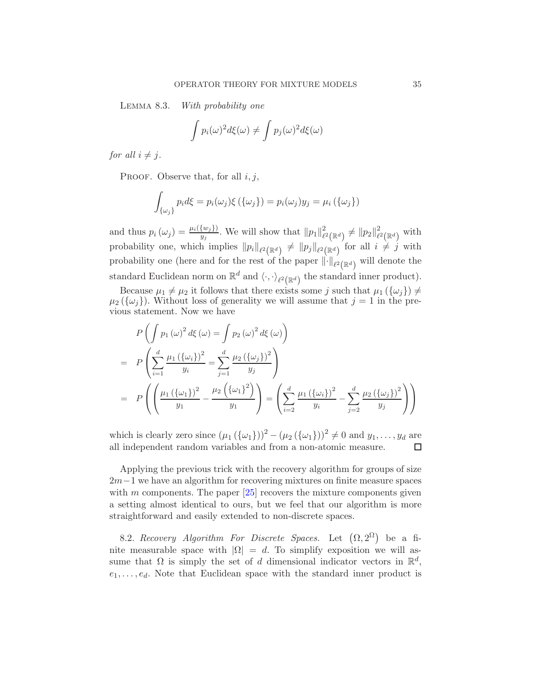Lemma 8.3. With probability one

$$
\int p_i(\omega)^2 d\xi(\omega) \neq \int p_j(\omega)^2 d\xi(\omega)
$$

for all  $i \neq j$ .

PROOF. Observe that, for all  $i, j$ ,

$$
\int_{\{\omega_j\}} p_i d\xi = p_i(\omega_j) \xi(\{\omega_j\}) = p_i(\omega_j) y_j = \mu_i(\{\omega_j\})
$$

and thus  $p_i(\omega_j) = \frac{\mu_i({w_j})}{y_j}$ . We will show that  $||p_1||^2_{\ell}$  $e^2_{\ell^2(\mathbb{R}^d)} \neq \|p_2\|_{\ell^2}^2$  $\stackrel{\text{2}}{\ell}(\mathbb{R}^d)$  with probability one, which implies  $||p_i||_{\ell^2(\mathbb{R}^d)} \neq ||p_j||_{\ell^2(\mathbb{R}^d)}$  for all  $i \neq j$  with probability one (here and for the rest of the paper  $\lVert \cdot \rVert_{\ell^2(\mathbb{R}^d)}$  will denote the standard Euclidean norm on  $\mathbb{R}^d$  and  $\langle \cdot, \cdot \rangle_{\ell^2(\mathbb{R}^d)}$  the standard inner product).

Because  $\mu_1 \neq \mu_2$  it follows that there exists some j such that  $\mu_1(\{\omega_j\}) \neq$  $\mu_2(\{\omega_j\})$ . Without loss of generality we will assume that  $j = 1$  in the previous statement. Now we have

$$
P\left(\int p_1(\omega)^2 d\xi(\omega) = \int p_2(\omega)^2 d\xi(\omega)\right)
$$
  
= 
$$
P\left(\sum_{i=1}^d \frac{\mu_1(\{\omega_i\})^2}{y_i} = \sum_{j=1}^d \frac{\mu_2(\{\omega_j\})^2}{y_j}\right)
$$
  
= 
$$
P\left(\left(\frac{\mu_1(\{\omega_1\})^2}{y_1} - \frac{\mu_2(\{\omega_1\})^2}{y_1}\right) = \left(\sum_{i=2}^d \frac{\mu_1(\{\omega_i\})^2}{y_i} - \sum_{j=2}^d \frac{\mu_2(\{\omega_j\})^2}{y_j}\right)\right)
$$

which is clearly zero since  $(\mu_1(\{\omega_1\}))^2 - (\mu_2(\{\omega_1\}))^2 \neq 0$  and  $y_1, \ldots, y_d$  are all independent random variables and from a non-atomic measure.

Applying the previous trick with the recovery algorithm for groups of size  $2m-1$  we have an algorithm for recovering mixtures on finite measure spaces with m components. The paper  $[25]$  recovers the mixture components given a setting almost identical to ours, but we feel that our algorithm is more straightforward and easily extended to non-discrete spaces.

8.2. Recovery Algorithm For Discrete Spaces. Let  $(\Omega, 2^{\Omega})$  be a finite measurable space with  $|\Omega| = d$ . To simplify exposition we will assume that  $\Omega$  is simply the set of d dimensional indicator vectors in  $\mathbb{R}^d$ ,  $e_1, \ldots, e_d$ . Note that Euclidean space with the standard inner product is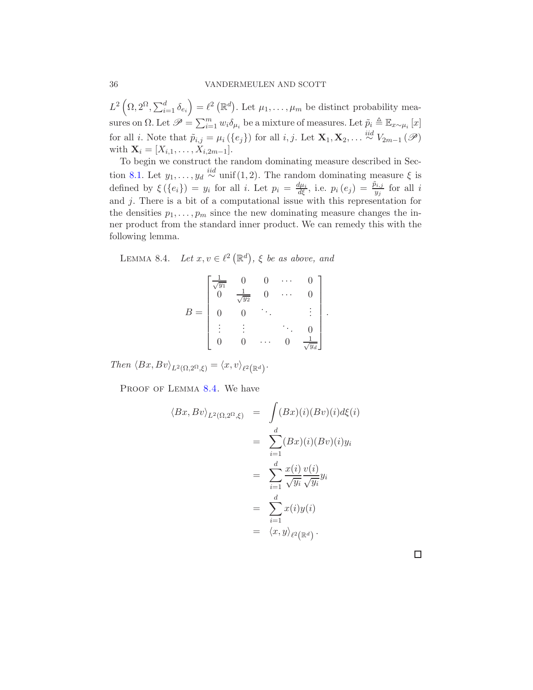$L^2\left(\Omega, 2^{\Omega}, \sum_{i=1}^d \delta_{e_i}\right) = \ell^2\left(\mathbb{R}^d\right)$ . Let  $\mu_1, \ldots, \mu_m$  be distinct probability measures on  $\Omega$ . Let  $\mathscr{P} = \sum_{i=1}^{m} w_i \delta_{\mu_i}$  be a mixture of measures. Let  $\tilde{p}_i \triangleq \mathbb{E}_{x \sim \mu_i}[x]$ for all *i*. Note that  $\tilde{p}_{i,j} = \mu_i(\{e_j\})$  for all *i*, *j*. Let  $\mathbf{X}_1, \mathbf{X}_2, \ldots \stackrel{iid}{\sim} V_{2m-1}(\mathscr{P})$ with  $X_i = [X_{i,1}, \ldots, X_{i,2m-1}].$ 

To begin we construct the random dominating measure described in Sec-tion [8.1.](#page-33-0) Let  $y_1, \ldots, y_d \stackrel{iid}{\sim}$  unif  $(1, 2)$ . The random dominating measure  $\xi$  is defined by  $\xi(\lbrace e_i \rbrace) = y_i$  for all i. Let  $p_i = \frac{d\mu_i}{d\xi}$ , i.e.  $p_i(e_j) = \frac{\tilde{p}_{i,j}}{y_j}$  for all i and j. There is a bit of a computational issue with this representation for the densities  $p_1, \ldots, p_m$  since the new dominating measure changes the inner product from the standard inner product. We can remedy this with the following lemma.

<span id="page-35-0"></span>LEMMA 8.4. Let  $x, v \in \ell^2(\mathbb{R}^d)$ ,  $\xi$  be as above, and

$$
B = \begin{bmatrix} \frac{1}{\sqrt{y_1}} & 0 & 0 & \cdots & 0 \\ 0 & \frac{1}{\sqrt{y_2}} & 0 & \cdots & 0 \\ 0 & 0 & \ddots & & \vdots \\ \vdots & \vdots & & \ddots & 0 \\ 0 & 0 & \cdots & 0 & \frac{1}{\sqrt{y_d}} \end{bmatrix}.
$$

Then  $\langle Bx, Bv \rangle_{L^2(\Omega, 2^{\Omega}, \xi)} = \langle x, v \rangle_{\ell^2(\mathbb{R}^d)}.$ 

PROOF OF LEMMA [8.4.](#page-35-0) We have

$$
\langle Bx, Bv \rangle_{L^2(\Omega, 2^{\Omega}, \xi)} = \int (Bx)(i)(Bv)(i)d\xi(i)
$$
  

$$
= \sum_{i=1}^d (Bx)(i)(Bv)(i)y_i
$$
  

$$
= \sum_{i=1}^d \frac{x(i)}{\sqrt{y_i}} \frac{v(i)}{\sqrt{y_i}} y_i
$$
  

$$
= \sum_{i=1}^d x(i)y(i)
$$
  

$$
= \langle x, y \rangle_{\ell^2(\mathbb{R}^d)}.
$$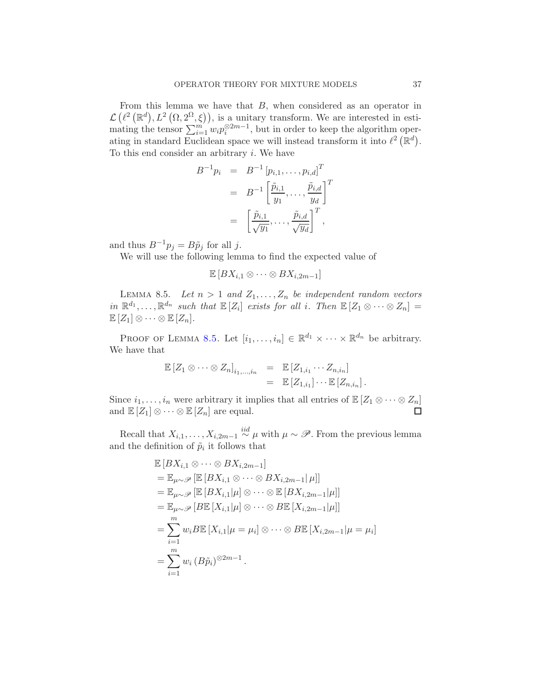From this lemma we have that B, when considered as an operator in  $\mathcal{L}(\ell^2(\mathbb{R}^d), L^2(\Omega, 2\Omega, \xi)),$  is a unitary transform. We are interested in estimating the tensor  $\sum_{i=1}^{m'} w_i p_i^{\otimes 2m-1}$ , but in order to keep the algorithm operating in standard Euclidean space we will instead transform it into  $\ell^2(\mathbb{R}^d)$ . To this end consider an arbitrary  $i$ . We have

$$
B^{-1}p_i = B^{-1} [p_{i,1}, \dots, p_{i,d}]^T
$$
  
=  $B^{-1} \left[ \frac{\tilde{p}_{i,1}}{y_1}, \dots, \frac{\tilde{p}_{i,d}}{y_d} \right]^T$   
=  $\left[ \frac{\tilde{p}_{i,1}}{\sqrt{y_1}}, \dots, \frac{\tilde{p}_{i,d}}{\sqrt{y_d}} \right]^T$ ,

and thus  $B^{-1}p_j = B\tilde{p}_j$  for all j.

We will use the following lemma to find the expected value of

 $\mathbb{E}[BX_{i,1} \otimes \cdots \otimes BX_{i,2m-1}]$ 

<span id="page-36-0"></span>LEMMA 8.5. Let  $n > 1$  and  $Z_1, \ldots, Z_n$  be independent random vectors in  $\mathbb{R}^{d_1}, \ldots, \mathbb{R}^{d_n}$  such that  $\mathbb{E}[Z_i]$  exists for all i. Then  $\mathbb{E}[Z_1 \otimes \cdots \otimes Z_n] =$  $\mathbb{E}[Z_1] \otimes \cdots \otimes \mathbb{E}[Z_n].$ 

PROOF OF LEMMA [8.5.](#page-36-0) Let  $[i_1, \ldots, i_n] \in \mathbb{R}^{d_1} \times \cdots \times \mathbb{R}^{d_n}$  be arbitrary. We have that

$$
\mathbb{E}\left[Z_1\otimes\cdots\otimes Z_n\right]_{i_1,\ldots,i_n} = \mathbb{E}\left[Z_{1,i_1}\cdots Z_{n,i_n}\right] \n= \mathbb{E}\left[Z_{1,i_1}\right] \cdots \mathbb{E}\left[Z_{n,i_n}\right].
$$

Since  $i_1, \ldots, i_n$  were arbitrary it implies that all entries of  $\mathbb{E}[Z_1 \otimes \cdots \otimes Z_n]$ <br>and  $\mathbb{E}[Z_1] \otimes \cdots \otimes \mathbb{E}[Z_n]$  are equal. and  $\mathbb{E}[Z_1] \otimes \cdots \otimes \mathbb{E}[Z_n]$  are equal.

Recall that  $X_{i,1}, \ldots, X_{i,2m-1} \stackrel{iid}{\sim} \mu$  with  $\mu \sim \mathscr{P}$ . From the previous lemma and the definition of  $\tilde{p}_i$  it follows that

$$
\mathbb{E}\left[BX_{i,1}\otimes\cdots\otimes BX_{i,2m-1}\right]
$$
\n
$$
=\mathbb{E}_{\mu\sim\mathscr{P}}\left[\mathbb{E}\left[BX_{i,1}\otimes\cdots\otimes BX_{i,2m-1}\right]\mu\right]
$$
\n
$$
=\mathbb{E}_{\mu\sim\mathscr{P}}\left[\mathbb{E}\left[BX_{i,1}\middle|\mu\right]\otimes\cdots\otimes\mathbb{E}\left[BX_{i,2m-1}\middle|\mu\right]\right]
$$
\n
$$
=\mathbb{E}_{\mu\sim\mathscr{P}}\left[B\mathbb{E}\left[X_{i,1}\middle|\mu\right]\otimes\cdots\otimes B\mathbb{E}\left[X_{i,2m-1}\middle|\mu\right]\right]
$$
\n
$$
=\sum_{i=1}^{m}w_{i}B\mathbb{E}\left[X_{i,1}\middle|\mu=\mu_{i}\right]\otimes\cdots\otimes B\mathbb{E}\left[X_{i,2m-1}\middle|\mu=\mu_{i}\right]
$$
\n
$$
=\sum_{i=1}^{m}w_{i}\left(B\tilde{p}_{i}\right)^{\otimes2m-1}.
$$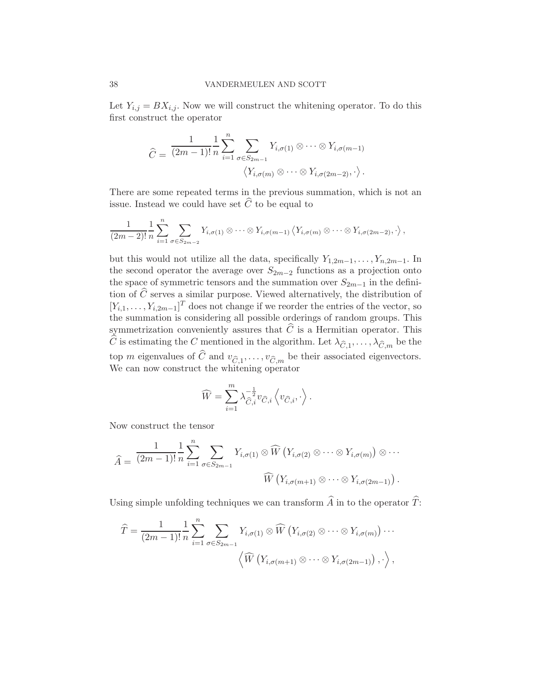Let  $Y_{i,j} = BX_{i,j}$ . Now we will construct the whitening operator. To do this first construct the operator

$$
\widehat{C} = \frac{1}{(2m-1)!} \frac{1}{n} \sum_{i=1}^{n} \sum_{\sigma \in S_{2m-1}} Y_{i,\sigma(1)} \otimes \cdots \otimes Y_{i,\sigma(m-1)} \cdot \langle Y_{i,\sigma(m)} \otimes \cdots \otimes Y_{i,\sigma(2m-2)}, \cdot \rangle.
$$

There are some repeated terms in the previous summation, which is not an issue. Instead we could have set  $\widehat{C}$  to be equal to

$$
\frac{1}{(2m-2)!}\frac{1}{n}\sum_{i=1}^n\sum_{\sigma\in S_{2m-2}}Y_{i,\sigma(1)}\otimes\cdots\otimes Y_{i,\sigma(m-1)}\langle Y_{i,\sigma(m)}\otimes\cdots\otimes Y_{i,\sigma(2m-2)},\cdot\rangle,
$$

but this would not utilize all the data, specifically  $Y_{1,2m-1}, \ldots, Y_{n,2m-1}$ . In the second operator the average over  $S_{2m-2}$  functions as a projection onto the space of symmetric tensors and the summation over  $S_{2m-1}$  in the definition of  $\widehat{C}$  serves a similar purpose. Viewed alternatively, the distribution of  $[Y_{i,1},\ldots,Y_{i,2m-1}]^T$  does not change if we reorder the entries of the vector, so the summation is considering all possible orderings of random groups. This symmetrization conveniently assures that  $\widehat{C}$  is a Hermitian operator. This C is estimating the C mentioned in the algorithm. Let  $\lambda_{\widehat{C},1}, \ldots, \lambda_{\widehat{C},m}$  be the top m eigenvalues of C and  $v_{\widehat{C},1}, \ldots, v_{\widehat{C},m}$  be their associated eigenvectors. We can now construct the whitening operator

$$
\widehat{W} = \sum_{i=1}^{m} \lambda_{\widehat{C},i}^{-\frac{1}{2}} v_{\widehat{C},i} \left\langle v_{\widehat{C},i}, \cdot \right\rangle.
$$

Now construct the tensor

$$
\widehat{A} = \frac{1}{(2m-1)!} \frac{1}{n} \sum_{i=1}^{n} \sum_{\sigma \in S_{2m-1}} Y_{i,\sigma(1)} \otimes \widehat{W} \left( Y_{i,\sigma(2)} \otimes \cdots \otimes Y_{i,\sigma(m)} \right) \otimes \cdots
$$

$$
\widehat{W} \left( Y_{i,\sigma(m+1)} \otimes \cdots \otimes Y_{i,\sigma(2m-1)} \right).
$$

Using simple unfolding techniques we can transform  $\widehat{A}$  in to the operator  $\widehat{T}$ :

$$
\widehat{T} = \frac{1}{(2m-1)!} \frac{1}{n} \sum_{i=1}^{n} \sum_{\sigma \in S_{2m-1}} Y_{i,\sigma(1)} \otimes \widehat{W} \left( Y_{i,\sigma(2)} \otimes \cdots \otimes Y_{i,\sigma(m)} \right) \cdots \\ \left\langle \widehat{W} \left( Y_{i,\sigma(m+1)} \otimes \cdots \otimes Y_{i,\sigma(2m-1)} \right), \cdots \right\rangle,
$$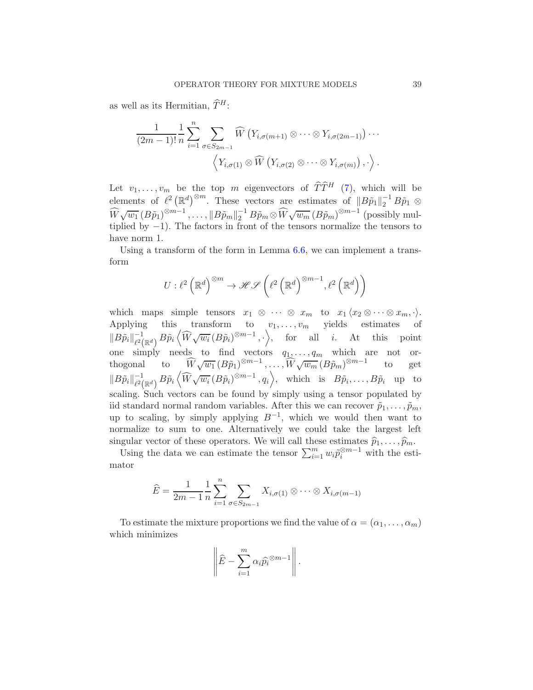as well as its Hermitian,  $\widehat{T}^H$ :

$$
\frac{1}{(2m-1)!} \frac{1}{n} \sum_{i=1}^{n} \sum_{\sigma \in S_{2m-1}} \widehat{W}\left(Y_{i,\sigma(m+1)} \otimes \cdots \otimes Y_{i,\sigma(2m-1)}\right) \cdots
$$

$$
\left\langle Y_{i,\sigma(1)} \otimes \widehat{W}\left(Y_{i,\sigma(2)} \otimes \cdots \otimes Y_{i,\sigma(m)}\right), \cdot \right\rangle.
$$

Let  $v_1, \ldots, v_m$  be the top m eigenvectors of  $\widehat{T}\widehat{T}^H$  [\(7\)](#page-33-1), which will be elements of  $\ell^2 \left( \mathbb{R}^d \right)^{\otimes m}$ . These vectors are estimates of  $||B\tilde{p}_1||_2^{-1}B\tilde{p}_1 \otimes$  $\widehat{W}\sqrt{w_1} (B\tilde{p}_1)^{\otimes m-1}, \ldots, \|B\tilde{p}_m\|_2^{-1} B\tilde{p}_m \otimes \widehat{W}\sqrt{w_m} (B\tilde{p}_m)^{\otimes m-1}$  (possibly multiplied by  $-1$ ). The factors in front of the tensors normalize the tensors to have norm 1.

Using a transform of the form in Lemma [6.6,](#page-20-0) we can implement a transform

$$
U: \ell^2 \left( \mathbb{R}^d \right)^{\otimes m} \to \mathscr{H} \mathscr{S} \left( \ell^2 \left( \mathbb{R}^d \right)^{\otimes m-1}, \ell^2 \left( \mathbb{R}^d \right) \right)
$$

which maps simple tensors  $x_1 \otimes \cdots \otimes x_m$  to  $x_1 \langle x_2 \otimes \cdots \otimes x_m, \cdot \rangle$ . Applying this transform to  $v_1, \ldots, v_m$  yields estimates of  $\|B\tilde{p}_i\|_{\ell^2(\mathbb{R}^d)}^{-1} B\tilde{p}_i \langle \widehat{W}\sqrt{w_i} (B\tilde{p}_i)^{\otimes m-1}, \cdot \rangle, \quad \text{for} \quad \text{all} \quad i. \quad \text{At} \quad \text{this} \quad \text{point}$ one simply needs to find vectors  $q_1, \ldots, q_m$  which are not orthogonal to  $\widehat{W}_{\sqrt{w_1}}(B\tilde{p}_1)^{\otimes m-1}, \ldots, \widehat{W}_{\sqrt{w_m}}(B\tilde{p}_m)^{\otimes m-1}$  to get  $\|B\tilde{p}_i\|_{\ell^2(\mathbb{R}^d)}^{-1}B\tilde{p}_i\langle \widehat{W}\sqrt{w_i}(B\tilde{p}_i)^{\otimes m-1},q_i\rangle$ , which is  $B\tilde{p}_i,\ldots,B\tilde{p}_i$  up to scaling. Such vectors can be found by simply using a tensor populated by iid standard normal random variables. After this we can recover  $\tilde{p}_1, \ldots, \tilde{p}_m$ , up to scaling, by simply applying  $B^{-1}$ , which we would then want to normalize to sum to one. Alternatively we could take the largest left

singular vector of these operators. We will call these estimates  $\widehat{p}_1, \ldots, \widehat{p}_m$ .<br>Using the data we can estimate the tensor  $\sum_{i=1}^m w_i \widetilde{p}_i^{\otimes m-1}$  with the estimator

$$
\widehat{E} = \frac{1}{2m-1} \frac{1}{n} \sum_{i=1}^{n} \sum_{\sigma \in S_{2m-1}} X_{i,\sigma(1)} \otimes \cdots \otimes X_{i,\sigma(m-1)}
$$

To estimate the mixture proportions we find the value of  $\alpha = (\alpha_1, \ldots, \alpha_m)$ which minimizes

$$
\left\|\widehat{E}-\sum_{i=1}^m \alpha_i \widehat{p_i}^{\otimes m-1}\right\|.
$$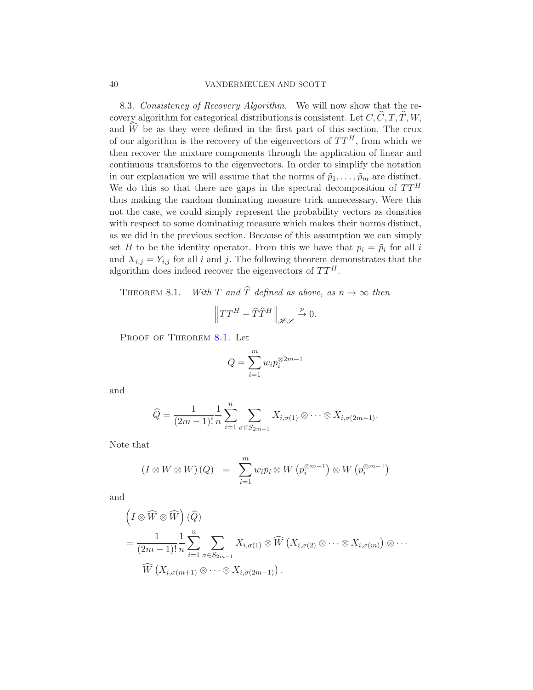### 40 VANDERMEULEN AND SCOTT

8.3. Consistency of Recovery Algorithm. We will now show that the recovery algorithm for categorical distributions is consistent. Let  $C, \widehat{C}, T, \widehat{T}, W$ , and  $\widehat{W}$  be as they were defined in the first part of this section. The crux of our algorithm is the recovery of the eigenvectors of  $TT<sup>H</sup>$ , from which we then recover the mixture components through the application of linear and continuous transforms to the eigenvectors. In order to simplify the notation in our explanation we will assume that the norms of  $\tilde{p}_1, \ldots, \tilde{p}_m$  are distinct. We do this so that there are gaps in the spectral decomposition of  $TT<sup>H</sup>$ thus making the random dominating measure trick unnecessary. Were this not the case, we could simply represent the probability vectors as densities with respect to some dominating measure which makes their norms distinct, as we did in the previous section. Because of this assumption we can simply set B to be the identity operator. From this we have that  $p_i = \tilde{p}_i$  for all i and  $X_{i,j} = Y_{i,j}$  for all i and j. The following theorem demonstrates that the algorithm does indeed recover the eigenvectors of  $TT^H$ .

<span id="page-39-0"></span>THEOREM 8.1. With T and  $\hat{T}$  defined as above, as  $n \to \infty$  then

$$
\left\|TT^{H}-\widehat{T}\widehat{T}^{H}\right\|_{\mathscr{HS}}\xrightarrow{p}0.
$$

PROOF OF THEOREM [8.1.](#page-39-0) Let

$$
Q = \sum_{i=1}^{m} w_i p_i^{\otimes 2m-1}
$$

and

$$
\widehat{Q} = \frac{1}{(2m-1)!} \frac{1}{n} \sum_{i=1}^{n} \sum_{\sigma \in S_{2m-1}} X_{i,\sigma(1)} \otimes \cdots \otimes X_{i,\sigma(2m-1)}.
$$

Note that

$$
(I \otimes W \otimes W) (Q) = \sum_{i=1}^{m} w_i p_i \otimes W (p_i^{\otimes m-1}) \otimes W (p_i^{\otimes m-1})
$$

and

$$
\left(I \otimes \widehat{W} \otimes \widehat{W}\right)(\widehat{Q})
$$
\n
$$
= \frac{1}{(2m-1)!} \frac{1}{n} \sum_{i=1}^{n} \sum_{\sigma \in S_{2m-1}} X_{i,\sigma(1)} \otimes \widehat{W}\left(X_{i,\sigma(2)} \otimes \cdots \otimes X_{i,\sigma(m)}\right) \otimes \cdots
$$
\n
$$
\widehat{W}\left(X_{i,\sigma(m+1)} \otimes \cdots \otimes X_{i,\sigma(2m-1)}\right).
$$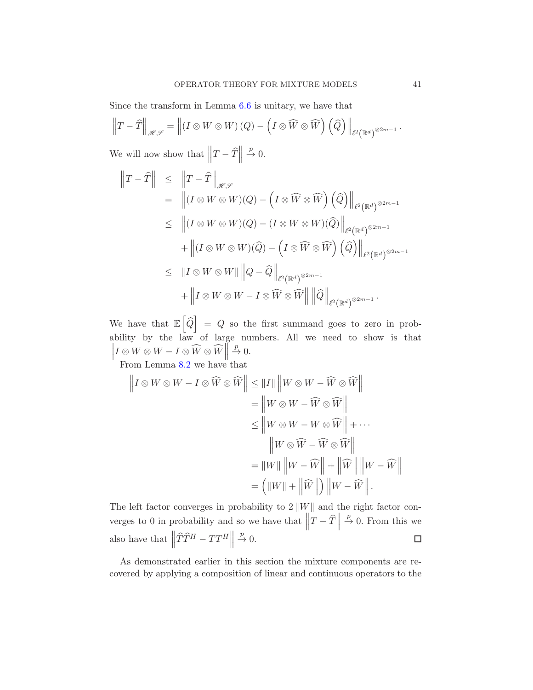Since the transform in Lemma [6.6](#page-20-0) is unitary, we have that

$$
\left\|T-\widehat{T}\right\|_{\mathscr{H}\mathscr{S}}=\left\|\left(I\otimes W\otimes W\right)\left(Q\right)-\left(I\otimes\widehat{W}\otimes\widehat{W}\right)\left(\widehat{Q}\right)\right\|_{\ell^2\left(\mathbb{R}^d\right)^{\otimes 2m-1}}.
$$

We will now show that  $||T - \hat{T}||$  $\stackrel{p}{\rightarrow} 0.$ 

$$
\begin{aligned}\n\left\|T-\widehat{T}\right\| &\leq \left\|T-\widehat{T}\right\|_{\mathscr{H}\mathscr{S}} \\
&= \left\|(I\otimes W\otimes W)(Q) - \left(I\otimes \widehat{W}\otimes \widehat{W}\right)\left(\widehat{Q}\right)\right\|_{\ell^{2}(\mathbb{R}^{d})^{\otimes 2m-1}} \\
&\leq \left\|(I\otimes W\otimes W)(Q) - (I\otimes W\otimes W)(\widehat{Q})\right\|_{\ell^{2}(\mathbb{R}^{d})^{\otimes 2m-1}} \\
&\quad + \left\|(I\otimes W\otimes W)(\widehat{Q}) - \left(I\otimes \widehat{W}\otimes \widehat{W}\right)\left(\widehat{Q}\right)\right\|_{\ell^{2}(\mathbb{R}^{d})^{\otimes 2m-1}} \\
&\leq \left\|I\otimes W\otimes W\right\|\left\|Q-\widehat{Q}\right\|_{\ell^{2}(\mathbb{R}^{d})^{\otimes 2m-1}} \\
&\quad + \left\|I\otimes W\otimes W - I\otimes \widehat{W}\otimes \widehat{W}\right\|\left\|\widehat{Q}\right\|_{\ell^{2}(\mathbb{R}^{d})^{\otimes 2m-1}}.\n\end{aligned}
$$

We have that  $\mathbb{E}\left[\widehat{Q}\right] = Q$  so the first summand goes to zero in probability by the law of large numbers. All we need to show is that  $\left\| I \otimes W \otimes W - I \otimes \widehat{W} \otimes \widehat{W} \right\|$  $\stackrel{p}{\rightarrow} 0.$ 

From Lemma [8.2](#page-30-0) we have that

$$
\|I \otimes W \otimes W - I \otimes \widehat{W} \otimes \widehat{W}\| \le \|I\| \|W \otimes W - \widehat{W} \otimes \widehat{W}\|
$$
  
\n
$$
= \|W \otimes W - \widehat{W} \otimes \widehat{W}\|
$$
  
\n
$$
\le \|W \otimes W - W \otimes \widehat{W}\| + \cdots
$$
  
\n
$$
\|W \otimes \widehat{W} - \widehat{W} \otimes \widehat{W}\|
$$
  
\n
$$
= \|W\| \|W - \widehat{W}\| + \|\widehat{W}\| \|W - \widehat{W}\|
$$
  
\n
$$
= (||W|| + ||\widehat{W}||) ||W - \widehat{W}||.
$$

The left factor converges in probability to  $2||W||$  and the right factor converges to 0 in probability and so we have that  $\left\|T - \widehat{T}\right\|$  $\stackrel{p}{\rightarrow} 0$ . From this we also have that  $\left\| \widehat{T} \widehat{T}^{H} - TT^{H} \right\|$  $\stackrel{p}{\rightarrow} 0.$  $\Box$ 

As demonstrated earlier in this section the mixture components are recovered by applying a composition of linear and continuous operators to the

 $\left| {}\right|$ II  $\frac{1}{2}$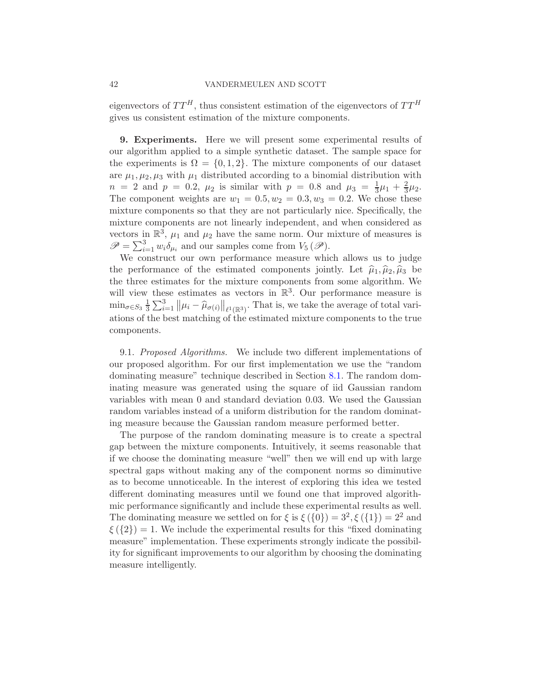### 42 VANDERMEULEN AND SCOTT

eigenvectors of  $TT^H$ , thus consistent estimation of the eigenvectors of  $TT^H$ gives us consistent estimation of the mixture components.

<span id="page-41-0"></span>9. Experiments. Here we will present some experimental results of our algorithm applied to a simple synthetic dataset. The sample space for the experiments is  $\Omega = \{0, 1, 2\}$ . The mixture components of our dataset are  $\mu_1, \mu_2, \mu_3$  with  $\mu_1$  distributed according to a binomial distribution with  $n = 2$  and  $p = 0.2$ ,  $\mu_2$  is similar with  $p = 0.8$  and  $\mu_3 = \frac{1}{3}$  $\frac{1}{3}\mu_1 + \frac{2}{3}$  $\frac{2}{3}\mu_2.$ The component weights are  $w_1 = 0.5, w_2 = 0.3, w_3 = 0.2$ . We chose these mixture components so that they are not particularly nice. Specifically, the mixture components are not linearly independent, and when considered as vectors in  $\mathbb{R}^3$ ,  $\mu_1$  and  $\mu_2$  have the same norm. Our mixture of measures is  $\mathscr{P} = \sum_{i=1}^{3} w_i \delta_{\mu_i}$  and our samples come from  $V_5(\mathscr{P})$ .

We construct our own performance measure which allows us to judge the performance of the estimated components jointly. Let  $\hat{\mu}_1, \hat{\mu}_2, \hat{\mu}_3$  be the three estimates for the mixture components from some algorithm. We will view these estimates as vectors in  $\mathbb{R}^3$ . Our performance measure is  $\min_{\sigma \in S_3} \frac{1}{3}$  $\frac{1}{3}\sum_{i=1}^{3} ||\mu_i - \widehat{\mu}_{\sigma(i)}||_{\ell^1(\mathbb{R}^3)}$ . That is, we take the average of total variations of the best matching of the estimated mixture components to the true components.

9.1. Proposed Algorithms. We include two different implementations of our proposed algorithm. For our first implementation we use the "random dominating measure" technique described in Section [8.1.](#page-33-0) The random dominating measure was generated using the square of iid Gaussian random variables with mean 0 and standard deviation 0.03. We used the Gaussian random variables instead of a uniform distribution for the random dominating measure because the Gaussian random measure performed better.

The purpose of the random dominating measure is to create a spectral gap between the mixture components. Intuitively, it seems reasonable that if we choose the dominating measure "well" then we will end up with large spectral gaps without making any of the component norms so diminutive as to become unnoticeable. In the interest of exploring this idea we tested different dominating measures until we found one that improved algorithmic performance significantly and include these experimental results as well. The dominating measure we settled on for  $\xi$  is  $\xi(\{0\}) = 3^2, \xi(\{1\}) = 2^2$  and  $\xi$  ( $\{2\}$ ) = 1. We include the experimental results for this "fixed dominating measure" implementation. These experiments strongly indicate the possibility for significant improvements to our algorithm by choosing the dominating measure intelligently.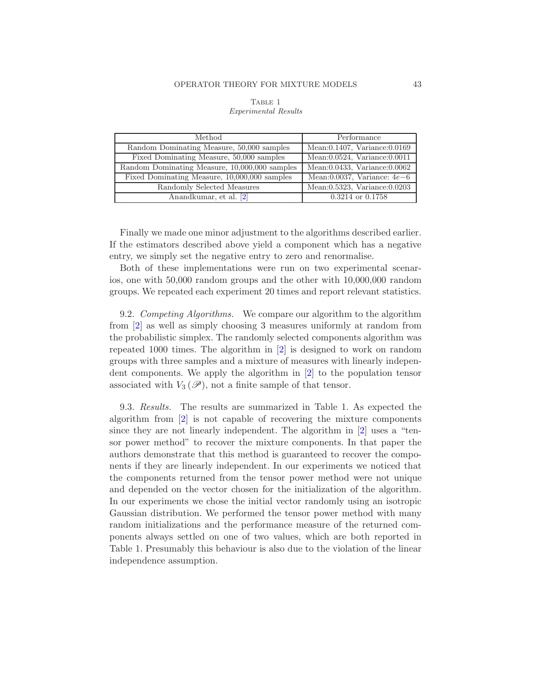| Method                                        | Performance                         |  |
|-----------------------------------------------|-------------------------------------|--|
| Random Dominating Measure, 50,000 samples     | Mean:0.1407, Variance:0.0169        |  |
| Fixed Dominating Measure, 50,000 samples      | Mean: $0.0524$ , Variance: $0.0011$ |  |
| Random Dominating Measure, 10,000,000 samples | Mean: 0.0433, Variance: 0.0062      |  |
| Fixed Dominating Measure, 10,000,000 samples  | Mean:0.0037, Variance: $4e-6$       |  |
| Randomly Selected Measures                    | Mean: 0.5323, Variance: 0.0203      |  |
| Anandkumar, et al. [2]                        | $0.3214$ or $0.1758$                |  |

# TABLE 1 *Experimental Results*

Finally we made one minor adjustment to the algorithms described earlier. If the estimators described above yield a component which has a negative entry, we simply set the negative entry to zero and renormalise.

Both of these implementations were run on two experimental scenarios, one with 50,000 random groups and the other with 10,000,000 random groups. We repeated each experiment 20 times and report relevant statistics.

9.2. Competing Algorithms. We compare our algorithm to the algorithm from [\[2\]](#page-51-3) as well as simply choosing 3 measures uniformly at random from the probabilistic simplex. The randomly selected components algorithm was repeated 1000 times. The algorithm in [\[2](#page-51-3)] is designed to work on random groups with three samples and a mixture of measures with linearly independent components. We apply the algorithm in [\[2](#page-51-3)] to the population tensor associated with  $V_3(\mathscr{P})$ , not a finite sample of that tensor.

<span id="page-42-0"></span>9.3. Results. The results are summarized in Table 1. As expected the algorithm from [\[2](#page-51-3)] is not capable of recovering the mixture components since they are not linearly independent. The algorithm in [\[2\]](#page-51-3) uses a "tensor power method" to recover the mixture components. In that paper the authors demonstrate that this method is guaranteed to recover the components if they are linearly independent. In our experiments we noticed that the components returned from the tensor power method were not unique and depended on the vector chosen for the initialization of the algorithm. In our experiments we chose the initial vector randomly using an isotropic Gaussian distribution. We performed the tensor power method with many random initializations and the performance measure of the returned components always settled on one of two values, which are both reported in Table 1. Presumably this behaviour is also due to the violation of the linear independence assumption.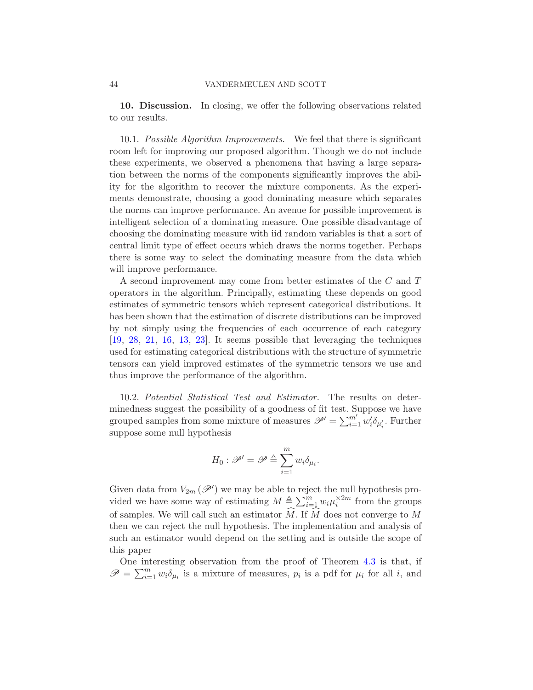10. Discussion. In closing, we offer the following observations related to our results.

10.1. Possible Algorithm Improvements. We feel that there is significant room left for improving our proposed algorithm. Though we do not include these experiments, we observed a phenomena that having a large separation between the norms of the components significantly improves the ability for the algorithm to recover the mixture components. As the experiments demonstrate, choosing a good dominating measure which separates the norms can improve performance. An avenue for possible improvement is intelligent selection of a dominating measure. One possible disadvantage of choosing the dominating measure with iid random variables is that a sort of central limit type of effect occurs which draws the norms together. Perhaps there is some way to select the dominating measure from the data which will improve performance.

A second improvement may come from better estimates of the C and T operators in the algorithm. Principally, estimating these depends on good estimates of symmetric tensors which represent categorical distributions. It has been shown that the estimation of discrete distributions can be improved by not simply using the frequencies of each occurrence of each category [\[19,](#page-52-5) [28](#page-52-6), [21](#page-52-7), [16](#page-51-15), [13](#page-51-16), [23\]](#page-52-8). It seems possible that leveraging the techniques used for estimating categorical distributions with the structure of symmetric tensors can yield improved estimates of the symmetric tensors we use and thus improve the performance of the algorithm.

10.2. Potential Statistical Test and Estimator. The results on determinedness suggest the possibility of a goodness of fit test. Suppose we have grouped samples from some mixture of measures  $\mathscr{P}' = \sum_{i=1}^{m'} w'_i \delta_{\mu'_i}$ . Further suppose some null hypothesis

$$
H_0: \mathscr{P}' = \mathscr{P} \triangleq \sum_{i=1}^m w_i \delta_{\mu_i}.
$$

Given data from  $V_{2m}(\mathscr{P}')$  we may be able to reject the null hypothesis provided we have some way of estimating  $M \triangleq \sum_{i=1}^{m} w_i \mu_i^{\times 2m}$  from the groups of samples. We will call such an estimator  $\widehat{M}$ . If  $\widehat{M}$  does not converge to M then we can reject the null hypothesis. The implementation and analysis of such an estimator would depend on the setting and is outside the scope of this paper

One interesting observation from the proof of Theorem [4.3](#page-5-0) is that, if  $\mathscr{P} = \sum_{i=1}^m w_i \delta_{\mu_i}$  is a mixture of measures,  $p_i$  is a pdf for  $\mu_i$  for all i, and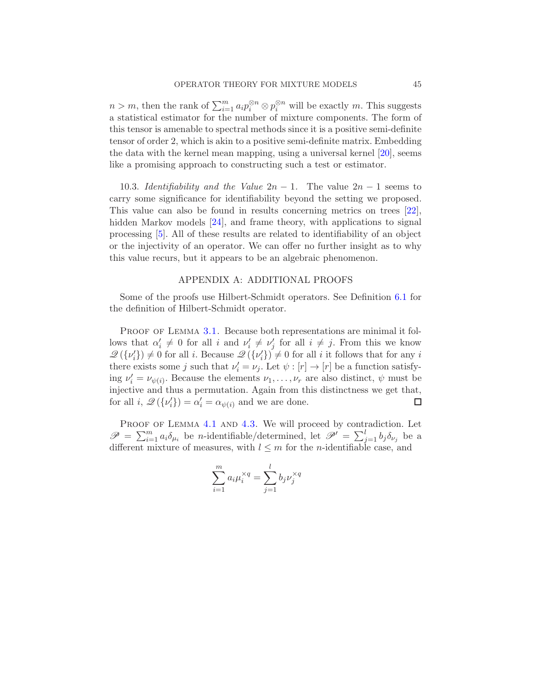$n > m$ , then the rank of  $\sum_{i=1}^{m} a_i p_i^{\otimes n} \otimes p_i^{\otimes n}$  will be exactly m. This suggests a statistical estimator for the number of mixture components. The form of this tensor is amenable to spectral methods since it is a positive semi-definite tensor of order 2, which is akin to a positive semi-definite matrix. Embedding the data with the kernel mean mapping, using a universal kernel [\[20\]](#page-52-9), seems like a promising approach to constructing such a test or estimator.

10.3. Identifiability and the Value  $2n - 1$ . The value  $2n - 1$  seems to carry some significance for identifiability beyond the setting we proposed. This value can also be found in results concerning metrics on trees [\[22](#page-52-10)], hidden Markov models [\[24](#page-52-11)], and frame theory, with applications to signal processing [\[5](#page-51-17)]. All of these results are related to identifiability of an object or the injectivity of an operator. We can offer no further insight as to why this value recurs, but it appears to be an algebraic phenomenon.

## APPENDIX A: ADDITIONAL PROOFS

<span id="page-44-0"></span>Some of the proofs use Hilbert-Schmidt operators. See Definition [6.1](#page-18-0) for the definition of Hilbert-Schmidt operator.

PROOF OF LEMMA [3.1.](#page-3-0) Because both representations are minimal it follows that  $\alpha'_i \neq 0$  for all i and  $\nu'_i \neq \nu'_j$  for all  $i \neq j$ . From this we know  $\mathscr{Q}(\{\nu'_i\}) \neq 0$  for all *i*. Because  $\mathscr{Q}(\{\nu'_i\}) \neq 0$  for all *i* it follows that for any *i* there exists some j such that  $\nu'_i = \nu_j$ . Let  $\psi : [r] \to [r]$  be a function satisfying  $\nu'_i = \nu_{\psi(i)}$ . Because the elements  $\nu_1, \ldots, \nu_r$  are also distinct,  $\psi$  must be injective and thus a permutation. Again from this distinctness we get that, for all  $i, \mathcal{Q}(\{\nu_i'\}) = \alpha_i' = \alpha_{\psi(i)}$  and we are done.  $\Box$ 

PROOF OF LEMMA [4.1](#page-4-4) AND [4.3.](#page-5-2) We will proceed by contradiction. Let  $\mathscr{P} = \sum_{i=1}^m a_i \delta_{\mu_i}$  be *n*-identifiable/determined, let  $\mathscr{P}' = \sum_{j=1}^l b_j \delta_{\nu_j}$  be a different mixture of measures, with  $l \leq m$  for the *n*-identifiable case, and

$$
\sum_{i=1}^{m} a_i \mu_i^{\times q} = \sum_{j=1}^{l} b_j \nu_j^{\times q}
$$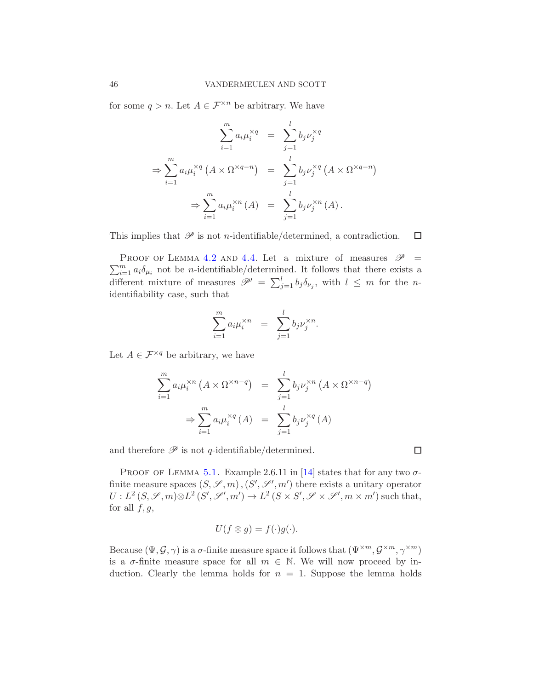for some  $q > n$ . Let  $A \in \mathcal{F}^{\times n}$  be arbitrary. We have

$$
\sum_{i=1}^{m} a_i \mu_i^{\times q} = \sum_{j=1}^{l} b_j \nu_j^{\times q}
$$
  
\n
$$
\Rightarrow \sum_{i=1}^{m} a_i \mu_i^{\times q} (A \times \Omega^{\times q - n}) = \sum_{j=1}^{l} b_j \nu_j^{\times q} (A \times \Omega^{\times q - n})
$$
  
\n
$$
\Rightarrow \sum_{i=1}^{m} a_i \mu_i^{\times n} (A) = \sum_{j=1}^{l} b_j \nu_j^{\times n} (A).
$$

This implies that  $\mathscr P$  is not *n*-identifiable/determined, a contradiction.

 $\sum_{i=1}^{m} a_i \delta_{\mu_i}$  not be *n*-identifiable/determined. It follows that there exists a PROOF OF LEMMA [4.2](#page-4-5) AND [4.4.](#page-5-3) Let a mixture of measures  $\mathscr{P}$  = different mixture of measures  $\mathscr{P}' = \sum_{j=1}^{l} b_j \delta_{\nu_j}$ , with  $l \leq m$  for the *n*identifiability case, such that

$$
\sum_{i=1}^m a_i \mu_i^{\times n} = \sum_{j=1}^l b_j \nu_j^{\times n}.
$$

Let  $A \in \mathcal{F}^{\times q}$  be arbitrary, we have

$$
\sum_{i=1}^{m} a_i \mu_i^{\times n} (A \times \Omega^{\times n-q}) = \sum_{j=1}^{l} b_j \nu_j^{\times n} (A \times \Omega^{\times n-q})
$$

$$
\Rightarrow \sum_{i=1}^{m} a_i \mu_i^{\times q} (A) = \sum_{j=1}^{l} b_j \nu_j^{\times q} (A)
$$

and therefore  $\mathscr P$  is not q-identifiable/determined.

 $\Box$ 

 $\Box$ 

PROOF OF LEMMA [5.1.](#page-9-1) Example 2.6.11 in [\[14](#page-51-11)] states that for any two  $\sigma$ finite measure spaces  $(S, \mathscr{S}, m)$ ,  $(S', \mathscr{S}', m')$  there exists a unitary operator  $U: L^2(S, \mathscr{S}, m) \otimes L^2(S', \mathscr{S}', m') \to L^2(S \times S', \mathscr{S} \times \mathscr{S}', m \times m')$  such that, for all  $f, g$ ,

$$
U(f \otimes g) = f(\cdot)g(\cdot).
$$

Because  $(\Psi, \mathcal{G}, \gamma)$  is a  $\sigma$ -finite measure space it follows that  $(\Psi^{\times m}, \mathcal{G}^{\times m}, \gamma^{\times m})$ is a  $\sigma$ -finite measure space for all  $m \in \mathbb{N}$ . We will now proceed by induction. Clearly the lemma holds for  $n = 1$ . Suppose the lemma holds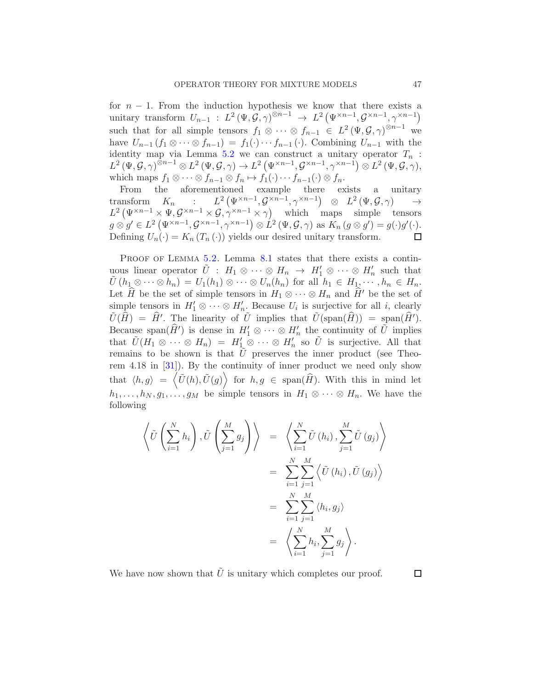for  $n - 1$ . From the induction hypothesis we know that there exists a unitary transform  $U_{n-1}$ :  $L^2(\Psi, \mathcal{G}, \gamma)^{\otimes n-1} \rightarrow L^2(\Psi^{\times n-1}, \mathcal{G}^{\times n-1}, \gamma^{\times n-1})$ such that for all simple tensors  $f_1 \otimes \cdots \otimes f_{n-1} \in L^2(\Psi, \mathcal{G}, \gamma)^{\otimes n-1}$  we have  $U_{n-1}$   $(f_1 \otimes \cdots \otimes f_{n-1}) = f_1(\cdot) \cdots f_{n-1}(\cdot)$ . Combining  $U_{n-1}$  with the identity map via Lemma [5.2](#page-9-3) we can construct a unitary operator  $T_n$ :  $L^{2}(\Psi, \mathcal{G}, \gamma)^{\otimes n-1}\otimes L^{2}(\Psi, \mathcal{G}, \gamma)\rightarrow L^{2}(\Psi^{\times n-1}, \mathcal{G}^{\times n-1}, \gamma^{\times n-1})\otimes L^{2}(\Psi, \mathcal{G}, \gamma),$ which maps  $f_1 \otimes \cdots \otimes f_{n-1} \otimes f_n \mapsto f_1(\cdot) \cdots f_{n-1}(\cdot) \otimes f_n$ .

From the aforementioned example there exists a unitary transform  $K_n$  :  $L^2(\Psi^{\times n-1}, \mathcal{G}^{\times n-1}, \gamma^{\times n-1}) \otimes L^2(\Psi, \mathcal{G}, \gamma) \longrightarrow$  $L^2 \left( \Psi^{\times n-1} \times \Psi, \mathcal{G}^{\times n-1} \times \mathcal{G}, \gamma^{\times n-1} \times \gamma \right)$  which maps simple tensors  $g \otimes g' \in L^2 \left( \Psi^{\times n-1}, \mathcal{G}^{\times n-1}, \gamma^{\times n-1} \right) \otimes L^2 \left( \Psi, \mathcal{G}, \gamma \right) \text{ as } K_n \left( g \otimes g' \right) = g(\cdot) g'(\cdot).$ Defining  $U_n(\cdot) = K_n(T_n(\cdot))$  yields our desired unitary transform.

PROOF OF LEMMA [5.2.](#page-9-3) Lemma [8.1](#page-29-1) states that there exists a continuous linear operator  $\tilde{U}$ :  $H_1 \otimes \cdots \otimes H_n \to H'_1 \otimes \cdots \otimes H'_n$  such that  $\tilde{U}(h_1 \otimes \cdots \otimes h_n) = U_1(h_1) \otimes \cdots \otimes U_n(h_n)$  for all  $h_1 \in H_1, \cdots, h_n \in H_n$ . Let  $\hat{H}$  be the set of simple tensors in  $H_1 \otimes \cdots \otimes H_n$  and  $\hat{H}'$  be the set of simple tensors in  $H'_1 \otimes \cdots \otimes H'_{n}$ . Because  $U_i$  is surjective for all i, clearly  $\tilde{U}(\hat{H}) = \hat{H}'$ . The linearity of  $\tilde{U}$  implies that  $\tilde{U}(\text{span}(\hat{H})) = \text{span}(\hat{H}')$ . Because span $(\widehat{H}')$  is dense in  $H'_1 \otimes \cdots \otimes H'_n$  the continuity of  $\widetilde{U}$  implies that  $\tilde{U}(H_1 \otimes \cdots \otimes H_n) = H'_1 \otimes \cdots \otimes H'_n$  so  $\tilde{U}$  is surjective. All that remains to be shown is that  $\bar{U}$  preserves the inner product (see Theorem 4.18 in [\[31](#page-52-12)]). By the continuity of inner product we need only show that  $\langle h, g \rangle = \langle \tilde{U}(h), \tilde{U}(g) \rangle$  for  $h, g \in \text{span}(\widehat{H})$ . With this in mind let  $h_1, \ldots, h_N, g_1, \ldots, g_M$  be simple tensors in  $H_1 \otimes \cdots \otimes H_n$ . We have the following

$$
\left\langle \tilde{U}\left(\sum_{i=1}^{N} h_{i}\right), \tilde{U}\left(\sum_{j=1}^{M} g_{j}\right) \right\rangle = \left\langle \sum_{i=1}^{N} \tilde{U}\left(h_{i}\right), \sum_{j=1}^{M} \tilde{U}\left(g_{j}\right) \right\rangle
$$

$$
= \sum_{i=1}^{N} \sum_{j=1}^{M} \left\langle \tilde{U}\left(h_{i}\right), \tilde{U}\left(g_{j}\right) \right\rangle
$$

$$
= \sum_{i=1}^{N} \sum_{j=1}^{M} \left\langle h_{i}, g_{j} \right\rangle
$$

$$
= \left\langle \sum_{i=1}^{N} h_{i}, \sum_{j=1}^{M} g_{j} \right\rangle.
$$

We have now shown that  $\bar{U}$  is unitary which completes our proof.

 $\Box$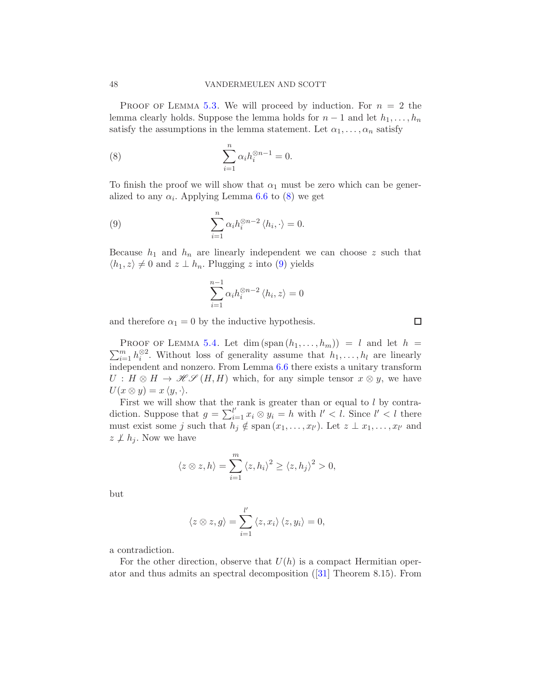PROOF OF LEMMA [5.3.](#page-9-2) We will proceed by induction. For  $n = 2$  the lemma clearly holds. Suppose the lemma holds for  $n-1$  and let  $h_1, \ldots, h_n$ satisfy the assumptions in the lemma statement. Let  $\alpha_1, \ldots, \alpha_n$  satisfy

<span id="page-47-0"></span>(8) 
$$
\sum_{i=1}^{n} \alpha_i h_i^{\otimes n-1} = 0.
$$

To finish the proof we will show that  $\alpha_1$  must be zero which can be generalized to any  $\alpha_i$ . Applying Lemma [6.6](#page-20-0) to [\(8\)](#page-47-0) we get

(9) 
$$
\sum_{i=1}^{n} \alpha_i h_i^{\otimes n-2} \langle h_i, \cdot \rangle = 0.
$$

Because  $h_1$  and  $h_n$  are linearly independent we can choose z such that  $\langle h_1, z \rangle \neq 0$  and  $z \perp h_n$ . Plugging z into [\(9\)](#page-47-1) yields

<span id="page-47-1"></span>
$$
\sum_{i=1}^{n-1} \alpha_i h_i^{\otimes n-2} \langle h_i, z \rangle = 0
$$

and therefore  $\alpha_1 = 0$  by the inductive hypothesis.

 $\sum_{i=1}^{m} h_i^{\otimes 2}$ . Without loss of generality assume that  $h_1, \ldots, h_l$  are linearly PROOF OF LEMMA [5.4.](#page-9-4) Let dim  $(\text{span}(h_1,\ldots,h_m)) = l$  and let  $h =$ independent and nonzero. From Lemma [6.6](#page-20-0) there exists a unitary transform  $U : H \otimes H \to \mathcal{H} \mathcal{S} (H, H)$  which, for any simple tensor  $x \otimes y$ , we have  $U(x \otimes y) = x \langle y, \cdot \rangle.$ 

First we will show that the rank is greater than or equal to  $l$  by contradiction. Suppose that  $g = \sum_{i=1}^{l'} x_i \otimes y_i = h$  with  $l' < l$ . Since  $l' < l$  there must exist some j such that  $h_j \notin \text{span}(x_1, \ldots, x_{l'})$ . Let  $z \perp x_1, \ldots, x_{l'}$  and  $z \not\perp h_i$ . Now we have

$$
\langle z \otimes z, h \rangle = \sum_{i=1}^{m} \langle z, h_i \rangle^2 \ge \langle z, h_j \rangle^2 > 0,
$$

but

$$
\langle z \otimes z, g \rangle = \sum_{i=1}^{l'} \langle z, x_i \rangle \langle z, y_i \rangle = 0,
$$

a contradiction.

For the other direction, observe that  $U(h)$  is a compact Hermitian operator and thus admits an spectral decomposition ([\[31](#page-52-12)] Theorem 8.15). From

 $\Box$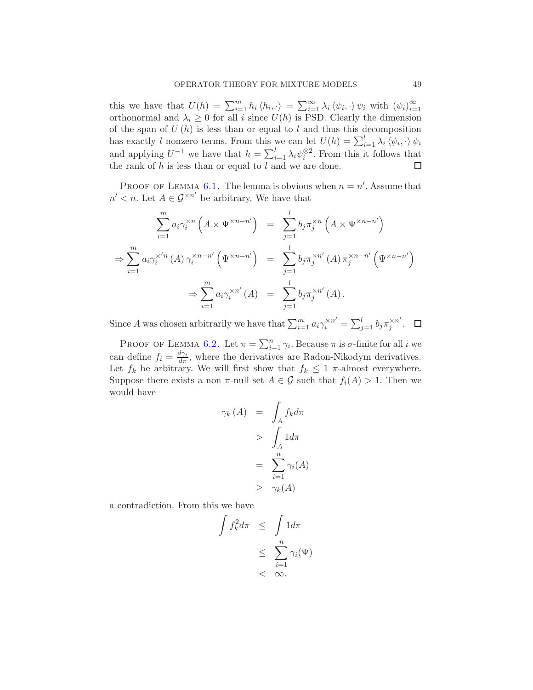this we have that  $U(h) = \sum_{i=1}^{m} h_i \langle h_i, \cdot \rangle = \sum_{i=1}^{\infty} \lambda_i \langle \psi_i, \cdot \rangle \psi_i$  with  $(\psi_i)_{i=1}^{\infty}$ orthonormal and  $\lambda_i \geq 0$  for all i since  $U(h)$  is PSD. Clearly the dimension of the span of  $U(h)$  is less than or equal to l and thus this decomposition has exactly l nonzero terms. From this we can let  $U(h) = \sum_{i=1}^{l} \lambda_i \langle \psi_i, \cdot \rangle \psi_i$ and applying  $U^{-1}$  we have that  $h = \sum_{i=1}^{l} \lambda_i \psi_i^{\otimes 2}$ . From this it follows that the rank of h is less than or equal to l and we are done. □

PROOF OF LEMMA [6.1.](#page-10-0) The lemma is obvious when  $n = n'$ . Assume that  $n' < n$ . Let  $A \in \mathcal{G}^{\times n'}$  be arbitrary. We have that

$$
\sum_{i=1}^{m} a_i \gamma_i^{*n} \left( A \times \Psi^{*n-n'} \right) = \sum_{j=1}^{l} b_j \pi_j^{*n} \left( A \times \Psi^{*n-n'} \right)
$$
  
\n
$$
\Rightarrow \sum_{i=1}^{m} a_i \gamma_i^{*n} \left( A \right) \gamma_i^{*n-n'} \left( \Psi^{*n-n'} \right) = \sum_{j=1}^{l} b_j \pi_j^{*n'} \left( A \right) \pi_j^{*n-n'} \left( \Psi^{*n-n'} \right)
$$
  
\n
$$
\Rightarrow \sum_{i=1}^{m} a_i \gamma_i^{*n'} \left( A \right) = \sum_{j=1}^{l} b_j \pi_j^{*n'} \left( A \right).
$$

Since A was chosen arbitrarily we have that  $\sum_{i=1}^{m} a_i \gamma_i^{*n'} = \sum_{j=1}^{l} b_j \pi_j^{*n'}$  $\frac{1}{j}$ .

PROOF OF LEMMA [6.2.](#page-11-0) Let  $\pi = \sum_{i=1}^n \gamma_i$ . Because  $\pi$  is  $\sigma$ -finite for all i we can define  $f_i = \frac{d\gamma_i}{d\pi}$ , where the derivatives are Radon-Nikodym derivatives. Let  $f_k$  be arbitrary. We will first show that  $f_k \leq 1$   $\pi$ -almost everywhere. Suppose there exists a non  $\pi$ -null set  $A \in \mathcal{G}$  such that  $f_i(A) > 1$ . Then we would have

$$
\gamma_k(A) = \int_A f_k d\pi
$$
  
> 
$$
\int_A 1 d\pi
$$
  
= 
$$
\sum_{i=1}^n \gamma_i(A)
$$
  

$$
\geq \gamma_k(A)
$$

a contradiction. From this we have

$$
\int f_k^2 d\pi \leq \int 1 d\pi
$$
  

$$
\leq \sum_{i=1}^n \gamma_i(\Psi)
$$
  

$$
< \infty.
$$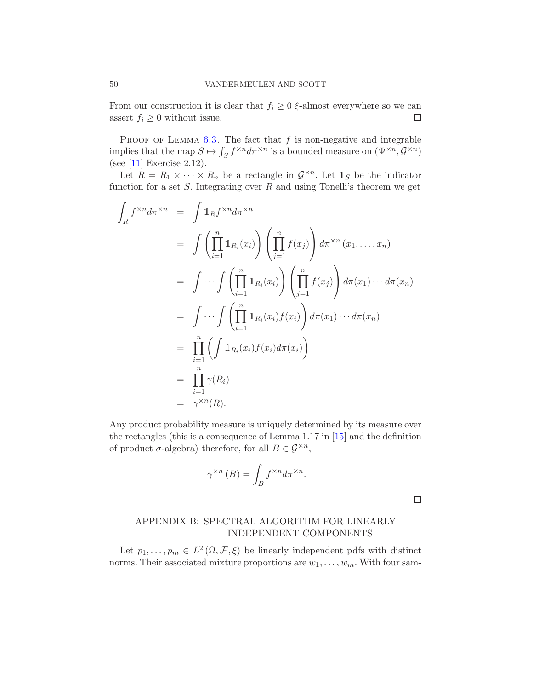From our construction it is clear that  $f_i \geq 0$   $\xi$ -almost everywhere so we can assert  $f_i \geq 0$  without issue. assert  $f_i \geq 0$  without issue.

PROOF OF LEMMA  $6.3$ . The fact that f is non-negative and integrable implies that the map  $S \mapsto \int_S f^{\times n} d\pi^{\times n}$  is a bounded measure on  $(\Psi^{\times n}, \mathcal{G}^{\times n})$ (see [\[11\]](#page-51-13) Exercise 2.12).

Let  $R = R_1 \times \cdots \times R_n$  be a rectangle in  $\mathcal{G}^{\times n}$ . Let  $\mathbb{1}_S$  be the indicator function for a set  $S$ . Integrating over  $R$  and using Tonelli's theorem we get

$$
\int_{R} f^{\times n} d\pi^{\times n} = \int \mathbb{1}_{R} f^{\times n} d\pi^{\times n}
$$
\n
$$
= \int \left( \prod_{i=1}^{n} \mathbb{1}_{R_{i}}(x_{i}) \right) \left( \prod_{j=1}^{n} f(x_{j}) \right) d\pi^{\times n} (x_{1}, \dots, x_{n})
$$
\n
$$
= \int \cdots \int \left( \prod_{i=1}^{n} \mathbb{1}_{R_{i}}(x_{i}) \right) \left( \prod_{j=1}^{n} f(x_{j}) \right) d\pi(x_{1}) \cdots d\pi(x_{n})
$$
\n
$$
= \int \cdots \int \left( \prod_{i=1}^{n} \mathbb{1}_{R_{i}}(x_{i}) f(x_{i}) \right) d\pi(x_{1}) \cdots d\pi(x_{n})
$$
\n
$$
= \prod_{i=1}^{n} \left( \int \mathbb{1}_{R_{i}}(x_{i}) f(x_{i}) d\pi(x_{i}) \right)
$$
\n
$$
= \prod_{i=1}^{n} \gamma(R_{i})
$$
\n
$$
= \gamma^{\times n}(R).
$$

Any product probability measure is uniquely determined by its measure over the rectangles (this is a consequence of Lemma 1.17 in [\[15](#page-51-7)] and the definition of product  $\sigma$ -algebra) therefore, for all  $B \in \mathcal{G}^{\times n}$ ,

$$
\gamma^{\times n}(B) = \int_B f^{\times n} d\pi^{\times n}.
$$

 $\Box$ 

# <span id="page-49-0"></span>APPENDIX B: SPECTRAL ALGORITHM FOR LINEARLY INDEPENDENT COMPONENTS

Let  $p_1, \ldots, p_m \in L^2(\Omega, \mathcal{F}, \xi)$  be linearly independent pdfs with distinct norms. Their associated mixture proportions are  $w_1, \ldots, w_m$ . With four sam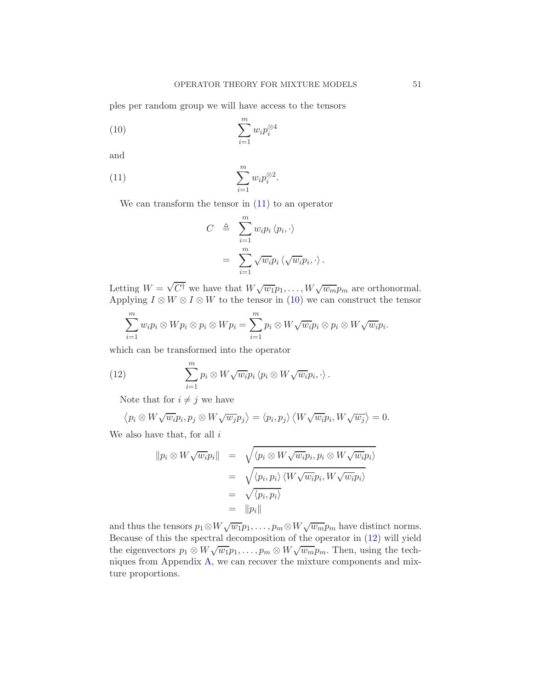ples per random group we will have access to the tensors

$$
(10)\qquad \qquad \sum_{i=1}^{m} w_i p_i^{\otimes 4}
$$

and

(11) 
$$
\sum_{i=1}^{m} w_i p_i^{\otimes 2}.
$$

We can transform the tensor in  $(11)$  to an operator

<span id="page-50-1"></span><span id="page-50-0"></span>
$$
C \triangleq \sum_{i=1}^{m} w_i p_i \langle p_i, \cdot \rangle
$$
  
= 
$$
\sum_{i=1}^{m} \sqrt{w_i} p_i \langle \sqrt{w_i} p_i, \cdot \rangle.
$$

Letting  $W = \sqrt{C^{\dagger}}$  we have that  $W\sqrt{w_1}p_1,\ldots,W\sqrt{w_m}p_m$  are orthonormal. Applying  $I \otimes W \otimes I \otimes W$  to the tensor in [\(10\)](#page-50-1) we can construct the tensor

$$
\sum_{i=1}^m w_i p_i \otimes W p_i \otimes p_i \otimes W p_i = \sum_{i=1}^m p_i \otimes W \sqrt{w_i} p_i \otimes p_i \otimes W \sqrt{w_i} p_i.
$$

which can be transformed into the operator

(12) 
$$
\sum_{i=1}^{m} p_i \otimes W \sqrt{w_i} p_i \langle p_i \otimes W \sqrt{w_i} p_i, \cdot \rangle.
$$

<span id="page-50-2"></span>Note that for  $i \neq j$  we have

$$
\langle p_i \otimes W \sqrt{w_i} p_i, p_j \otimes W \sqrt{w_j} p_j \rangle = \langle p_i, p_j \rangle \langle W \sqrt{w_i} p_i, W \sqrt{w_j} \rangle = 0.
$$

We also have that, for all  $i$ 

$$
\begin{array}{rcl}\n\|p_i \otimes W \sqrt{w_i} p_i\| & = & \sqrt{\langle p_i \otimes W \sqrt{w_i} p_i, p_i \otimes W \sqrt{w_i} p_i \rangle} \\
& = & \sqrt{\langle p_i, p_i \rangle} \langle W \sqrt{w_i} p_i, W \sqrt{w_i} p_i \rangle} \\
& = & \sqrt{\langle p_i, p_i \rangle} \\
& = & \|p_i\|\n\end{array}
$$

and thus the tensors  $p_1 \otimes W \sqrt{w_1} p_1, \ldots, p_m \otimes W \sqrt{w_m} p_m$  have distinct norms. Because of this the spectral decomposition of the operator in [\(12\)](#page-50-2) will yield the eigenvectors  $p_1 \otimes W \sqrt{w_1} p_1, \ldots, p_m \otimes W \sqrt{w_m} p_m$ . Then, using the techniques from Appendix [A,](#page-44-0) we can recover the mixture components and mixture proportions.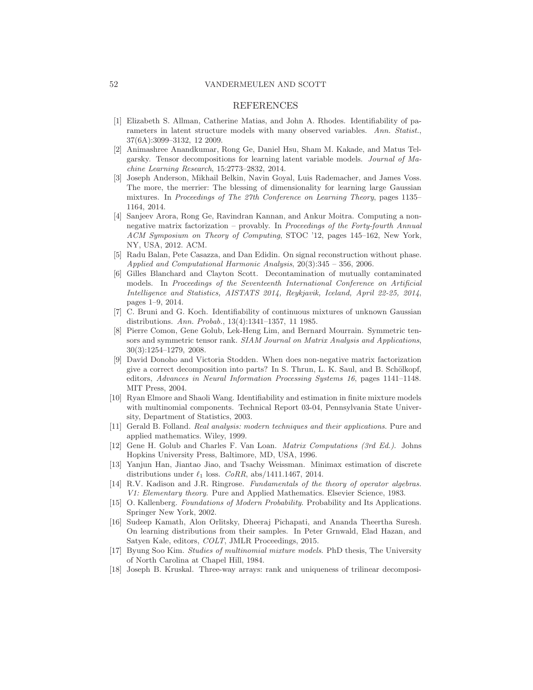### 52 VANDERMEULEN AND SCOTT

### REFERENCES

- <span id="page-51-2"></span>[1] Elizabeth S. Allman, Catherine Matias, and John A. Rhodes. Identifiability of parameters in latent structure models with many observed variables. *Ann. Statist.*, 37(6A):3099–3132, 12 2009.
- <span id="page-51-3"></span>[2] Animashree Anandkumar, Rong Ge, Daniel Hsu, Sham M. Kakade, and Matus Telgarsky. Tensor decompositions for learning latent variable models. *Journal of Machine Learning Research*, 15:2773–2832, 2014.
- <span id="page-51-0"></span>[3] Joseph Anderson, Mikhail Belkin, Navin Goyal, Luis Rademacher, and James Voss. The more, the merrier: The blessing of dimensionality for learning large Gaussian mixtures. In *Proceedings of The 27th Conference on Learning Theory*, pages 1135– 1164, 2014.
- <span id="page-51-4"></span>[4] Sanjeev Arora, Rong Ge, Ravindran Kannan, and Ankur Moitra. Computing a nonnegative matrix factorization – provably. In *Proceedings of the Forty-fourth Annual ACM Symposium on Theory of Computing*, STOC '12, pages 145–162, New York, NY, USA, 2012. ACM.
- <span id="page-51-17"></span>[5] Radu Balan, Pete Casazza, and Dan Edidin. On signal reconstruction without phase. *Applied and Computational Harmonic Analysis*, 20(3):345 – 356, 2006.
- <span id="page-51-10"></span>[6] Gilles Blanchard and Clayton Scott. Decontamination of mutually contaminated models. In *Proceedings of the Seventeenth International Conference on Artificial Intelligence and Statistics, AISTATS 2014, Reykjavik, Iceland, April 22-25, 2014*, pages 1–9, 2014.
- <span id="page-51-1"></span>[7] C. Bruni and G. Koch. Identifiability of continuous mixtures of unknown Gaussian distributions. *Ann. Probab.*, 13(4):1341–1357, 11 1985.
- <span id="page-51-12"></span>[8] Pierre Comon, Gene Golub, Lek-Heng Lim, and Bernard Mourrain. Symmetric tensors and symmetric tensor rank. *SIAM Journal on Matrix Analysis and Applications*, 30(3):1254–1279, 2008.
- <span id="page-51-9"></span>[9] David Donoho and Victoria Stodden. When does non-negative matrix factorization give a correct decomposition into parts? In S. Thrun, L. K. Saul, and B. Schölkopf, editors, *Advances in Neural Information Processing Systems 16*, pages 1141–1148. MIT Press, 2004.
- <span id="page-51-6"></span>[10] Ryan Elmore and Shaoli Wang. Identifiability and estimation in finite mixture models with multinomial components. Technical Report 03-04, Pennsylvania State University, Department of Statistics, 2003.
- <span id="page-51-13"></span>[11] Gerald B. Folland. *Real analysis: modern techniques and their applications*. Pure and applied mathematics. Wiley, 1999.
- <span id="page-51-14"></span>[12] Gene H. Golub and Charles F. Van Loan. *Matrix Computations (3rd Ed.)*. Johns Hopkins University Press, Baltimore, MD, USA, 1996.
- <span id="page-51-16"></span>[13] Yanjun Han, Jiantao Jiao, and Tsachy Weissman. Minimax estimation of discrete distributions under  $\ell_1$  loss. *CoRR*, abs/1411.1467, 2014.
- <span id="page-51-11"></span>[14] R.V. Kadison and J.R. Ringrose. *Fundamentals of the theory of operator algebras. V1: Elementary theory*. Pure and Applied Mathematics. Elsevier Science, 1983.
- <span id="page-51-7"></span>[15] O. Kallenberg. *Foundations of Modern Probability*. Probability and Its Applications. Springer New York, 2002.
- <span id="page-51-15"></span>[16] Sudeep Kamath, Alon Orlitsky, Dheeraj Pichapati, and Ananda Theertha Suresh. On learning distributions from their samples. In Peter Grnwald, Elad Hazan, and Satyen Kale, editors, *COLT*, JMLR Proceedings, 2015.
- <span id="page-51-5"></span>[17] Byung Soo Kim. *Studies of multinomial mixture models*. PhD thesis, The University of North Carolina at Chapel Hill, 1984.
- <span id="page-51-8"></span>[18] Joseph B. Kruskal. Three-way arrays: rank and uniqueness of trilinear decomposi-